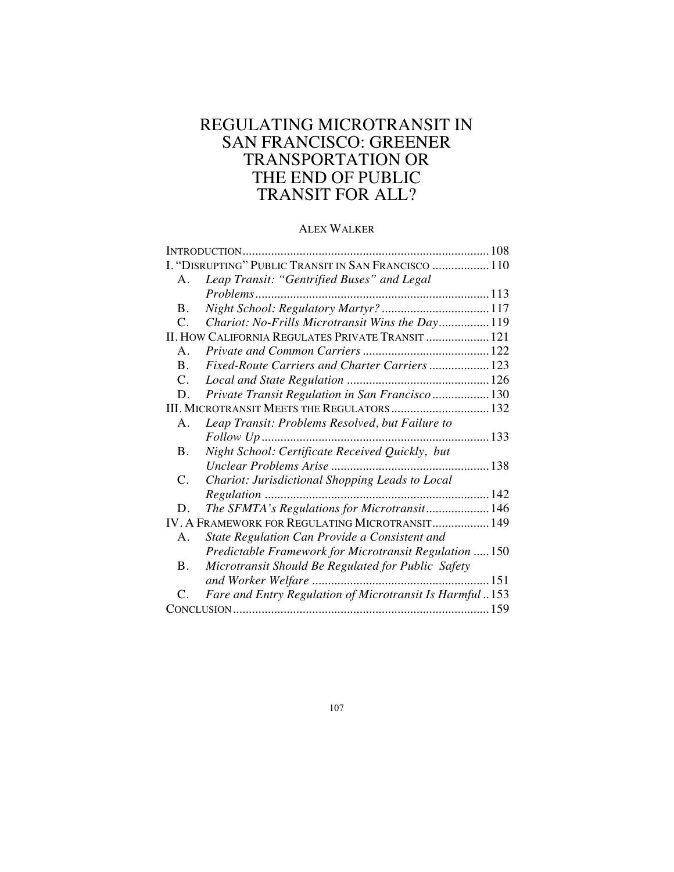# REGULATING MICROTRANSIT IN SAN FRANCISCO: GREENER TRANSPORTATION OR THE END OF PUBLIC TRANSIT FOR ALL?

# ALEX WALKER

| INTRODUCTION                                         |                                                         |  |
|------------------------------------------------------|---------------------------------------------------------|--|
| I. "DISRUPTING" PUBLIC TRANSIT IN SAN FRANCISCO  110 |                                                         |  |
| A.                                                   | Leap Transit: "Gentrified Buses" and Legal              |  |
|                                                      |                                                         |  |
| <b>B.</b>                                            | Night School: Regulatory Martyr?  117                   |  |
| $\mathcal{C}$ .                                      | Chariot: No-Frills Microtransit Wins the Day 119        |  |
| II. HOW CALIFORNIA REGULATES PRIVATE TRANSIT  121    |                                                         |  |
| $A_{\cdot}$                                          |                                                         |  |
| $\mathbf{B}$ .                                       | Fixed-Route Carriers and Charter Carriers  123          |  |
| $\mathcal{C}$ .                                      |                                                         |  |
| D.                                                   | Private Transit Regulation in San Francisco 130         |  |
| III. MICROTRANSIT MEETS THE REGULATORS 132           |                                                         |  |
| Α.                                                   | Leap Transit: Problems Resolved, but Failure to         |  |
|                                                      | Follow Up                                               |  |
| Β.                                                   | Night School: Certificate Received Quickly, but         |  |
|                                                      | Unclear Problems Arise<br>138                           |  |
| C.                                                   | Chariot: Jurisdictional Shopping Leads to Local         |  |
|                                                      |                                                         |  |
| D.                                                   | The SFMTA's Regulations for Microtransit 146            |  |
| IV. A FRAMEWORK FOR REGULATING MICROTRANSIT 149      |                                                         |  |
| $\mathsf{A}$ .                                       | State Regulation Can Provide a Consistent and           |  |
|                                                      | Predictable Framework for Microtransit Regulation  150  |  |
| B.                                                   | Microtransit Should Be Regulated for Public Safety      |  |
|                                                      |                                                         |  |
| $\mathcal{C}_{\cdot}$                                | Fare and Entry Regulation of Microtransit Is Harmful153 |  |
|                                                      |                                                         |  |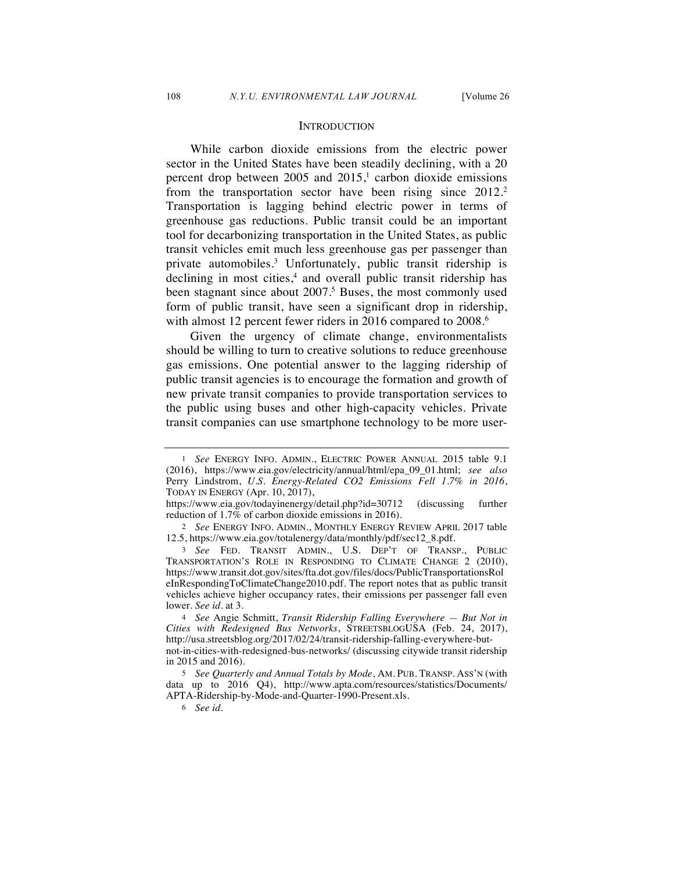#### **INTRODUCTION**

While carbon dioxide emissions from the electric power sector in the United States have been steadily declining, with a 20 percent drop between  $2005$  and  $2015$ ,<sup>1</sup> carbon dioxide emissions from the transportation sector have been rising since 2012.<sup>2</sup> Transportation is lagging behind electric power in terms of greenhouse gas reductions. Public transit could be an important tool for decarbonizing transportation in the United States, as public transit vehicles emit much less greenhouse gas per passenger than private automobiles.3 Unfortunately, public transit ridership is declining in most cities,<sup>4</sup> and overall public transit ridership has been stagnant since about 2007.<sup>5</sup> Buses, the most commonly used form of public transit, have seen a significant drop in ridership, with almost 12 percent fewer riders in 2016 compared to 2008.<sup>6</sup>

Given the urgency of climate change, environmentalists should be willing to turn to creative solutions to reduce greenhouse gas emissions. One potential answer to the lagging ridership of public transit agencies is to encourage the formation and growth of new private transit companies to provide transportation services to the public using buses and other high-capacity vehicles. Private transit companies can use smartphone technology to be more user-

<sup>1</sup> *See* ENERGY INFO. ADMIN., ELECTRIC POWER ANNUAL 2015 table 9.1 (2016), https://www.eia.gov/electricity/annual/html/epa\_09\_01.html; *see also*  Perry Lindstrom, *U.S. Energy-Related CO2 Emissions Fell 1.7% in 2016*, TODAY IN ENERGY (Apr. 10, 2017),

https://www.eia.gov/todayinenergy/detail.php?id=30712 (discussing further reduction of 1.7% of carbon dioxide emissions in 2016).

<sup>2</sup> *See* ENERGY INFO. ADMIN., MONTHLY ENERGY REVIEW APRIL 2017 table 12.5, https://www.eia.gov/totalenergy/data/monthly/pdf/sec12\_8.pdf.

<sup>3</sup> *See* FED. TRANSIT ADMIN., U.S. DEP'T OF TRANSP., PUBLIC TRANSPORTATION'S ROLE IN RESPONDING TO CLIMATE CHANGE 2 (2010), https://www.transit.dot.gov/sites/fta.dot.gov/files/docs/PublicTransportationsRol eInRespondingToClimateChange2010.pdf. The report notes that as public transit vehicles achieve higher occupancy rates, their emissions per passenger fall even lower. *See id.* at 3.

<sup>4</sup> *See* Angie Schmitt, *Transit Ridership Falling Everywhere — But Not in Cities with Redesigned Bus Networks*, STREETSBLOGUSA (Feb. 24, 2017), http://usa.streetsblog.org/2017/02/24/transit-ridership-falling-everywhere-butnot-in-cities-with-redesigned-bus-networks/ (discussing citywide transit ridership in 2015 and 2016).

<sup>5</sup> *See Quarterly and Annual Totals by Mode*, AM. PUB. TRANSP. ASS'N (with data up to 2016 Q4), http://www.apta.com/resources/statistics/Documents/ APTA-Ridership-by-Mode-and-Quarter-1990-Present.xls.

<sup>6</sup> *See id.*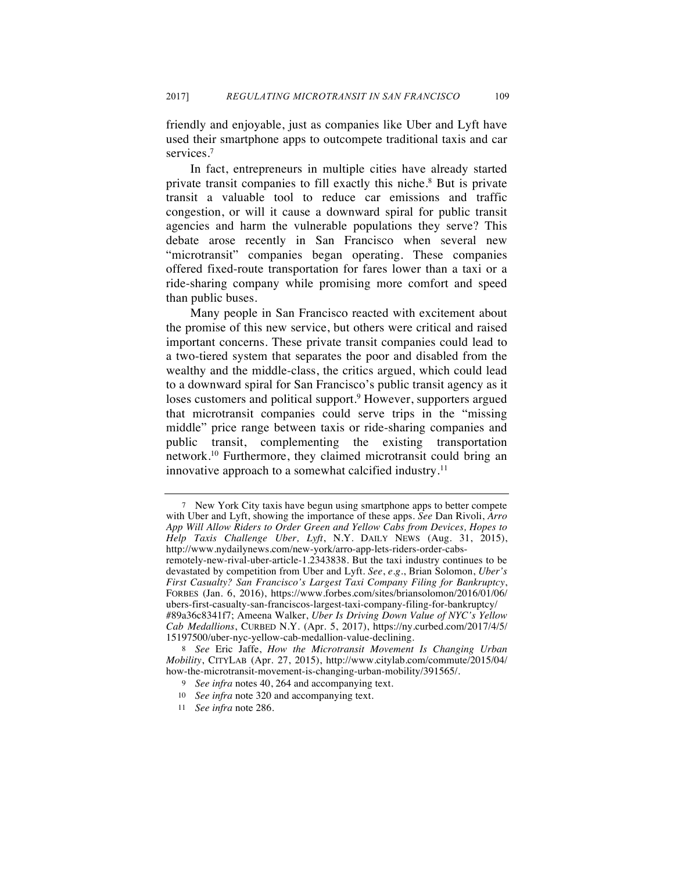friendly and enjoyable, just as companies like Uber and Lyft have used their smartphone apps to outcompete traditional taxis and car services.<sup>7</sup>

In fact, entrepreneurs in multiple cities have already started private transit companies to fill exactly this niche.8 But is private transit a valuable tool to reduce car emissions and traffic congestion, or will it cause a downward spiral for public transit agencies and harm the vulnerable populations they serve? This debate arose recently in San Francisco when several new "microtransit" companies began operating. These companies offered fixed-route transportation for fares lower than a taxi or a ride-sharing company while promising more comfort and speed than public buses.

Many people in San Francisco reacted with excitement about the promise of this new service, but others were critical and raised important concerns. These private transit companies could lead to a two-tiered system that separates the poor and disabled from the wealthy and the middle-class, the critics argued, which could lead to a downward spiral for San Francisco's public transit agency as it loses customers and political support.<sup>9</sup> However, supporters argued that microtransit companies could serve trips in the "missing middle" price range between taxis or ride-sharing companies and public transit, complementing the existing transportation network.10 Furthermore, they claimed microtransit could bring an innovative approach to a somewhat calcified industry.<sup>11</sup>

<sup>7</sup> New York City taxis have begun using smartphone apps to better compete with Uber and Lyft, showing the importance of these apps. *See* Dan Rivoli, *Arro App Will Allow Riders to Order Green and Yellow Cabs from Devices, Hopes to Help Taxis Challenge Uber, Lyft*, N.Y. DAILY NEWS (Aug. 31, 2015), http://www.nydailynews.com/new-york/arro-app-lets-riders-order-cabsremotely-new-rival-uber-article-1.2343838. But the taxi industry continues to be devastated by competition from Uber and Lyft. *See*, *e.g.*, Brian Solomon, *Uber's First Casualty? San Francisco's Largest Taxi Company Filing for Bankruptcy*, FORBES (Jan. 6, 2016), https://www.forbes.com/sites/briansolomon/2016/01/06/ ubers-first-casualty-san-franciscos-largest-taxi-company-filing-for-bankruptcy/ #89a36c8341f7; Ameena Walker, *Uber Is Driving Down Value of NYC's Yellow Cab Medallions*, CURBED N.Y. (Apr. 5, 2017), https://ny.curbed.com/2017/4/5/ 15197500/uber-nyc-yellow-cab-medallion-value-declining.

<sup>8</sup> *See* Eric Jaffe, *How the Microtransit Movement Is Changing Urban Mobility*, CITYLAB (Apr. 27, 2015), http://www.citylab.com/commute/2015/04/ how-the-microtransit-movement-is-changing-urban-mobility/391565/.

<sup>9</sup> *See infra* notes 40, 264 and accompanying text.

<sup>10</sup> *See infra* note 320 and accompanying text.

<sup>11</sup> *See infra* note 286.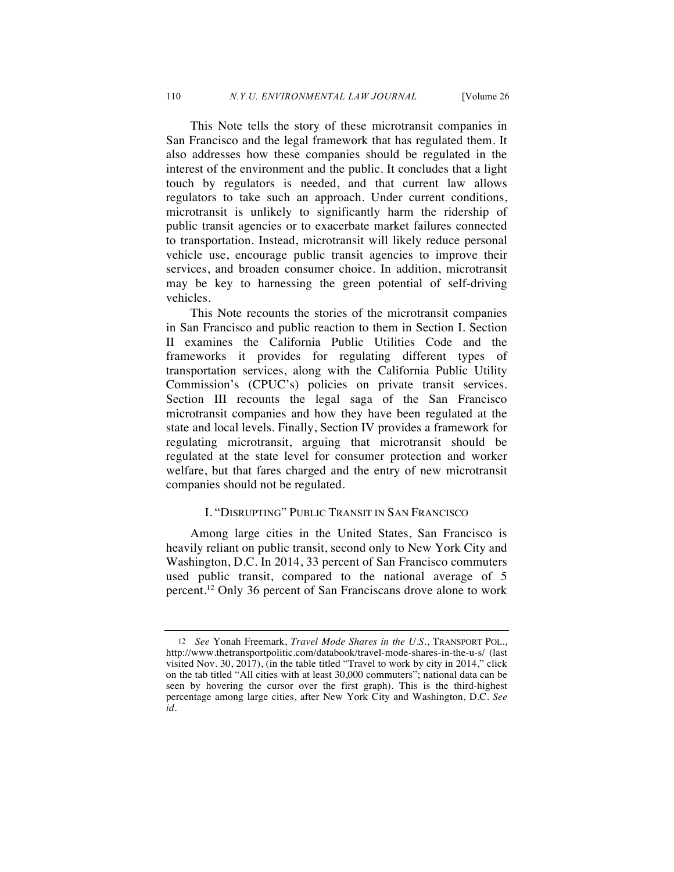This Note tells the story of these microtransit companies in San Francisco and the legal framework that has regulated them. It also addresses how these companies should be regulated in the interest of the environment and the public. It concludes that a light touch by regulators is needed, and that current law allows regulators to take such an approach. Under current conditions, microtransit is unlikely to significantly harm the ridership of public transit agencies or to exacerbate market failures connected to transportation. Instead, microtransit will likely reduce personal vehicle use, encourage public transit agencies to improve their services, and broaden consumer choice. In addition, microtransit may be key to harnessing the green potential of self-driving vehicles.

This Note recounts the stories of the microtransit companies in San Francisco and public reaction to them in Section I. Section II examines the California Public Utilities Code and the frameworks it provides for regulating different types of transportation services, along with the California Public Utility Commission's (CPUC's) policies on private transit services. Section III recounts the legal saga of the San Francisco microtransit companies and how they have been regulated at the state and local levels. Finally, Section IV provides a framework for regulating microtransit, arguing that microtransit should be regulated at the state level for consumer protection and worker welfare, but that fares charged and the entry of new microtransit companies should not be regulated.

### I. "DISRUPTING" PUBLIC TRANSIT IN SAN FRANCISCO

Among large cities in the United States, San Francisco is heavily reliant on public transit, second only to New York City and Washington, D.C. In 2014, 33 percent of San Francisco commuters used public transit, compared to the national average of 5 percent.12 Only 36 percent of San Franciscans drove alone to work

<sup>12</sup> *See* Yonah Freemark, *Travel Mode Shares in the U.S.*, TRANSPORT POL., http://www.thetransportpolitic.com/databook/travel-mode-shares-in-the-u-s/ (last visited Nov. 30, 2017), (in the table titled "Travel to work by city in 2014," click on the tab titled "All cities with at least 30,000 commuters"; national data can be seen by hovering the cursor over the first graph). This is the third-highest percentage among large cities, after New York City and Washington, D.C. *See id.*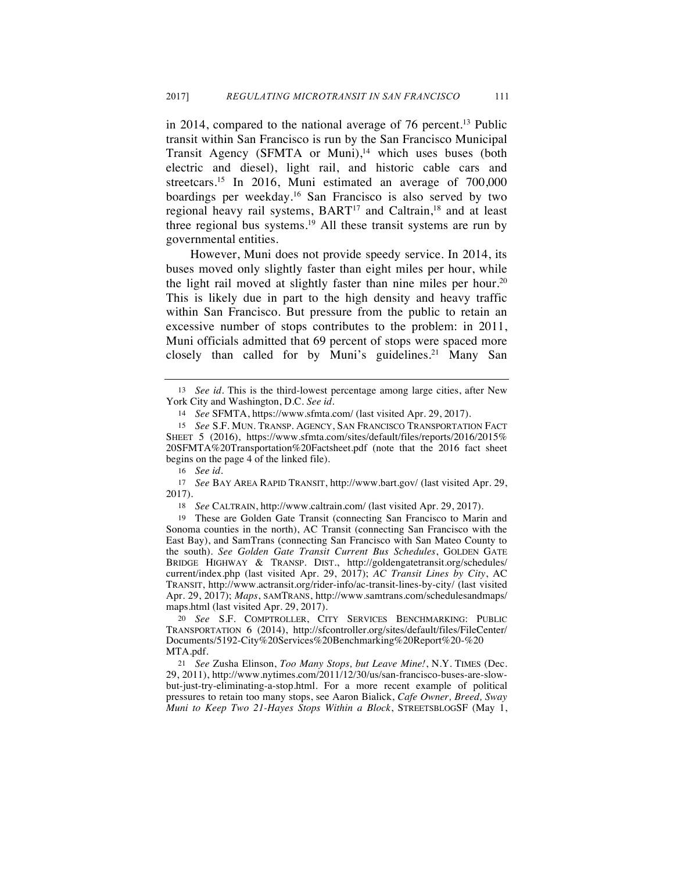in 2014, compared to the national average of 76 percent.13 Public transit within San Francisco is run by the San Francisco Municipal Transit Agency (SFMTA or Muni),<sup>14</sup> which uses buses (both electric and diesel), light rail, and historic cable cars and streetcars.15 In 2016, Muni estimated an average of 700,000 boardings per weekday.16 San Francisco is also served by two regional heavy rail systems, BART<sup>17</sup> and Caltrain,<sup>18</sup> and at least three regional bus systems.19 All these transit systems are run by governmental entities.

However, Muni does not provide speedy service. In 2014, its buses moved only slightly faster than eight miles per hour, while the light rail moved at slightly faster than nine miles per hour.20 This is likely due in part to the high density and heavy traffic within San Francisco. But pressure from the public to retain an excessive number of stops contributes to the problem: in 2011, Muni officials admitted that 69 percent of stops were spaced more closely than called for by Muni's guidelines.<sup>21</sup> Many San

18 *See* CALTRAIN, http://www.caltrain.com/ (last visited Apr. 29, 2017).

19 These are Golden Gate Transit (connecting San Francisco to Marin and Sonoma counties in the north), AC Transit (connecting San Francisco with the East Bay), and SamTrans (connecting San Francisco with San Mateo County to the south). *See Golden Gate Transit Current Bus Schedules*, GOLDEN GATE BRIDGE HIGHWAY & TRANSP. DIST., http://goldengatetransit.org/schedules/ current/index.php (last visited Apr. 29, 2017); *AC Transit Lines by City*, AC TRANSIT, http://www.actransit.org/rider-info/ac-transit-lines-by-city/ (last visited Apr. 29, 2017); *Maps*, SAMTRANS, http://www.samtrans.com/schedulesandmaps/ maps.html (last visited Apr. 29, 2017).

21 *See* Zusha Elinson, *Too Many Stops, but Leave Mine!*, N.Y. TIMES (Dec. 29, 2011), http://www.nytimes.com/2011/12/30/us/san-francisco-buses-are-slowbut-just-try-eliminating-a-stop.html. For a more recent example of political pressures to retain too many stops, see Aaron Bialick, *Cafe Owner, Breed, Sway Muni to Keep Two 21-Hayes Stops Within a Block*, STREETSBLOGSF (May 1,

<sup>13</sup> *See id.* This is the third-lowest percentage among large cities, after New York City and Washington, D.C. *See id.*

<sup>14</sup> *See* SFMTA, https://www.sfmta.com/ (last visited Apr. 29, 2017).

<sup>15</sup> *See* S.F. MUN. TRANSP. AGENCY, SAN FRANCISCO TRANSPORTATION FACT SHEET 5 (2016), https://www.sfmta.com/sites/default/files/reports/2016/2015% 20SFMTA%20Transportation%20Factsheet.pdf (note that the 2016 fact sheet begins on the page 4 of the linked file).

<sup>16</sup> *See id.*

<sup>17</sup> *See* BAY AREA RAPID TRANSIT, http://www.bart.gov/ (last visited Apr. 29, 2017).

<sup>20</sup> *See* S.F. COMPTROLLER, CITY SERVICES BENCHMARKING: PUBLIC TRANSPORTATION 6 (2014), http://sfcontroller.org/sites/default/files/FileCenter/ Documents/5192-City%20Services%20Benchmarking%20Report%20-%20 MTA.pdf.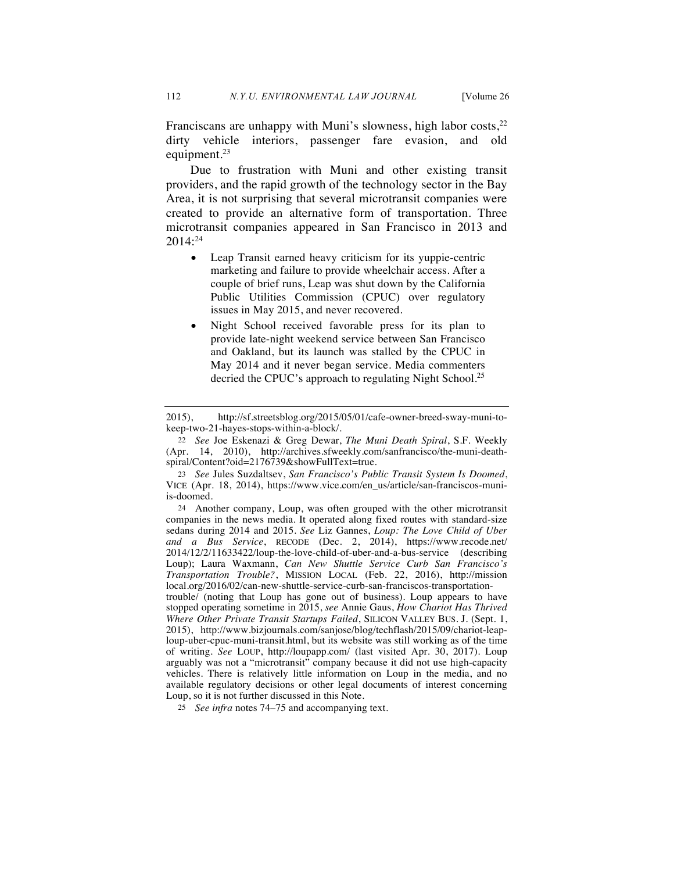Franciscans are unhappy with Muni's slowness, high labor costs,  $2^2$ dirty vehicle interiors, passenger fare evasion, and old equipment.23

Due to frustration with Muni and other existing transit providers, and the rapid growth of the technology sector in the Bay Area, it is not surprising that several microtransit companies were created to provide an alternative form of transportation. Three microtransit companies appeared in San Francisco in 2013 and 2014:24

- Leap Transit earned heavy criticism for its yuppie-centric marketing and failure to provide wheelchair access. After a couple of brief runs, Leap was shut down by the California Public Utilities Commission (CPUC) over regulatory issues in May 2015, and never recovered.
- Night School received favorable press for its plan to provide late-night weekend service between San Francisco and Oakland, but its launch was stalled by the CPUC in May 2014 and it never began service. Media commenters decried the CPUC's approach to regulating Night School.<sup>25</sup>

24 Another company, Loup, was often grouped with the other microtransit companies in the news media. It operated along fixed routes with standard-size sedans during 2014 and 2015. *See* Liz Gannes, *Loup: The Love Child of Uber and a Bus Service*, RECODE (Dec. 2, 2014), https://www.recode.net/ 2014/12/2/11633422/loup-the-love-child-of-uber-and-a-bus-service (describing Loup); Laura Waxmann, *Can New Shuttle Service Curb San Francisco's Transportation Trouble?*, MISSION LOCAL (Feb. 22, 2016), http://mission local.org/2016/02/can-new-shuttle-service-curb-san-franciscos-transportation-

trouble/ (noting that Loup has gone out of business). Loup appears to have stopped operating sometime in 2015, *see* Annie Gaus, *How Chariot Has Thrived Where Other Private Transit Startups Failed*, SILICON VALLEY BUS. J. (Sept. 1, 2015), http://www.bizjournals.com/sanjose/blog/techflash/2015/09/chariot-leaploup-uber-cpuc-muni-transit.html, but its website was still working as of the time of writing. *See* LOUP, http://loupapp.com/ (last visited Apr. 30, 2017). Loup arguably was not a "microtransit" company because it did not use high-capacity vehicles. There is relatively little information on Loup in the media, and no available regulatory decisions or other legal documents of interest concerning Loup, so it is not further discussed in this Note.

25 *See infra* notes 74–75 and accompanying text.

<sup>2015),</sup> http://sf.streetsblog.org/2015/05/01/cafe-owner-breed-sway-muni-tokeep-two-21-hayes-stops-within-a-block/.

<sup>22</sup> *See* Joe Eskenazi & Greg Dewar, *The Muni Death Spiral*, S.F. Weekly (Apr. 14, 2010), http://archives.sfweekly.com/sanfrancisco/the-muni-deathspiral/Content?oid=2176739&showFullText=true.

<sup>23</sup> *See* Jules Suzdaltsev, *San Francisco's Public Transit System Is Doomed*, VICE (Apr. 18, 2014), https://www.vice.com/en\_us/article/san-franciscos-muniis-doomed.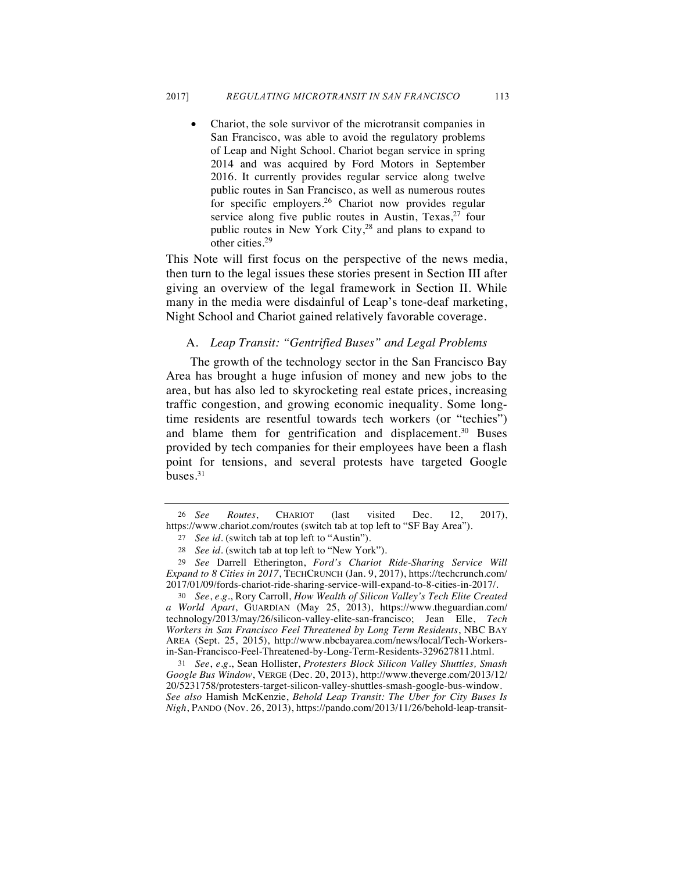• Chariot, the sole survivor of the microtransit companies in San Francisco, was able to avoid the regulatory problems of Leap and Night School. Chariot began service in spring 2014 and was acquired by Ford Motors in September 2016. It currently provides regular service along twelve public routes in San Francisco, as well as numerous routes for specific employers.<sup>26</sup> Chariot now provides regular service along five public routes in Austin, Texas, $27$  four public routes in New York City,<sup>28</sup> and plans to expand to other cities.<sup>29</sup>

This Note will first focus on the perspective of the news media, then turn to the legal issues these stories present in Section III after giving an overview of the legal framework in Section II. While many in the media were disdainful of Leap's tone-deaf marketing, Night School and Chariot gained relatively favorable coverage.

### A. *Leap Transit: "Gentrified Buses" and Legal Problems*

The growth of the technology sector in the San Francisco Bay Area has brought a huge infusion of money and new jobs to the area, but has also led to skyrocketing real estate prices, increasing traffic congestion, and growing economic inequality. Some longtime residents are resentful towards tech workers (or "techies") and blame them for gentrification and displacement.<sup>30</sup> Buses provided by tech companies for their employees have been a flash point for tensions, and several protests have targeted Google buses. $31$ 

30 *See*, *e.g.*, Rory Carroll, *How Wealth of Silicon Valley's Tech Elite Created a World Apart*, GUARDIAN (May 25, 2013), https://www.theguardian.com/ technology/2013/may/26/silicon-valley-elite-san-francisco; Jean Elle, *Tech Workers in San Francisco Feel Threatened by Long Term Residents*, NBC BAY AREA (Sept. 25, 2015), http://www.nbcbayarea.com/news/local/Tech-Workersin-San-Francisco-Feel-Threatened-by-Long-Term-Residents-329627811.html.

31 *See*, *e.g.*, Sean Hollister, *Protesters Block Silicon Valley Shuttles, Smash Google Bus Window*, VERGE (Dec. 20, 2013), http://www.theverge.com/2013/12/ 20/5231758/protesters-target-silicon-valley-shuttles-smash-google-bus-window. *See also* Hamish McKenzie, *Behold Leap Transit: The Uber for City Buses Is Nigh*, PANDO (Nov. 26, 2013), https://pando.com/2013/11/26/behold-leap-transit-

<sup>26</sup> *See Routes*, CHARIOT (last visited Dec. 12, 2017), https://www.chariot.com/routes (switch tab at top left to "SF Bay Area").

<sup>27</sup> *See id.* (switch tab at top left to "Austin").

<sup>28</sup> *See id.* (switch tab at top left to "New York").

<sup>29</sup> *See* Darrell Etherington, *Ford's Chariot Ride-Sharing Service Will Expand to 8 Cities in 2017*, TECHCRUNCH (Jan. 9, 2017), https://techcrunch.com/ 2017/01/09/fords-chariot-ride-sharing-service-will-expand-to-8-cities-in-2017/.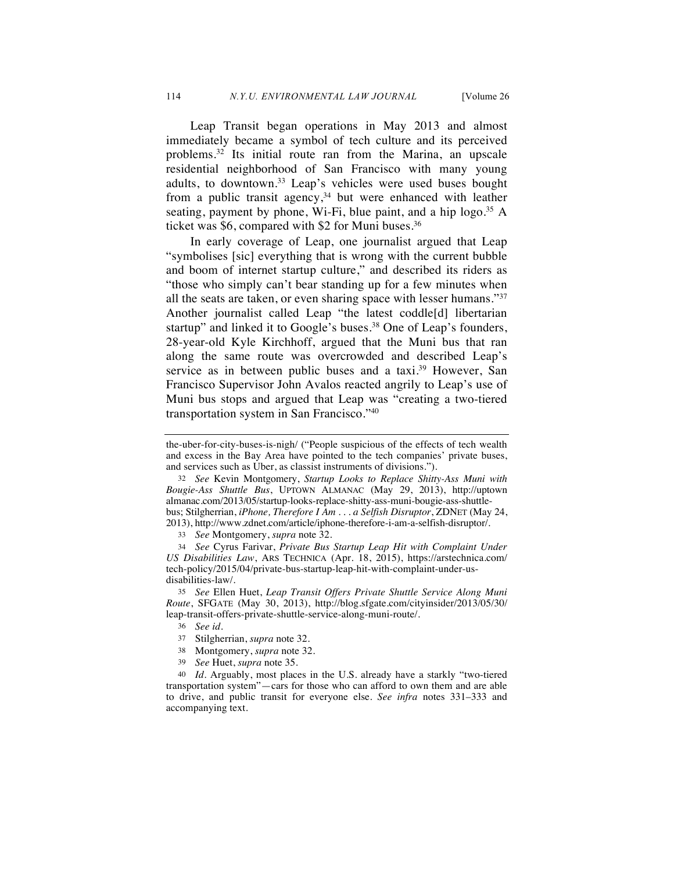Leap Transit began operations in May 2013 and almost immediately became a symbol of tech culture and its perceived problems.32 Its initial route ran from the Marina, an upscale residential neighborhood of San Francisco with many young adults, to downtown.33 Leap's vehicles were used buses bought from a public transit agency,<sup>34</sup> but were enhanced with leather seating, payment by phone, Wi-Fi, blue paint, and a hip  $logo.^{35}$  A ticket was \$6, compared with \$2 for Muni buses.<sup>36</sup>

In early coverage of Leap, one journalist argued that Leap "symbolises [sic] everything that is wrong with the current bubble and boom of internet startup culture," and described its riders as "those who simply can't bear standing up for a few minutes when all the seats are taken, or even sharing space with lesser humans."37 Another journalist called Leap "the latest coddle[d] libertarian startup" and linked it to Google's buses.<sup>38</sup> One of Leap's founders, 28-year-old Kyle Kirchhoff, argued that the Muni bus that ran along the same route was overcrowded and described Leap's service as in between public buses and a taxi.<sup>39</sup> However, San Francisco Supervisor John Avalos reacted angrily to Leap's use of Muni bus stops and argued that Leap was "creating a two-tiered transportation system in San Francisco."40

32 *See* Kevin Montgomery, *Startup Looks to Replace Shitty-Ass Muni with Bougie-Ass Shuttle Bus*, UPTOWN ALMANAC (May 29, 2013), http://uptown almanac.com/2013/05/startup-looks-replace-shitty-ass-muni-bougie-ass-shuttlebus; Stilgherrian, *iPhone, Therefore I Am . . . a Selfish Disruptor*, ZDNET (May 24, 2013), http://www.zdnet.com/article/iphone-therefore-i-am-a-selfish-disruptor/.

33 *See* Montgomery, *supra* note 32.

34 *See* Cyrus Farivar, *Private Bus Startup Leap Hit with Complaint Under US Disabilities Law*, ARS TECHNICA (Apr. 18, 2015), https://arstechnica.com/ tech-policy/2015/04/private-bus-startup-leap-hit-with-complaint-under-usdisabilities-law/.

35 *See* Ellen Huet, *Leap Transit Offers Private Shuttle Service Along Muni Route*, SFGATE (May 30, 2013), http://blog.sfgate.com/cityinsider/2013/05/30/ leap-transit-offers-private-shuttle-service-along-muni-route/.

- 38 Montgomery, *supra* note 32.
- 39 *See* Huet, *supra* note 35.

*Id.* Arguably, most places in the U.S. already have a starkly "two-tiered transportation system"—cars for those who can afford to own them and are able to drive, and public transit for everyone else. *See infra* notes 331–333 and accompanying text.

the-uber-for-city-buses-is-nigh/ ("People suspicious of the effects of tech wealth and excess in the Bay Area have pointed to the tech companies' private buses, and services such as Uber, as classist instruments of divisions.").

<sup>36</sup> *See id.*

<sup>37</sup> Stilgherrian, *supra* note 32.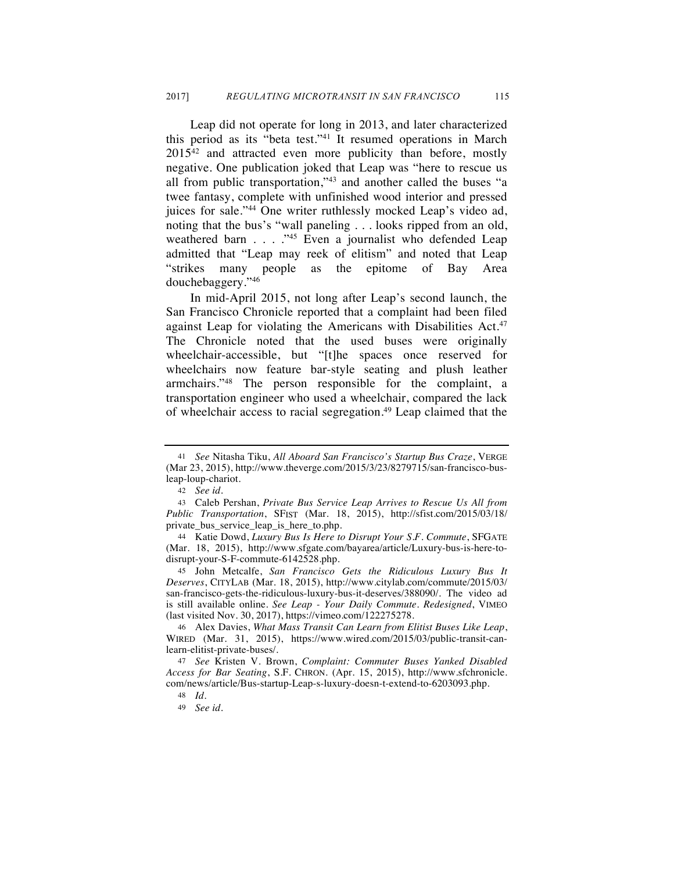Leap did not operate for long in 2013, and later characterized this period as its "beta test."41 It resumed operations in March 2015<sup>42</sup> and attracted even more publicity than before, mostly negative. One publication joked that Leap was "here to rescue us all from public transportation,"43 and another called the buses "a twee fantasy, complete with unfinished wood interior and pressed juices for sale."44 One writer ruthlessly mocked Leap's video ad, noting that the bus's "wall paneling . . . looks ripped from an old, weathered barn . . . . "45 Even a journalist who defended Leap admitted that "Leap may reek of elitism" and noted that Leap "strikes many people as the epitome of Bay Area douchebaggery."46

In mid-April 2015, not long after Leap's second launch, the San Francisco Chronicle reported that a complaint had been filed against Leap for violating the Americans with Disabilities Act.<sup>47</sup> The Chronicle noted that the used buses were originally wheelchair-accessible, but "[t]he spaces once reserved for wheelchairs now feature bar-style seating and plush leather armchairs."48 The person responsible for the complaint, a transportation engineer who used a wheelchair, compared the lack of wheelchair access to racial segregation.<sup>49</sup> Leap claimed that the

<sup>41</sup> *See* Nitasha Tiku, *All Aboard San Francisco's Startup Bus Craze*, VERGE (Mar 23, 2015), http://www.theverge.com/2015/3/23/8279715/san-francisco-busleap-loup-chariot.

<sup>42</sup> *See id.*

<sup>43</sup> Caleb Pershan, *Private Bus Service Leap Arrives to Rescue Us All from Public Transportation*, SFIST (Mar. 18, 2015), http://sfist.com/2015/03/18/ private\_bus\_service\_leap\_is\_here\_to.php.

<sup>44</sup> Katie Dowd, *Luxury Bus Is Here to Disrupt Your S.F. Commute*, SFGATE (Mar. 18, 2015), http://www.sfgate.com/bayarea/article/Luxury-bus-is-here-todisrupt-your-S-F-commute-6142528.php.

<sup>45</sup> John Metcalfe, *San Francisco Gets the Ridiculous Luxury Bus It Deserves*, CITYLAB (Mar. 18, 2015), http://www.citylab.com/commute/2015/03/ san-francisco-gets-the-ridiculous-luxury-bus-it-deserves/388090/. The video ad is still available online. *See Leap - Your Daily Commute. Redesigned*, VIMEO (last visited Nov. 30, 2017), https://vimeo.com/122275278.

<sup>46</sup> Alex Davies, *What Mass Transit Can Learn from Elitist Buses Like Leap*, WIRED (Mar. 31, 2015), https://www.wired.com/2015/03/public-transit-canlearn-elitist-private-buses/.

<sup>47</sup> *See* Kristen V. Brown, *Complaint: Commuter Buses Yanked Disabled Access for Bar Seating*, S.F. CHRON. (Apr. 15, 2015), http://www.sfchronicle. com/news/article/Bus-startup-Leap-s-luxury-doesn-t-extend-to-6203093.php.

<sup>48</sup> *Id.*

<sup>49</sup> *See id.*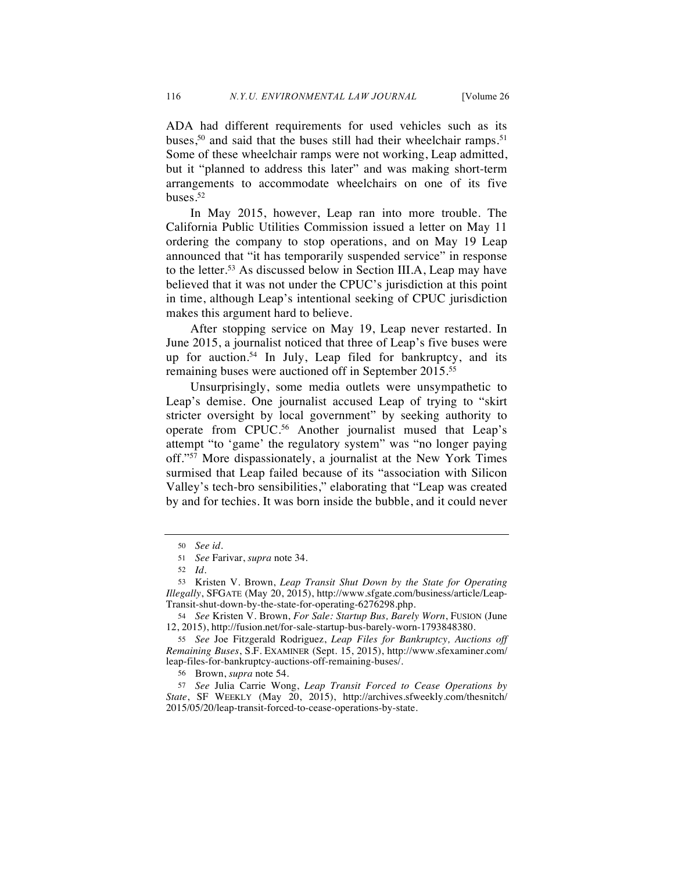ADA had different requirements for used vehicles such as its buses,<sup>50</sup> and said that the buses still had their wheelchair ramps.<sup>51</sup> Some of these wheelchair ramps were not working, Leap admitted, but it "planned to address this later" and was making short-term arrangements to accommodate wheelchairs on one of its five buses.52

In May 2015, however, Leap ran into more trouble. The California Public Utilities Commission issued a letter on May 11 ordering the company to stop operations, and on May 19 Leap announced that "it has temporarily suspended service" in response to the letter.53 As discussed below in Section III.A, Leap may have believed that it was not under the CPUC's jurisdiction at this point in time, although Leap's intentional seeking of CPUC jurisdiction makes this argument hard to believe.

After stopping service on May 19, Leap never restarted. In June 2015, a journalist noticed that three of Leap's five buses were up for auction.<sup>54</sup> In July, Leap filed for bankruptcy, and its remaining buses were auctioned off in September 2015.55

Unsurprisingly, some media outlets were unsympathetic to Leap's demise. One journalist accused Leap of trying to "skirt stricter oversight by local government" by seeking authority to operate from CPUC.56 Another journalist mused that Leap's attempt "to 'game' the regulatory system" was "no longer paying off."57 More dispassionately, a journalist at the New York Times surmised that Leap failed because of its "association with Silicon Valley's tech-bro sensibilities," elaborating that "Leap was created by and for techies. It was born inside the bubble, and it could never

<sup>50</sup> *See id.*

<sup>51</sup> *See* Farivar, *supra* note 34.

<sup>52</sup> *Id.*

<sup>53</sup> Kristen V. Brown, *Leap Transit Shut Down by the State for Operating Illegally*, SFGATE (May 20, 2015), http://www.sfgate.com/business/article/Leap-Transit-shut-down-by-the-state-for-operating-6276298.php.

<sup>54</sup> *See* Kristen V. Brown, *For Sale: Startup Bus, Barely Worn*, FUSION (June 12, 2015), http://fusion.net/for-sale-startup-bus-barely-worn-1793848380.

<sup>55</sup> *See* Joe Fitzgerald Rodriguez, *Leap Files for Bankruptcy, Auctions off Remaining Buses*, S.F. EXAMINER (Sept. 15, 2015), http://www.sfexaminer.com/ leap-files-for-bankruptcy-auctions-off-remaining-buses/.

<sup>56</sup> Brown, *supra* note 54.

<sup>57</sup> *See* Julia Carrie Wong, *Leap Transit Forced to Cease Operations by State*, SF WEEKLY (May 20, 2015), http://archives.sfweekly.com/thesnitch/ 2015/05/20/leap-transit-forced-to-cease-operations-by-state.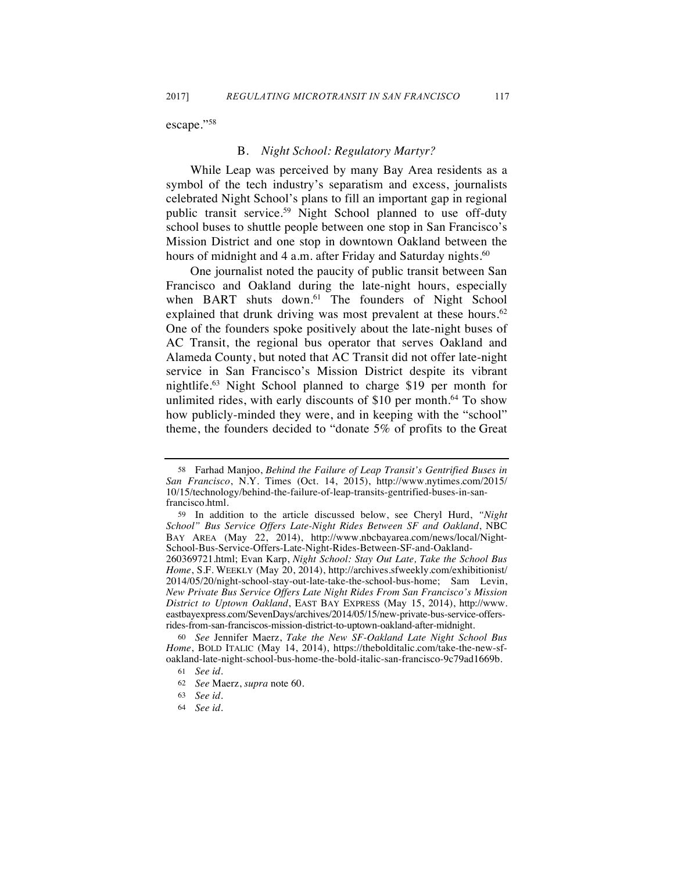escape."58

# B. *Night School: Regulatory Martyr?*

While Leap was perceived by many Bay Area residents as a symbol of the tech industry's separatism and excess, journalists celebrated Night School's plans to fill an important gap in regional public transit service.<sup>59</sup> Night School planned to use off-duty school buses to shuttle people between one stop in San Francisco's Mission District and one stop in downtown Oakland between the hours of midnight and 4 a.m. after Friday and Saturday nights.<sup>60</sup>

One journalist noted the paucity of public transit between San Francisco and Oakland during the late-night hours, especially when BART shuts down.<sup>61</sup> The founders of Night School explained that drunk driving was most prevalent at these hours.<sup>62</sup> One of the founders spoke positively about the late-night buses of AC Transit, the regional bus operator that serves Oakland and Alameda County, but noted that AC Transit did not offer late-night service in San Francisco's Mission District despite its vibrant nightlife.63 Night School planned to charge \$19 per month for unlimited rides, with early discounts of \$10 per month.<sup>64</sup> To show how publicly-minded they were, and in keeping with the "school" theme, the founders decided to "donate 5% of profits to the Great

*New Private Bus Service Offers Late Night Rides From San Francisco's Mission District to Uptown Oakland*, EAST BAY EXPRESS (May 15, 2014), http://www. eastbayexpress.com/SevenDays/archives/2014/05/15/new-private-bus-service-offersrides-from-san-franciscos-mission-district-to-uptown-oakland-after-midnight.

60 *See* Jennifer Maerz, *Take the New SF-Oakland Late Night School Bus Home*, BOLD ITALIC (May 14, 2014), https://thebolditalic.com/take-the-new-sfoakland-late-night-school-bus-home-the-bold-italic-san-francisco-9c79ad1669b.

<sup>58</sup> Farhad Manjoo, *Behind the Failure of Leap Transit's Gentrified Buses in San Francisco*, N.Y. Times (Oct. 14, 2015), http://www.nytimes.com/2015/ 10/15/technology/behind-the-failure-of-leap-transits-gentrified-buses-in-sanfrancisco.html.

<sup>59</sup> In addition to the article discussed below, see Cheryl Hurd, *"Night School" Bus Service Offers Late-Night Rides Between SF and Oakland*, NBC BAY AREA (May 22, 2014), http://www.nbcbayarea.com/news/local/Night-School-Bus-Service-Offers-Late-Night-Rides-Between-SF-and-Oakland-260369721.html; Evan Karp, *Night School: Stay Out Late, Take the School Bus Home*, S.F. WEEKLY (May 20, 2014), http://archives.sfweekly.com/exhibitionist/ 2014/05/20/night-school-stay-out-late-take-the-school-bus-home; Sam Levin,

<sup>61</sup> *See id.*

<sup>62</sup> *See* Maerz, *supra* note 60*.*

<sup>63</sup> *See id.*

<sup>64</sup> *See id.*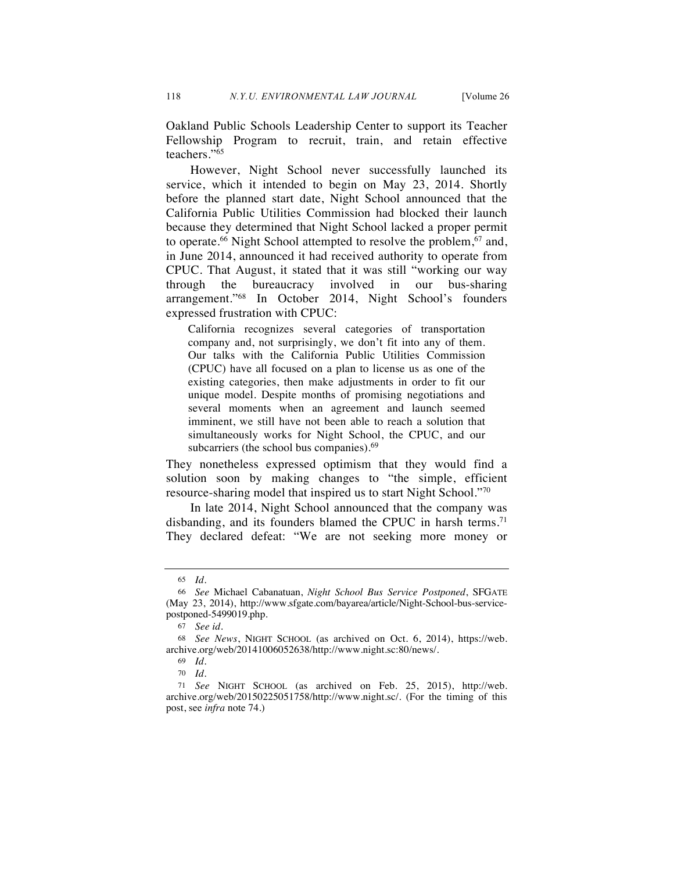Oakland Public Schools Leadership Center to support its Teacher Fellowship Program to recruit, train, and retain effective teachers."65

However, Night School never successfully launched its service, which it intended to begin on May 23, 2014. Shortly before the planned start date, Night School announced that the California Public Utilities Commission had blocked their launch because they determined that Night School lacked a proper permit to operate.<sup>66</sup> Night School attempted to resolve the problem,<sup>67</sup> and, in June 2014, announced it had received authority to operate from CPUC. That August, it stated that it was still "working our way through the bureaucracy involved in our bus-sharing arrangement."68 In October 2014, Night School's founders expressed frustration with CPUC:

California recognizes several categories of transportation company and, not surprisingly, we don't fit into any of them. Our talks with the California Public Utilities Commission (CPUC) have all focused on a plan to license us as one of the existing categories, then make adjustments in order to fit our unique model. Despite months of promising negotiations and several moments when an agreement and launch seemed imminent, we still have not been able to reach a solution that simultaneously works for Night School, the CPUC, and our subcarriers (the school bus companies).<sup>69</sup>

They nonetheless expressed optimism that they would find a solution soon by making changes to "the simple, efficient resource-sharing model that inspired us to start Night School."70

In late 2014, Night School announced that the company was disbanding, and its founders blamed the CPUC in harsh terms.<sup>71</sup> They declared defeat: "We are not seeking more money or

<sup>65</sup> *Id.*

<sup>66</sup> *See* Michael Cabanatuan, *Night School Bus Service Postponed*, SFGATE (May 23, 2014), http://www.sfgate.com/bayarea/article/Night-School-bus-servicepostponed-5499019.php.

<sup>67</sup> *See id.*

<sup>68</sup> *See News*, NIGHT SCHOOL (as archived on Oct. 6, 2014), https://web. archive.org/web/20141006052638/http://www.night.sc:80/news/.

<sup>69</sup> *Id.*

<sup>70</sup> *Id.*

<sup>71</sup> *See* NIGHT SCHOOL (as archived on Feb. 25, 2015), http://web. archive.org/web/20150225051758/http://www.night.sc/. (For the timing of this post, see *infra* note 74.)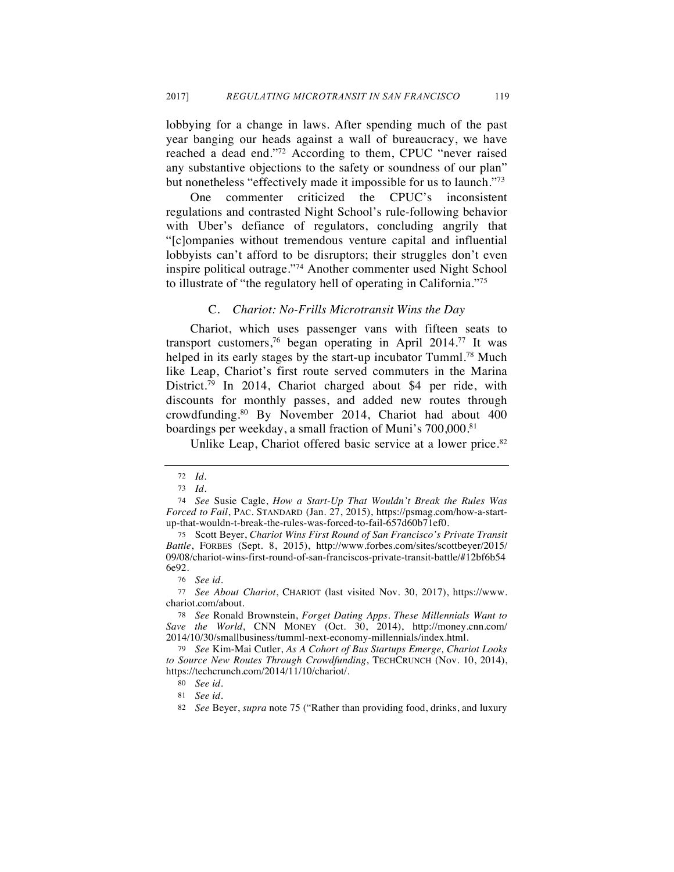lobbying for a change in laws. After spending much of the past year banging our heads against a wall of bureaucracy, we have reached a dead end."72 According to them, CPUC "never raised any substantive objections to the safety or soundness of our plan" but nonetheless "effectively made it impossible for us to launch."73

One commenter criticized the CPUC's inconsistent regulations and contrasted Night School's rule-following behavior with Uber's defiance of regulators, concluding angrily that "[c]ompanies without tremendous venture capital and influential lobbyists can't afford to be disruptors; their struggles don't even inspire political outrage."74 Another commenter used Night School to illustrate of "the regulatory hell of operating in California."75

#### C. *Chariot: No-Frills Microtransit Wins the Day*

Chariot, which uses passenger vans with fifteen seats to transport customers,76 began operating in April 2014.77 It was helped in its early stages by the start-up incubator Tumml.<sup>78</sup> Much like Leap, Chariot's first route served commuters in the Marina District.79 In 2014, Chariot charged about \$4 per ride, with discounts for monthly passes, and added new routes through crowdfunding.80 By November 2014, Chariot had about 400 boardings per weekday, a small fraction of Muni's 700,000.81

Unlike Leap, Chariot offered basic service at a lower price.<sup>82</sup>

<sup>72</sup> *Id.*

<sup>73</sup> *Id.*

<sup>74</sup> *See* Susie Cagle, *How a Start-Up That Wouldn't Break the Rules Was Forced to Fail*, PAC. STANDARD (Jan. 27, 2015), https://psmag.com/how-a-startup-that-wouldn-t-break-the-rules-was-forced-to-fail-657d60b71ef0.

<sup>75</sup> Scott Beyer, *Chariot Wins First Round of San Francisco's Private Transit Battle*, FORBES (Sept. 8, 2015), http://www.forbes.com/sites/scottbeyer/2015/ 09/08/chariot-wins-first-round-of-san-franciscos-private-transit-battle/#12bf6b54 6e92.

<sup>76</sup> *See id*.

<sup>77</sup> *See About Chariot*, CHARIOT (last visited Nov. 30, 2017), https://www. chariot.com/about.

<sup>78</sup> *See* Ronald Brownstein, *Forget Dating Apps. These Millennials Want to Save the World*, CNN MONEY (Oct. 30, 2014), http://money.cnn.com/ 2014/10/30/smallbusiness/tumml-next-economy-millennials/index.html.

<sup>79</sup> *See* Kim-Mai Cutler, *As A Cohort of Bus Startups Emerge, Chariot Looks to Source New Routes Through Crowdfunding*, TECHCRUNCH (Nov. 10, 2014), https://techcrunch.com/2014/11/10/chariot/.

<sup>80</sup> *See id*.

<sup>81</sup> *See id.*

<sup>82</sup> *See* Beyer, *supra* note 75 ("Rather than providing food, drinks, and luxury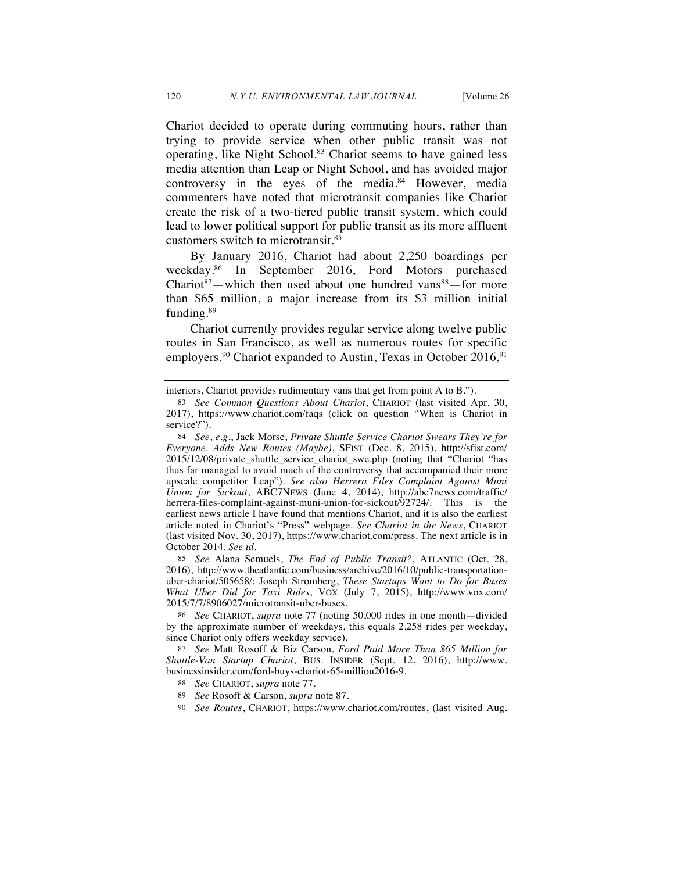Chariot decided to operate during commuting hours, rather than trying to provide service when other public transit was not operating, like Night School.83 Chariot seems to have gained less media attention than Leap or Night School, and has avoided major controversy in the eyes of the media. $84$  However, media commenters have noted that microtransit companies like Chariot create the risk of a two-tiered public transit system, which could lead to lower political support for public transit as its more affluent customers switch to microtransit.85

By January 2016, Chariot had about 2,250 boardings per weekday.86 In September 2016, Ford Motors purchased Chariot $87$ —which then used about one hundred vans $88$ —for more than \$65 million, a major increase from its \$3 million initial funding.<sup>89</sup>

Chariot currently provides regular service along twelve public routes in San Francisco, as well as numerous routes for specific employers.<sup>90</sup> Chariot expanded to Austin, Texas in October 2016,<sup>91</sup>

85 *See* Alana Semuels, *The End of Public Transit?*, ATLANTIC (Oct. 28, 2016), http://www.theatlantic.com/business/archive/2016/10/public-transportationuber-chariot/505658/; Joseph Stromberg, *These Startups Want to Do for Buses What Uber Did for Taxi Rides*, VOX (July 7, 2015), http://www.vox.com/ 2015/7/7/8906027/microtransit-uber-buses.

86 *See* CHARIOT, *supra* note 77 (noting 50,000 rides in one month—divided by the approximate number of weekdays, this equals 2,258 rides per weekday, since Chariot only offers weekday service).

87 *See* Matt Rosoff & Biz Carson, *Ford Paid More Than \$65 Million for Shuttle-Van Startup Chariot*, BUS. INSIDER (Sept. 12, 2016), http://www. businessinsider.com/ford-buys-chariot-65-million2016-9.

- 88 *See* CHARIOT, *supra* note 77.
- 89 *See* Rosoff & Carson, *supra* note 87.
- 90 *See Routes*, CHARIOT, https://www.chariot.com/routes, (last visited Aug.

interiors, Chariot provides rudimentary vans that get from point A to B.").

<sup>83</sup> *See Common Questions About Chariot*, CHARIOT (last visited Apr. 30, 2017), https://www.chariot.com/faqs (click on question "When is Chariot in service?").

<sup>84</sup> *See*, *e.g.*, Jack Morse, *Private Shuttle Service Chariot Swears They're for Everyone, Adds New Routes (Maybe)*, SFIST (Dec. 8, 2015), http://sfist.com/ 2015/12/08/private\_shuttle\_service\_chariot\_swe.php (noting that "Chariot "has thus far managed to avoid much of the controversy that accompanied their more upscale competitor Leap"). *See also Herrera Files Complaint Against Muni Union for Sickout*, ABC7NEWS (June 4, 2014), http://abc7news.com/traffic/ herrera-files-complaint-against-muni-union-for-sickout/92724/. This is the earliest news article I have found that mentions Chariot, and it is also the earliest article noted in Chariot's "Press" webpage. *See Chariot in the News*, CHARIOT (last visited Nov. 30, 2017), https://www.chariot.com/press. The next article is in October 2014. *See id.*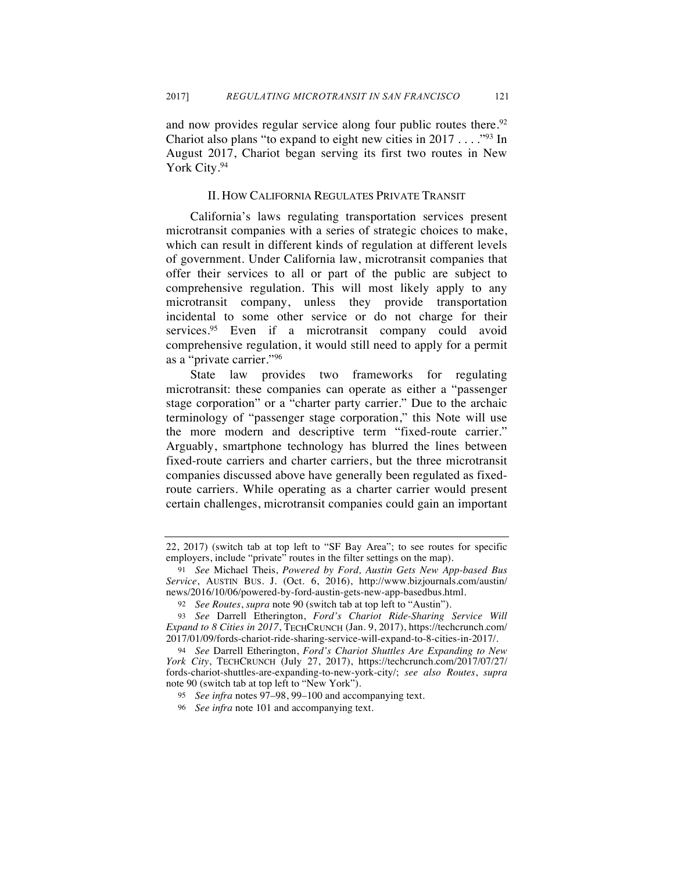and now provides regular service along four public routes there.<sup>92</sup> Chariot also plans "to expand to eight new cities in  $2017...$ "<sup>93</sup> In August 2017, Chariot began serving its first two routes in New York City.<sup>94</sup>

#### II. HOW CALIFORNIA REGULATES PRIVATE TRANSIT

California's laws regulating transportation services present microtransit companies with a series of strategic choices to make, which can result in different kinds of regulation at different levels of government. Under California law, microtransit companies that offer their services to all or part of the public are subject to comprehensive regulation. This will most likely apply to any microtransit company, unless they provide transportation incidental to some other service or do not charge for their services.<sup>95</sup> Even if a microtransit company could avoid comprehensive regulation, it would still need to apply for a permit as a "private carrier."96

State law provides two frameworks for regulating microtransit: these companies can operate as either a "passenger stage corporation" or a "charter party carrier." Due to the archaic terminology of "passenger stage corporation," this Note will use the more modern and descriptive term "fixed-route carrier." Arguably, smartphone technology has blurred the lines between fixed-route carriers and charter carriers, but the three microtransit companies discussed above have generally been regulated as fixedroute carriers. While operating as a charter carrier would present certain challenges, microtransit companies could gain an important

<sup>22, 2017) (</sup>switch tab at top left to "SF Bay Area"; to see routes for specific employers, include "private" routes in the filter settings on the map).

<sup>91</sup> *See* Michael Theis, *Powered by Ford, Austin Gets New App-based Bus Service*, AUSTIN BUS. J. (Oct. 6, 2016), http://www.bizjournals.com/austin/ news/2016/10/06/powered-by-ford-austin-gets-new-app-basedbus.html.

<sup>92</sup> *See Routes*, *supra* note 90 (switch tab at top left to "Austin").

<sup>93</sup> *See* Darrell Etherington, *Ford's Chariot Ride-Sharing Service Will Expand to 8 Cities in 2017*, TECHCRUNCH (Jan. 9, 2017), https://techcrunch.com/ 2017/01/09/fords-chariot-ride-sharing-service-will-expand-to-8-cities-in-2017/.

<sup>94</sup> *See* Darrell Etherington, *Ford's Chariot Shuttles Are Expanding to New York City*, TECHCRUNCH (July 27, 2017), https://techcrunch.com/2017/07/27/ fords-chariot-shuttles-are-expanding-to-new-york-city/; *see also Routes*, *supra*  note 90 (switch tab at top left to "New York").

<sup>95</sup> *See infra* notes 97–98, 99–100 and accompanying text.

<sup>96</sup> *See infra* note 101 and accompanying text.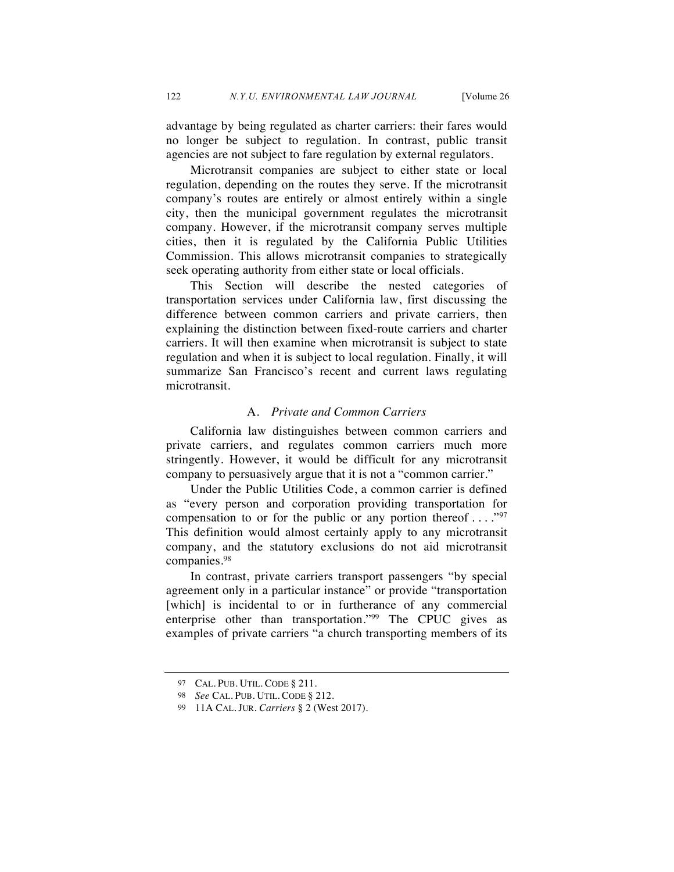advantage by being regulated as charter carriers: their fares would no longer be subject to regulation. In contrast, public transit agencies are not subject to fare regulation by external regulators.

Microtransit companies are subject to either state or local regulation, depending on the routes they serve. If the microtransit company's routes are entirely or almost entirely within a single city, then the municipal government regulates the microtransit company. However, if the microtransit company serves multiple cities, then it is regulated by the California Public Utilities Commission. This allows microtransit companies to strategically seek operating authority from either state or local officials.

This Section will describe the nested categories of transportation services under California law, first discussing the difference between common carriers and private carriers, then explaining the distinction between fixed-route carriers and charter carriers. It will then examine when microtransit is subject to state regulation and when it is subject to local regulation. Finally, it will summarize San Francisco's recent and current laws regulating microtransit.

# A. *Private and Common Carriers*

California law distinguishes between common carriers and private carriers, and regulates common carriers much more stringently. However, it would be difficult for any microtransit company to persuasively argue that it is not a "common carrier."

Under the Public Utilities Code, a common carrier is defined as "every person and corporation providing transportation for compensation to or for the public or any portion thereof  $\dots$ ."<sup>97</sup> This definition would almost certainly apply to any microtransit company, and the statutory exclusions do not aid microtransit companies.98

In contrast, private carriers transport passengers "by special agreement only in a particular instance" or provide "transportation [which] is incidental to or in furtherance of any commercial enterprise other than transportation."99 The CPUC gives as examples of private carriers "a church transporting members of its

<sup>97</sup> CAL. PUB. UTIL. CODE § 211.

<sup>98</sup> *See* CAL. PUB. UTIL. CODE § 212.

<sup>99</sup> 11A CAL. JUR. *Carriers* § 2 (West 2017).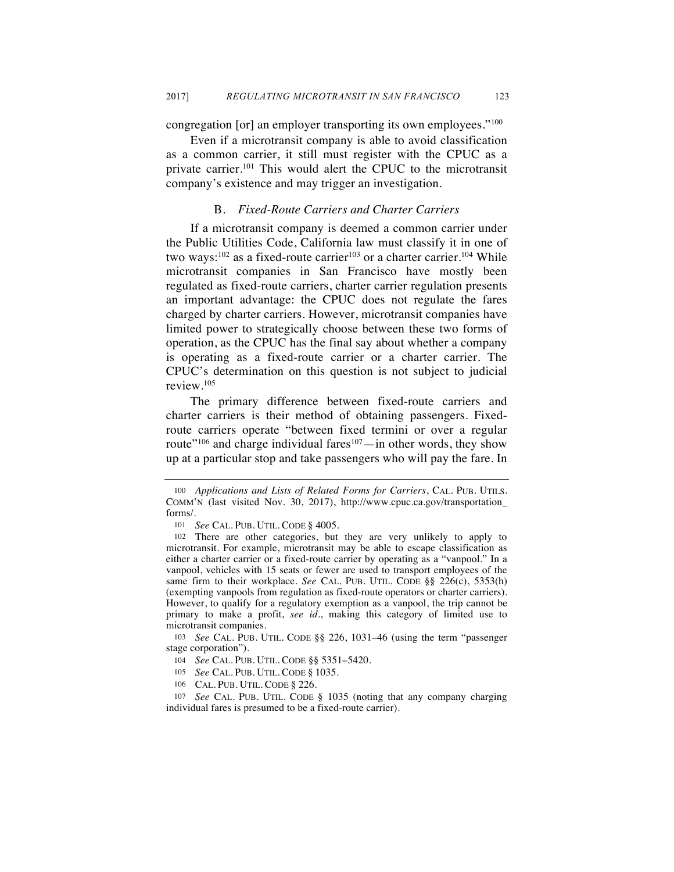congregation [or] an employer transporting its own employees."100

Even if a microtransit company is able to avoid classification as a common carrier, it still must register with the CPUC as a private carrier.101 This would alert the CPUC to the microtransit company's existence and may trigger an investigation.

# B. *Fixed-Route Carriers and Charter Carriers*

If a microtransit company is deemed a common carrier under the Public Utilities Code, California law must classify it in one of two ways:<sup>102</sup> as a fixed-route carrier<sup>103</sup> or a charter carrier.<sup>104</sup> While microtransit companies in San Francisco have mostly been regulated as fixed-route carriers, charter carrier regulation presents an important advantage: the CPUC does not regulate the fares charged by charter carriers. However, microtransit companies have limited power to strategically choose between these two forms of operation, as the CPUC has the final say about whether a company is operating as a fixed-route carrier or a charter carrier. The CPUC's determination on this question is not subject to judicial review.105

The primary difference between fixed-route carriers and charter carriers is their method of obtaining passengers. Fixedroute carriers operate "between fixed termini or over a regular route"<sup>106</sup> and charge individual fares<sup>107</sup>—in other words, they show up at a particular stop and take passengers who will pay the fare. In

103 *See* CAL. PUB. UTIL. CODE §§ 226, 1031–46 (using the term "passenger stage corporation").

107 *See* CAL. PUB. UTIL. CODE § 1035 (noting that any company charging individual fares is presumed to be a fixed-route carrier).

<sup>100</sup> *Applications and Lists of Related Forms for Carriers*, CAL. PUB. UTILS. COMM'N (last visited Nov. 30, 2017), http://www.cpuc.ca.gov/transportation\_ forms/.

<sup>101</sup> *See* CAL. PUB. UTIL. CODE § 4005.

<sup>102</sup> There are other categories, but they are very unlikely to apply to microtransit. For example, microtransit may be able to escape classification as either a charter carrier or a fixed-route carrier by operating as a "vanpool." In a vanpool, vehicles with 15 seats or fewer are used to transport employees of the same firm to their workplace. *See* CAL. PUB. UTIL. CODE §§ 226(c), 5353(h) (exempting vanpools from regulation as fixed-route operators or charter carriers). However, to qualify for a regulatory exemption as a vanpool, the trip cannot be primary to make a profit, *see id.*, making this category of limited use to microtransit companies.

<sup>104</sup> *See* CAL. PUB. UTIL. CODE §§ 5351–5420.

<sup>105</sup> *See* CAL. PUB. UTIL. CODE § 1035.

<sup>106</sup> CAL. PUB. UTIL. CODE § 226.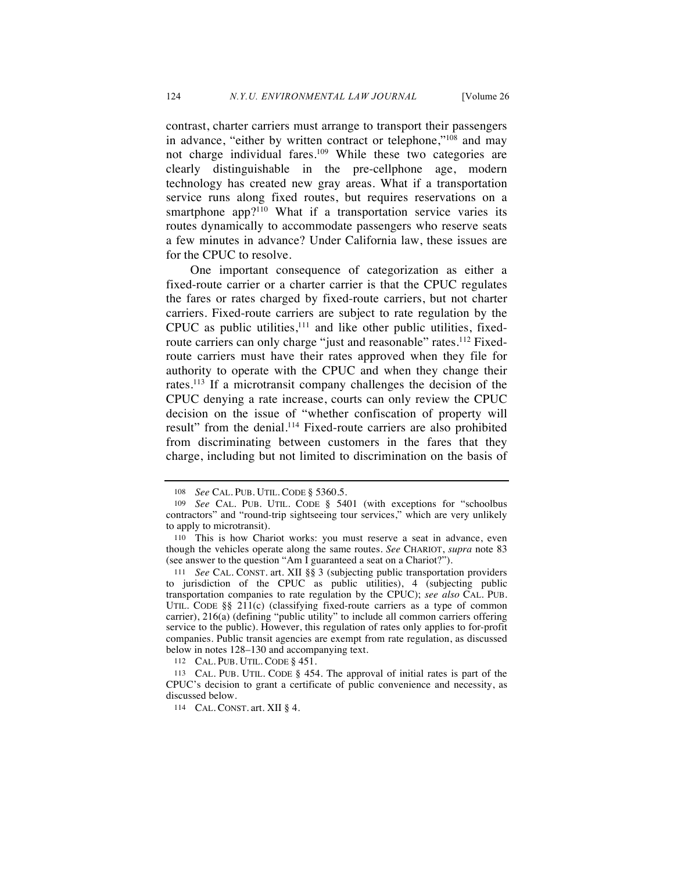contrast, charter carriers must arrange to transport their passengers in advance, "either by written contract or telephone,"108 and may not charge individual fares.<sup>109</sup> While these two categories are clearly distinguishable in the pre-cellphone age, modern technology has created new gray areas. What if a transportation service runs along fixed routes, but requires reservations on a smartphone app?<sup>110</sup> What if a transportation service varies its routes dynamically to accommodate passengers who reserve seats a few minutes in advance? Under California law, these issues are for the CPUC to resolve.

One important consequence of categorization as either a fixed-route carrier or a charter carrier is that the CPUC regulates the fares or rates charged by fixed-route carriers, but not charter carriers. Fixed-route carriers are subject to rate regulation by the CPUC as public utilities, $111$  and like other public utilities, fixedroute carriers can only charge "just and reasonable" rates.<sup>112</sup> Fixedroute carriers must have their rates approved when they file for authority to operate with the CPUC and when they change their rates.113 If a microtransit company challenges the decision of the CPUC denying a rate increase, courts can only review the CPUC decision on the issue of "whether confiscation of property will result" from the denial.<sup>114</sup> Fixed-route carriers are also prohibited from discriminating between customers in the fares that they charge, including but not limited to discrimination on the basis of

112 CAL. PUB. UTIL. CODE § 451.

<sup>108</sup> *See* CAL. PUB. UTIL. CODE § 5360.5.

<sup>109</sup> *See* CAL. PUB. UTIL. CODE § 5401 (with exceptions for "schoolbus contractors" and "round-trip sightseeing tour services," which are very unlikely to apply to microtransit).

<sup>110</sup> This is how Chariot works: you must reserve a seat in advance, even though the vehicles operate along the same routes. *See* CHARIOT, *supra* note 83 (see answer to the question "Am I guaranteed a seat on a Chariot?").

<sup>111</sup> *See* CAL. CONST. art. XII §§ 3 (subjecting public transportation providers to jurisdiction of the CPUC as public utilities), 4 (subjecting public transportation companies to rate regulation by the CPUC); *see also* CAL. PUB. UTIL. CODE §§ 211(c) (classifying fixed-route carriers as a type of common carrier), 216(a) (defining "public utility" to include all common carriers offering service to the public). However, this regulation of rates only applies to for-profit companies. Public transit agencies are exempt from rate regulation, as discussed below in notes 128–130 and accompanying text.

<sup>113</sup> CAL. PUB. UTIL. CODE § 454. The approval of initial rates is part of the CPUC's decision to grant a certificate of public convenience and necessity, as discussed below.

<sup>114</sup> CAL. CONST. art. XII § 4.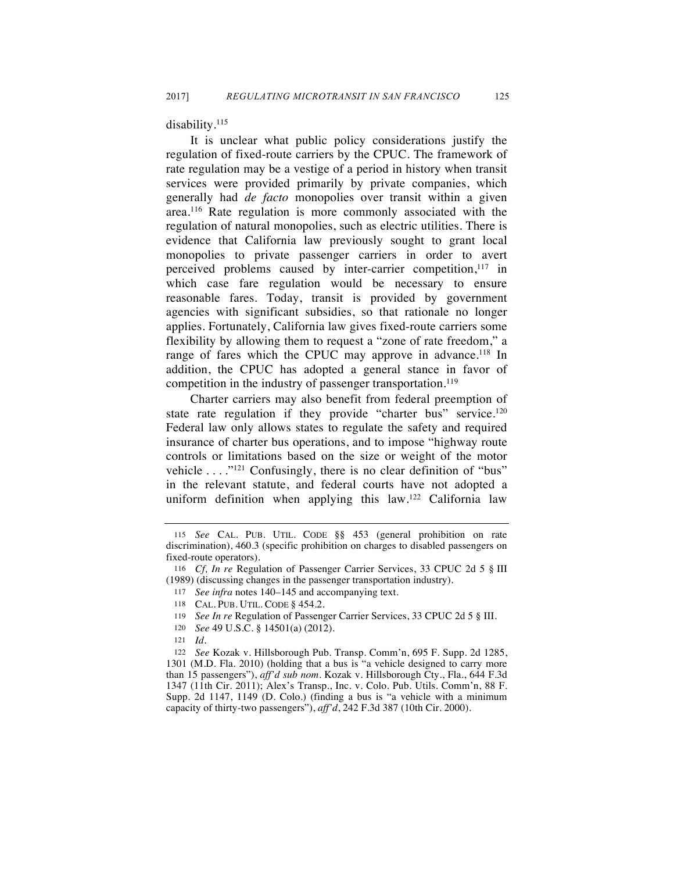disability.<sup>115</sup>

It is unclear what public policy considerations justify the regulation of fixed-route carriers by the CPUC. The framework of rate regulation may be a vestige of a period in history when transit services were provided primarily by private companies, which generally had *de facto* monopolies over transit within a given area.116 Rate regulation is more commonly associated with the regulation of natural monopolies, such as electric utilities. There is evidence that California law previously sought to grant local monopolies to private passenger carriers in order to avert perceived problems caused by inter-carrier competition,<sup>117</sup> in which case fare regulation would be necessary to ensure reasonable fares. Today, transit is provided by government agencies with significant subsidies, so that rationale no longer applies. Fortunately, California law gives fixed-route carriers some flexibility by allowing them to request a "zone of rate freedom," a range of fares which the CPUC may approve in advance.<sup>118</sup> In addition, the CPUC has adopted a general stance in favor of competition in the industry of passenger transportation.<sup>119</sup>

Charter carriers may also benefit from federal preemption of state rate regulation if they provide "charter bus" service.<sup>120</sup> Federal law only allows states to regulate the safety and required insurance of charter bus operations, and to impose "highway route controls or limitations based on the size or weight of the motor vehicle . . . . .<sup>"121</sup> Confusingly, there is no clear definition of "bus" in the relevant statute, and federal courts have not adopted a uniform definition when applying this law.<sup>122</sup> California law

<sup>115</sup> *See* CAL. PUB. UTIL. CODE §§ 453 (general prohibition on rate discrimination), 460.3 (specific prohibition on charges to disabled passengers on fixed-route operators).

<sup>116</sup> *Cf, In re* Regulation of Passenger Carrier Services, 33 CPUC 2d 5 § III (1989) (discussing changes in the passenger transportation industry).

<sup>117</sup> *See infra* notes 140–145 and accompanying text.

<sup>118</sup> CAL. PUB. UTIL. CODE § 454.2.

<sup>119</sup> *See In re* Regulation of Passenger Carrier Services, 33 CPUC 2d 5 § III.

<sup>120</sup> *See* 49 U.S.C. § 14501(a) (2012).

<sup>121</sup> *Id.*

<sup>122</sup> *See* Kozak v. Hillsborough Pub. Transp. Comm'n, 695 F. Supp. 2d 1285, 1301 (M.D. Fla. 2010) (holding that a bus is "a vehicle designed to carry more than 15 passengers"), *aff'd sub nom*. Kozak v. Hillsborough Cty., Fla., 644 F.3d 1347 (11th Cir. 2011); Alex's Transp., Inc. v. Colo. Pub. Utils. Comm'n, 88 F. Supp. 2d 1147, 1149 (D. Colo.) (finding a bus is "a vehicle with a minimum capacity of thirty-two passengers"), *aff'd*, 242 F.3d 387 (10th Cir. 2000).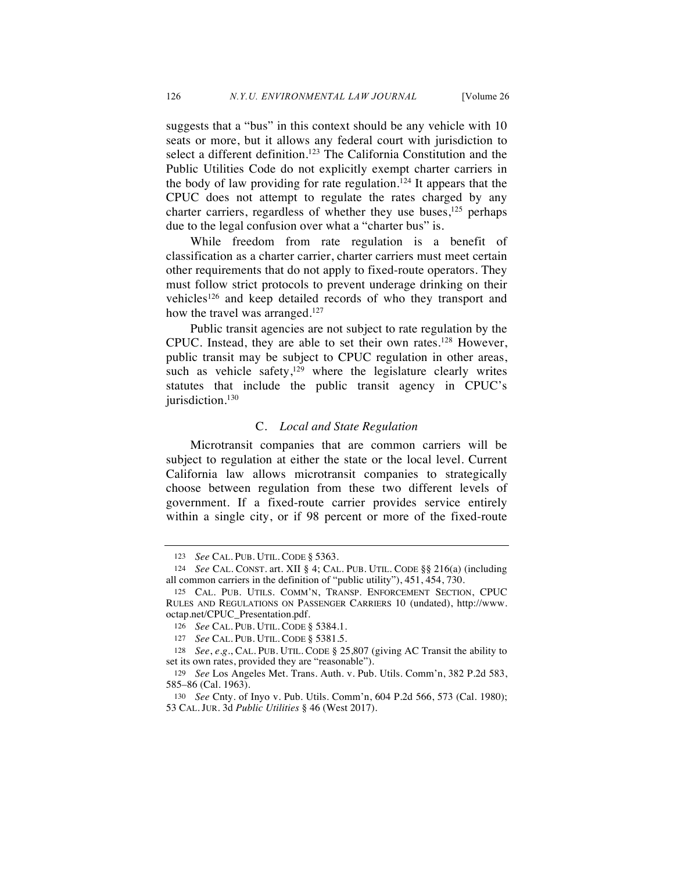suggests that a "bus" in this context should be any vehicle with 10 seats or more, but it allows any federal court with jurisdiction to select a different definition.<sup>123</sup> The California Constitution and the Public Utilities Code do not explicitly exempt charter carriers in the body of law providing for rate regulation.<sup>124</sup> It appears that the CPUC does not attempt to regulate the rates charged by any charter carriers, regardless of whether they use buses, $125$  perhaps due to the legal confusion over what a "charter bus" is.

While freedom from rate regulation is a benefit of classification as a charter carrier, charter carriers must meet certain other requirements that do not apply to fixed-route operators. They must follow strict protocols to prevent underage drinking on their vehicles<sup>126</sup> and keep detailed records of who they transport and how the travel was arranged.<sup>127</sup>

Public transit agencies are not subject to rate regulation by the CPUC. Instead, they are able to set their own rates.128 However, public transit may be subject to CPUC regulation in other areas, such as vehicle safety,<sup>129</sup> where the legislature clearly writes statutes that include the public transit agency in CPUC's jurisdiction.<sup>130</sup>

#### C. *Local and State Regulation*

Microtransit companies that are common carriers will be subject to regulation at either the state or the local level. Current California law allows microtransit companies to strategically choose between regulation from these two different levels of government. If a fixed-route carrier provides service entirely within a single city, or if 98 percent or more of the fixed-route

<sup>123</sup> *See* CAL. PUB. UTIL. CODE § 5363.

<sup>124</sup> *See* CAL. CONST. art. XII § 4; CAL. PUB. UTIL. CODE §§ 216(a) (including all common carriers in the definition of "public utility"), 451, 454, 730.

<sup>125</sup> CAL. PUB. UTILS. COMM'N, TRANSP. ENFORCEMENT SECTION, CPUC RULES AND REGULATIONS ON PASSENGER CARRIERS 10 (undated), http://www. octap.net/CPUC\_Presentation.pdf.

<sup>126</sup> *See* CAL. PUB. UTIL. CODE § 5384.1.

<sup>127</sup> *See* CAL. PUB. UTIL. CODE § 5381.5.

<sup>128</sup> *See*, *e.g.*, CAL. PUB. UTIL. CODE § 25,807 (giving AC Transit the ability to set its own rates, provided they are "reasonable").

<sup>129</sup> *See* Los Angeles Met. Trans. Auth. v. Pub. Utils. Comm'n, 382 P.2d 583, 585–86 (Cal. 1963).

<sup>130</sup> *See* Cnty. of Inyo v. Pub. Utils. Comm'n, 604 P.2d 566, 573 (Cal. 1980); 53 CAL. JUR. 3d *Public Utilities* § 46 (West 2017).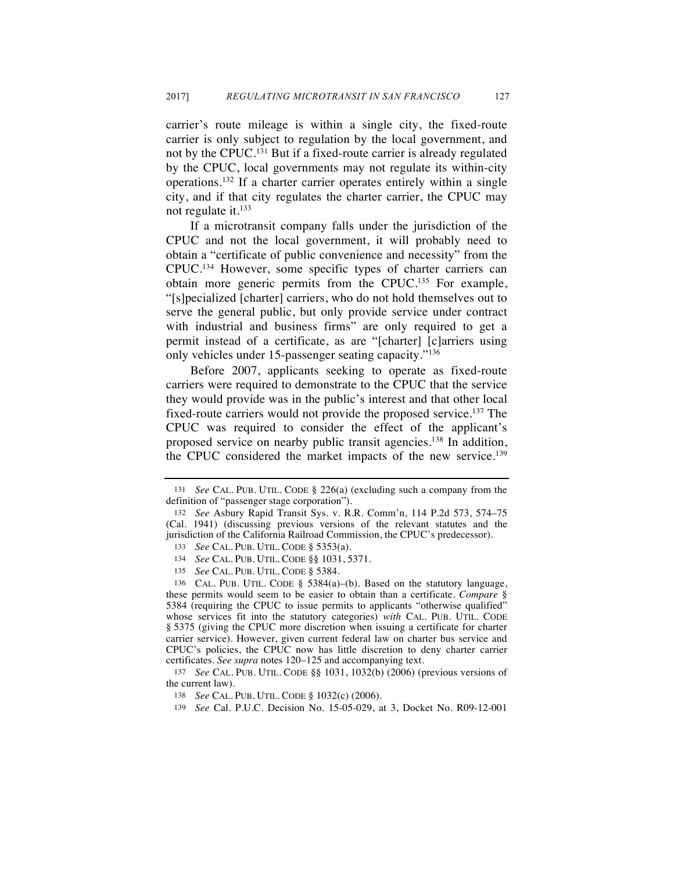carrier's route mileage is within a single city, the fixed-route carrier is only subject to regulation by the local government, and not by the CPUC.131 But if a fixed-route carrier is already regulated by the CPUC, local governments may not regulate its within-city operations.132 If a charter carrier operates entirely within a single city, and if that city regulates the charter carrier, the CPUC may not regulate it.133

If a microtransit company falls under the jurisdiction of the CPUC and not the local government, it will probably need to obtain a "certificate of public convenience and necessity" from the CPUC.134 However, some specific types of charter carriers can obtain more generic permits from the CPUC.135 For example, "[s]pecialized [charter] carriers, who do not hold themselves out to serve the general public, but only provide service under contract with industrial and business firms" are only required to get a permit instead of a certificate, as are "[charter] [c]arriers using only vehicles under 15-passenger seating capacity."136

Before 2007, applicants seeking to operate as fixed-route carriers were required to demonstrate to the CPUC that the service they would provide was in the public's interest and that other local fixed-route carriers would not provide the proposed service.137 The CPUC was required to consider the effect of the applicant's proposed service on nearby public transit agencies.<sup>138</sup> In addition, the CPUC considered the market impacts of the new service.<sup>139</sup>

<sup>131</sup> *See* CAL. PUB. UTIL. CODE § 226(a) (excluding such a company from the definition of "passenger stage corporation").

<sup>132</sup> *See* Asbury Rapid Transit Sys. v. R.R. Comm'n, 114 P.2d 573, 574–75 (Cal. 1941) (discussing previous versions of the relevant statutes and the jurisdiction of the California Railroad Commission, the CPUC's predecessor).

<sup>133</sup> *See* CAL. PUB. UTIL. CODE § 5353(a).

<sup>134</sup> *See* CAL. PUB. UTIL. CODE §§ 1031, 5371.

<sup>135</sup> *See* CAL. PUB. UTIL. CODE § 5384.

<sup>136</sup> CAL. PUB. UTIL. CODE § 5384(a)–(b). Based on the statutory language, these permits would seem to be easier to obtain than a certificate. *Compare* § 5384 (requiring the CPUC to issue permits to applicants "otherwise qualified" whose services fit into the statutory categories) *with* CAL. PUB. UTIL. CODE § 5375 (giving the CPUC more discretion when issuing a certificate for charter carrier service). However, given current federal law on charter bus service and CPUC's policies, the CPUC now has little discretion to deny charter carrier certificates. *See supra* notes 120–125 and accompanying text.

<sup>137</sup> *See* CAL. PUB. UTIL. CODE §§ 1031, 1032(b) (2006) (previous versions of the current law).

<sup>138</sup> *See* CAL. PUB. UTIL. CODE § 1032(c) (2006).

<sup>139</sup> *See* Cal. P.U.C. Decision No. 15-05-029, at 3, Docket No. R09-12-001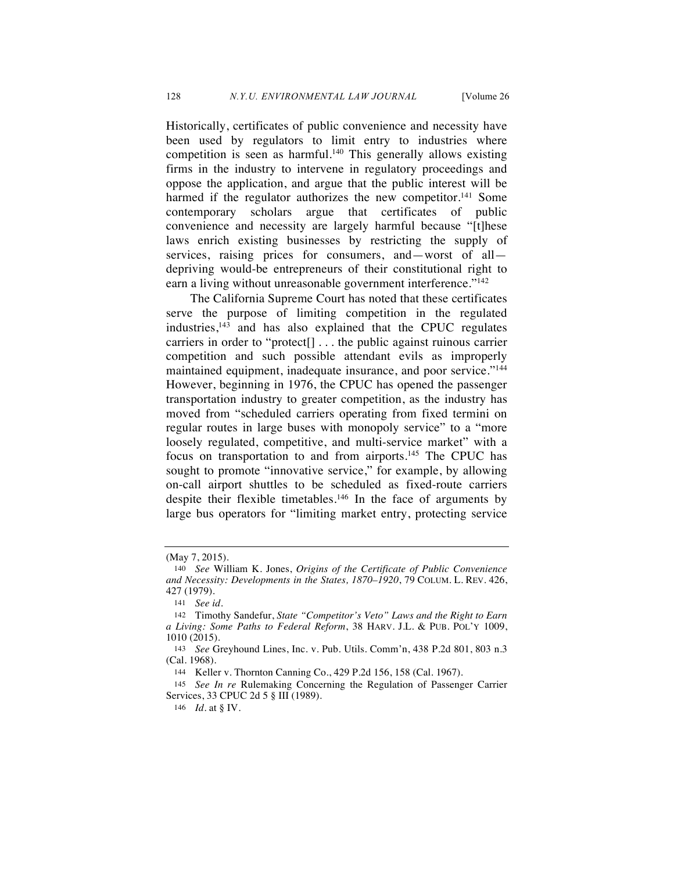Historically, certificates of public convenience and necessity have been used by regulators to limit entry to industries where competition is seen as harmful.<sup>140</sup> This generally allows existing firms in the industry to intervene in regulatory proceedings and oppose the application, and argue that the public interest will be harmed if the regulator authorizes the new competitor.<sup>141</sup> Some contemporary scholars argue that certificates of public convenience and necessity are largely harmful because "[t]hese laws enrich existing businesses by restricting the supply of services, raising prices for consumers, and—worst of all depriving would-be entrepreneurs of their constitutional right to earn a living without unreasonable government interference."<sup>142</sup>

The California Supreme Court has noted that these certificates serve the purpose of limiting competition in the regulated  $industries$ ,<sup>143</sup> and has also explained that the CPUC regulates carriers in order to "protect[] . . . the public against ruinous carrier competition and such possible attendant evils as improperly maintained equipment, inadequate insurance, and poor service."144 However, beginning in 1976, the CPUC has opened the passenger transportation industry to greater competition, as the industry has moved from "scheduled carriers operating from fixed termini on regular routes in large buses with monopoly service" to a "more loosely regulated, competitive, and multi-service market" with a focus on transportation to and from airports.<sup>145</sup> The CPUC has sought to promote "innovative service," for example, by allowing on-call airport shuttles to be scheduled as fixed-route carriers despite their flexible timetables.146 In the face of arguments by large bus operators for "limiting market entry, protecting service

<sup>(</sup>May 7, 2015).

<sup>140</sup> *See* William K. Jones, *Origins of the Certificate of Public Convenience and Necessity: Developments in the States, 1870–1920*, 79 COLUM. L. REV. 426, 427 (1979).

<sup>141</sup> *See id.*

<sup>142</sup> Timothy Sandefur, *State "Competitor's Veto" Laws and the Right to Earn a Living: Some Paths to Federal Reform*, 38 HARV. J.L. & PUB. POL'Y 1009, 1010 (2015).

<sup>143</sup> *See* Greyhound Lines, Inc. v. Pub. Utils. Comm'n, 438 P.2d 801, 803 n.3 (Cal. 1968).

<sup>144</sup> Keller v. Thornton Canning Co., 429 P.2d 156, 158 (Cal. 1967).

<sup>145</sup> *See In re* Rulemaking Concerning the Regulation of Passenger Carrier Services, 33 CPUC 2d 5 § III (1989).

<sup>146</sup> *Id.* at § IV.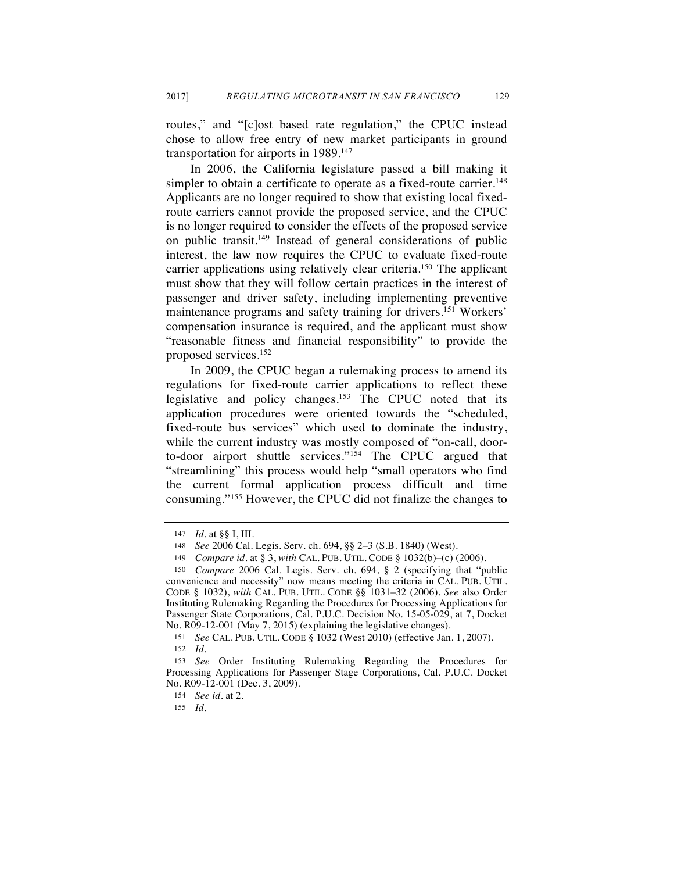routes," and "[c]ost based rate regulation," the CPUC instead chose to allow free entry of new market participants in ground transportation for airports in 1989.147

In 2006, the California legislature passed a bill making it simpler to obtain a certificate to operate as a fixed-route carrier.<sup>148</sup> Applicants are no longer required to show that existing local fixedroute carriers cannot provide the proposed service, and the CPUC is no longer required to consider the effects of the proposed service on public transit.149 Instead of general considerations of public interest, the law now requires the CPUC to evaluate fixed-route carrier applications using relatively clear criteria.<sup>150</sup> The applicant must show that they will follow certain practices in the interest of passenger and driver safety, including implementing preventive maintenance programs and safety training for drivers.<sup>151</sup> Workers' compensation insurance is required, and the applicant must show "reasonable fitness and financial responsibility" to provide the proposed services.152

In 2009, the CPUC began a rulemaking process to amend its regulations for fixed-route carrier applications to reflect these legislative and policy changes.153 The CPUC noted that its application procedures were oriented towards the "scheduled, fixed-route bus services" which used to dominate the industry, while the current industry was mostly composed of "on-call, doorto-door airport shuttle services."154 The CPUC argued that "streamlining" this process would help "small operators who find the current formal application process difficult and time consuming."155 However, the CPUC did not finalize the changes to

<sup>147</sup> *Id.* at §§ I, III.

<sup>148</sup> *See* 2006 Cal. Legis. Serv. ch. 694, §§ 2–3 (S.B. 1840) (West).

<sup>149</sup> *Compare id.* at § 3, *with* CAL. PUB. UTIL. CODE § 1032(b)–(c) (2006).

<sup>150</sup> *Compare* 2006 Cal. Legis. Serv. ch. 694, § 2 (specifying that "public convenience and necessity" now means meeting the criteria in CAL. PUB. UTIL. CODE § 1032), *with* CAL. PUB. UTIL. CODE §§ 1031–32 (2006). *See* also Order Instituting Rulemaking Regarding the Procedures for Processing Applications for Passenger State Corporations*,* Cal. P.U.C. Decision No. 15-05-029, at 7, Docket No. R09-12-001 (May 7, 2015) (explaining the legislative changes).

<sup>151</sup> *See* CAL. PUB. UTIL. CODE § 1032 (West 2010) (effective Jan. 1, 2007). 152 *Id.*

<sup>153</sup> *See* Order Instituting Rulemaking Regarding the Procedures for Processing Applications for Passenger Stage Corporations, Cal. P.U.C. Docket No. R09-12-001 (Dec. 3, 2009).

<sup>154</sup> *See id.* at 2.

<sup>155</sup> *Id.*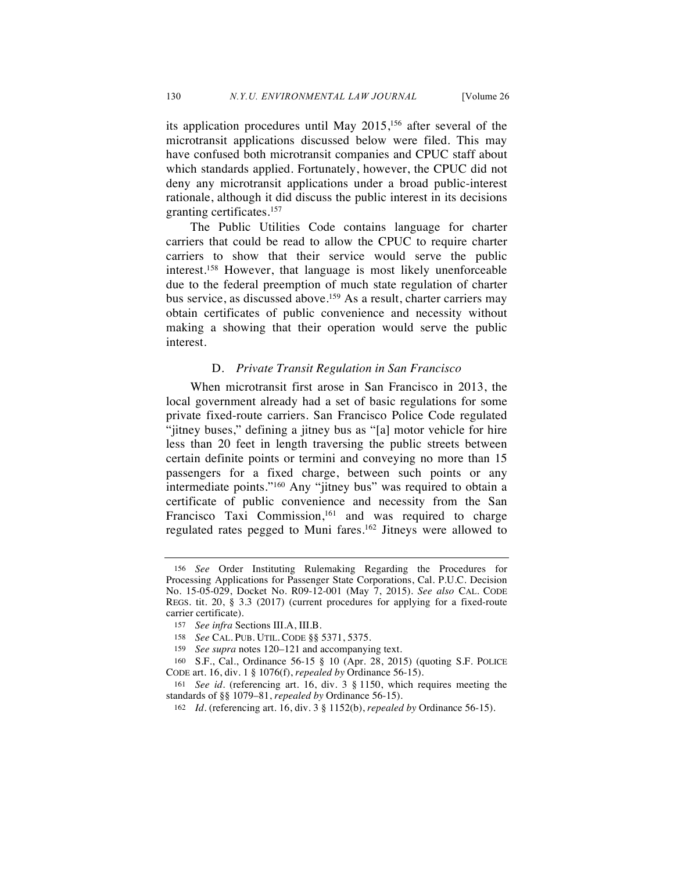its application procedures until May  $2015$ ,<sup>156</sup> after several of the microtransit applications discussed below were filed. This may have confused both microtransit companies and CPUC staff about which standards applied. Fortunately, however, the CPUC did not deny any microtransit applications under a broad public-interest rationale, although it did discuss the public interest in its decisions granting certificates.157

The Public Utilities Code contains language for charter carriers that could be read to allow the CPUC to require charter carriers to show that their service would serve the public interest.158 However, that language is most likely unenforceable due to the federal preemption of much state regulation of charter bus service, as discussed above.<sup>159</sup> As a result, charter carriers may obtain certificates of public convenience and necessity without making a showing that their operation would serve the public interest.

# D. *Private Transit Regulation in San Francisco*

When microtransit first arose in San Francisco in 2013, the local government already had a set of basic regulations for some private fixed-route carriers. San Francisco Police Code regulated "jitney buses," defining a jitney bus as "[a] motor vehicle for hire less than 20 feet in length traversing the public streets between certain definite points or termini and conveying no more than 15 passengers for a fixed charge, between such points or any intermediate points."160 Any "jitney bus" was required to obtain a certificate of public convenience and necessity from the San Francisco Taxi Commission, $161$  and was required to charge regulated rates pegged to Muni fares.<sup>162</sup> Jitneys were allowed to

<sup>156</sup> *See* Order Instituting Rulemaking Regarding the Procedures for Processing Applications for Passenger State Corporations, Cal. P.U.C. Decision No. 15-05-029, Docket No. R09-12-001 (May 7, 2015). *See also* CAL. CODE REGS. tit. 20, § 3.3 (2017) (current procedures for applying for a fixed-route carrier certificate).

<sup>157</sup> *See infra* Sections III.A, III.B.

<sup>158</sup> *See* CAL. PUB. UTIL. CODE §§ 5371, 5375.

<sup>159</sup> *See supra* notes 120–121 and accompanying text.

<sup>160</sup> S.F., Cal., Ordinance 56-15 § 10 (Apr. 28, 2015) (quoting S.F. POLICE CODE art. 16, div. 1 § 1076(f), *repealed by* Ordinance 56-15).

<sup>161</sup> *See id.* (referencing art. 16, div. 3 § 1150, which requires meeting the standards of §§ 1079–81, *repealed by* Ordinance 56-15).

<sup>162</sup> *Id.* (referencing art. 16, div. 3 § 1152(b), *repealed by* Ordinance 56-15).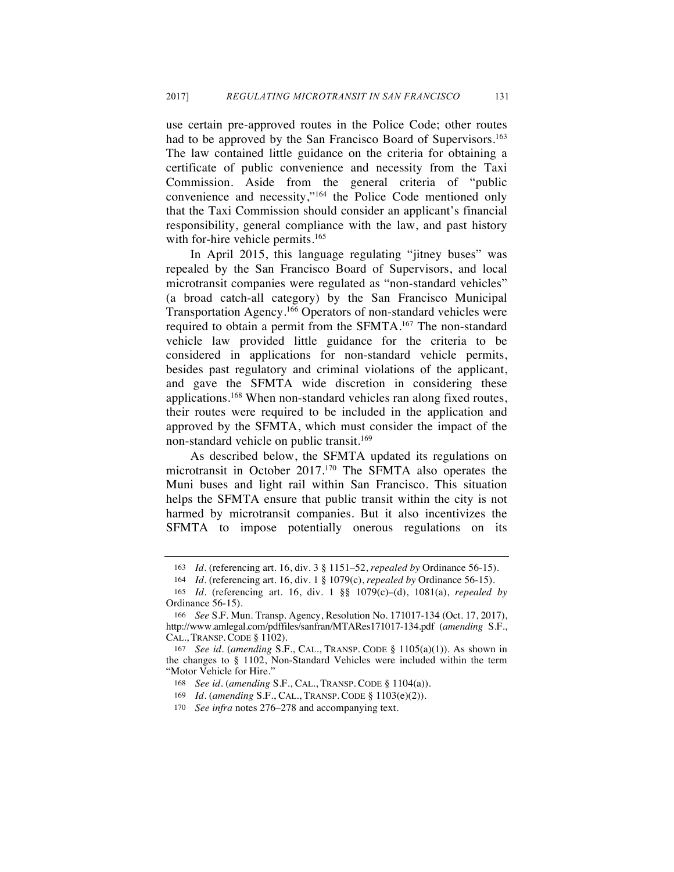use certain pre-approved routes in the Police Code; other routes had to be approved by the San Francisco Board of Supervisors.<sup>163</sup> The law contained little guidance on the criteria for obtaining a certificate of public convenience and necessity from the Taxi Commission. Aside from the general criteria of "public convenience and necessity,"164 the Police Code mentioned only that the Taxi Commission should consider an applicant's financial responsibility, general compliance with the law, and past history with for-hire vehicle permits.<sup>165</sup>

In April 2015, this language regulating "jitney buses" was repealed by the San Francisco Board of Supervisors, and local microtransit companies were regulated as "non-standard vehicles" (a broad catch-all category) by the San Francisco Municipal Transportation Agency.166 Operators of non-standard vehicles were required to obtain a permit from the SFMTA.<sup>167</sup> The non-standard vehicle law provided little guidance for the criteria to be considered in applications for non-standard vehicle permits, besides past regulatory and criminal violations of the applicant, and gave the SFMTA wide discretion in considering these applications.168 When non-standard vehicles ran along fixed routes, their routes were required to be included in the application and approved by the SFMTA, which must consider the impact of the non-standard vehicle on public transit.<sup>169</sup>

As described below, the SFMTA updated its regulations on microtransit in October 2017.170 The SFMTA also operates the Muni buses and light rail within San Francisco. This situation helps the SFMTA ensure that public transit within the city is not harmed by microtransit companies. But it also incentivizes the SFMTA to impose potentially onerous regulations on its

<sup>163</sup> *Id.* (referencing art. 16, div. 3 § 1151–52, *repealed by* Ordinance 56-15).

<sup>164</sup> *Id.* (referencing art. 16, div. 1 § 1079(c), *repealed by* Ordinance 56-15).

<sup>165</sup> *Id.* (referencing art. 16, div. 1 §§ 1079(c)–(d), 1081(a), *repealed by*  Ordinance 56-15).

<sup>166</sup> *See* S.F. Mun. Transp. Agency, Resolution No. 171017-134 (Oct. 17, 2017), http://www.amlegal.com/pdffiles/sanfran/MTARes171017-134.pdf (*amending* S.F., CAL., TRANSP. CODE § 1102).

<sup>167</sup> *See id.* (*amending* S.F., CAL., TRANSP. CODE § 1105(a)(1)). As shown in the changes to § 1102, Non-Standard Vehicles were included within the term "Motor Vehicle for Hire."

<sup>168</sup> *See id.* (*amending* S.F., CAL., TRANSP. CODE § 1104(a)).

<sup>169</sup> *Id.* (*amending* S.F., CAL., TRANSP. CODE § 1103(e)(2)).

<sup>170</sup> *See infra* notes 276–278 and accompanying text.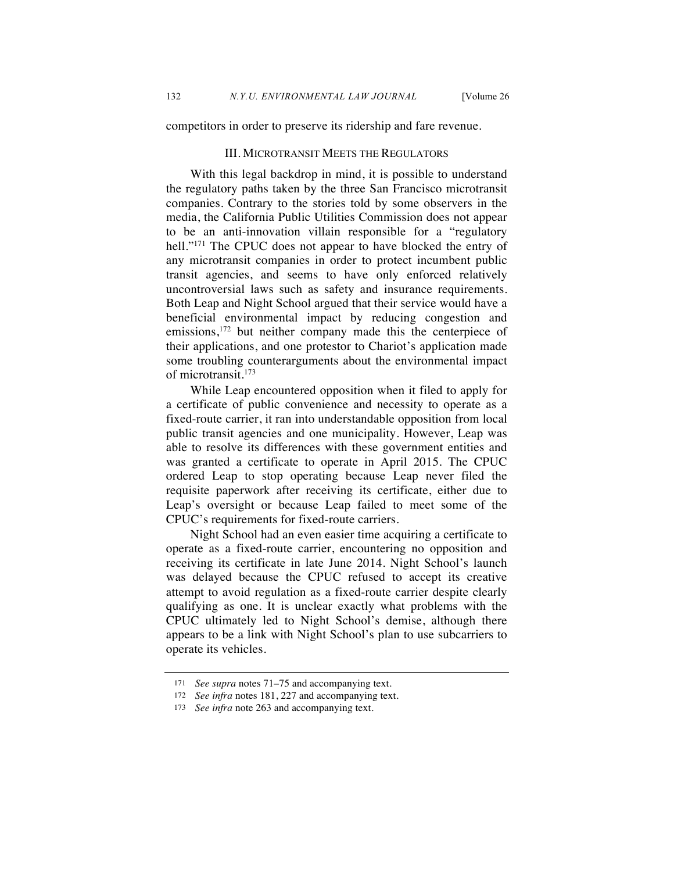competitors in order to preserve its ridership and fare revenue.

#### III. MICROTRANSIT MEETS THE REGULATORS

With this legal backdrop in mind, it is possible to understand the regulatory paths taken by the three San Francisco microtransit companies. Contrary to the stories told by some observers in the media, the California Public Utilities Commission does not appear to be an anti-innovation villain responsible for a "regulatory hell."<sup>171</sup> The CPUC does not appear to have blocked the entry of any microtransit companies in order to protect incumbent public transit agencies, and seems to have only enforced relatively uncontroversial laws such as safety and insurance requirements. Both Leap and Night School argued that their service would have a beneficial environmental impact by reducing congestion and emissions,<sup>172</sup> but neither company made this the centerpiece of their applications, and one protestor to Chariot's application made some troubling counterarguments about the environmental impact of microtransit.<sup>173</sup>

While Leap encountered opposition when it filed to apply for a certificate of public convenience and necessity to operate as a fixed-route carrier, it ran into understandable opposition from local public transit agencies and one municipality. However, Leap was able to resolve its differences with these government entities and was granted a certificate to operate in April 2015. The CPUC ordered Leap to stop operating because Leap never filed the requisite paperwork after receiving its certificate, either due to Leap's oversight or because Leap failed to meet some of the CPUC's requirements for fixed-route carriers.

Night School had an even easier time acquiring a certificate to operate as a fixed-route carrier, encountering no opposition and receiving its certificate in late June 2014. Night School's launch was delayed because the CPUC refused to accept its creative attempt to avoid regulation as a fixed-route carrier despite clearly qualifying as one. It is unclear exactly what problems with the CPUC ultimately led to Night School's demise, although there appears to be a link with Night School's plan to use subcarriers to operate its vehicles.

<sup>171</sup> *See supra* notes 71–75 and accompanying text.

<sup>172</sup> *See infra* notes 181, 227 and accompanying text.

<sup>173</sup> *See infra* note 263 and accompanying text.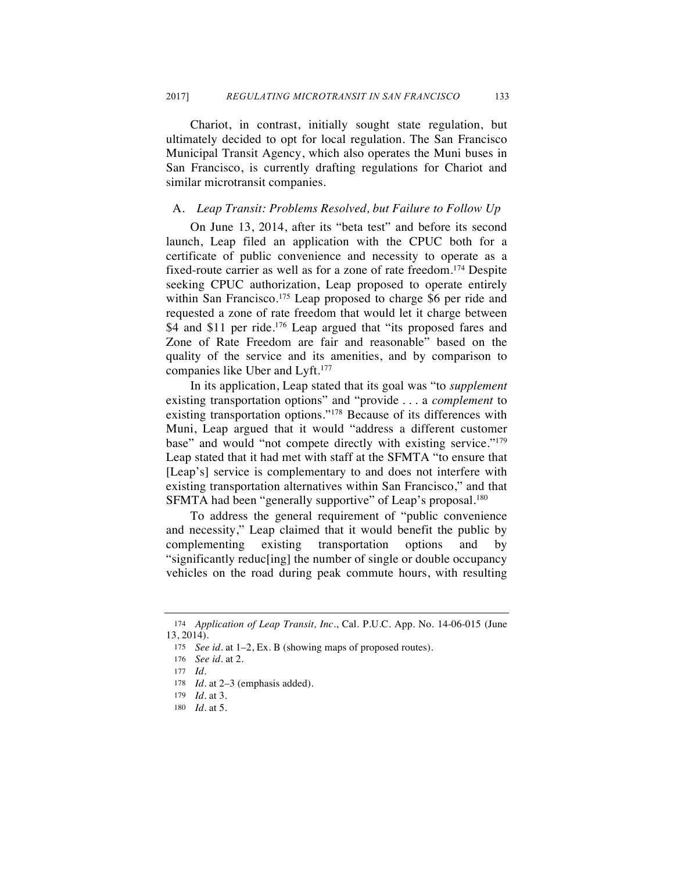Chariot, in contrast, initially sought state regulation, but ultimately decided to opt for local regulation. The San Francisco Municipal Transit Agency, which also operates the Muni buses in San Francisco, is currently drafting regulations for Chariot and similar microtransit companies.

#### A. *Leap Transit: Problems Resolved, but Failure to Follow Up*

On June 13, 2014, after its "beta test" and before its second launch, Leap filed an application with the CPUC both for a certificate of public convenience and necessity to operate as a fixed-route carrier as well as for a zone of rate freedom.174 Despite seeking CPUC authorization, Leap proposed to operate entirely within San Francisco.<sup>175</sup> Leap proposed to charge \$6 per ride and requested a zone of rate freedom that would let it charge between \$4 and \$11 per ride.<sup>176</sup> Leap argued that "its proposed fares and Zone of Rate Freedom are fair and reasonable" based on the quality of the service and its amenities, and by comparison to companies like Uber and Lyft.<sup>177</sup>

In its application, Leap stated that its goal was "to *supplement* existing transportation options" and "provide . . . a *complement* to existing transportation options."178 Because of its differences with Muni, Leap argued that it would "address a different customer base" and would "not compete directly with existing service."179 Leap stated that it had met with staff at the SFMTA "to ensure that [Leap's] service is complementary to and does not interfere with existing transportation alternatives within San Francisco," and that SFMTA had been "generally supportive" of Leap's proposal.<sup>180</sup>

To address the general requirement of "public convenience and necessity," Leap claimed that it would benefit the public by complementing existing transportation options and by "significantly reduc[ing] the number of single or double occupancy vehicles on the road during peak commute hours, with resulting

<sup>174</sup> *Application of Leap Transit, Inc*., Cal. P.U.C. App. No. 14-06-015 (June 13, 2014).

<sup>175</sup> *See id.* at 1–2, Ex. B (showing maps of proposed routes).

<sup>176</sup> *See id.* at 2.

<sup>177</sup> *Id.*

<sup>178</sup> *Id.* at 2–3 (emphasis added).

<sup>179</sup> *Id.* at 3.

<sup>180</sup> *Id.* at 5.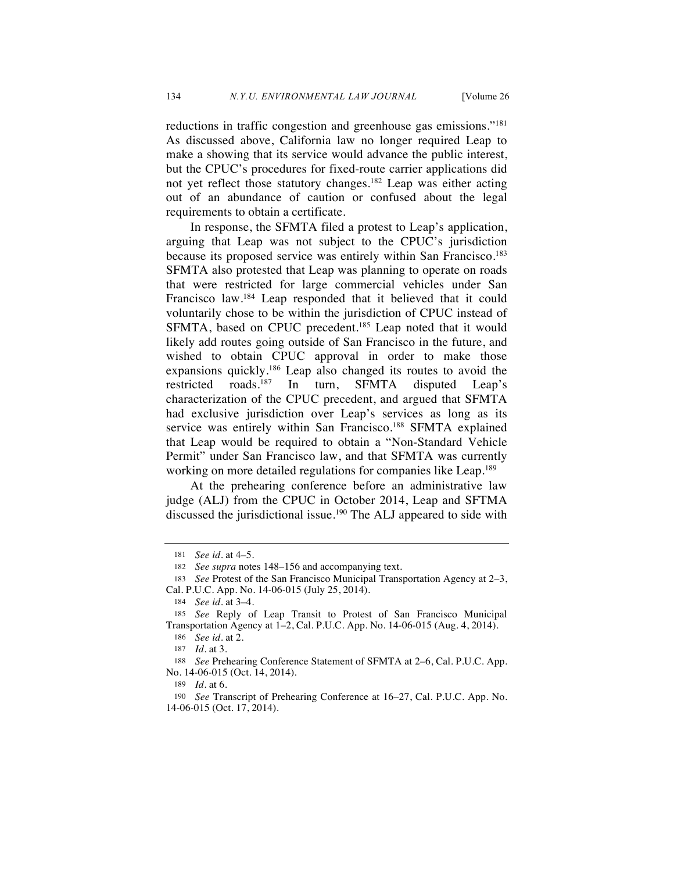reductions in traffic congestion and greenhouse gas emissions."181 As discussed above, California law no longer required Leap to make a showing that its service would advance the public interest, but the CPUC's procedures for fixed-route carrier applications did not yet reflect those statutory changes.<sup>182</sup> Leap was either acting out of an abundance of caution or confused about the legal requirements to obtain a certificate.

In response, the SFMTA filed a protest to Leap's application, arguing that Leap was not subject to the CPUC's jurisdiction because its proposed service was entirely within San Francisco.<sup>183</sup> SFMTA also protested that Leap was planning to operate on roads that were restricted for large commercial vehicles under San Francisco law.184 Leap responded that it believed that it could voluntarily chose to be within the jurisdiction of CPUC instead of SFMTA, based on CPUC precedent.<sup>185</sup> Leap noted that it would likely add routes going outside of San Francisco in the future, and wished to obtain CPUC approval in order to make those expansions quickly.186 Leap also changed its routes to avoid the restricted roads.187 In turn, SFMTA disputed Leap's characterization of the CPUC precedent, and argued that SFMTA had exclusive jurisdiction over Leap's services as long as its service was entirely within San Francisco.<sup>188</sup> SFMTA explained that Leap would be required to obtain a "Non-Standard Vehicle Permit" under San Francisco law, and that SFMTA was currently working on more detailed regulations for companies like Leap.<sup>189</sup>

At the prehearing conference before an administrative law judge (ALJ) from the CPUC in October 2014, Leap and SFTMA discussed the jurisdictional issue.<sup>190</sup> The ALJ appeared to side with

186 *See id.* at 2.

<sup>181</sup> *See id.* at 4–5.

<sup>182</sup> *See supra* notes 148–156 and accompanying text.

<sup>183</sup> *See* Protest of the San Francisco Municipal Transportation Agency at 2–3, Cal. P.U.C. App. No. 14-06-015 (July 25, 2014).

<sup>184</sup> *See id.* at 3–4.

<sup>185</sup> *See* Reply of Leap Transit to Protest of San Francisco Municipal Transportation Agency at 1–2, Cal. P.U.C. App. No. 14-06-015 (Aug. 4, 2014).

<sup>187</sup> *Id.* at 3.

<sup>188</sup> *See* Prehearing Conference Statement of SFMTA at 2–6, Cal. P.U.C. App. No. 14-06-015 (Oct. 14, 2014).

<sup>189</sup> *Id.* at 6.

<sup>190</sup> *See* Transcript of Prehearing Conference at 16–27, Cal. P.U.C. App. No. 14-06-015 (Oct. 17, 2014).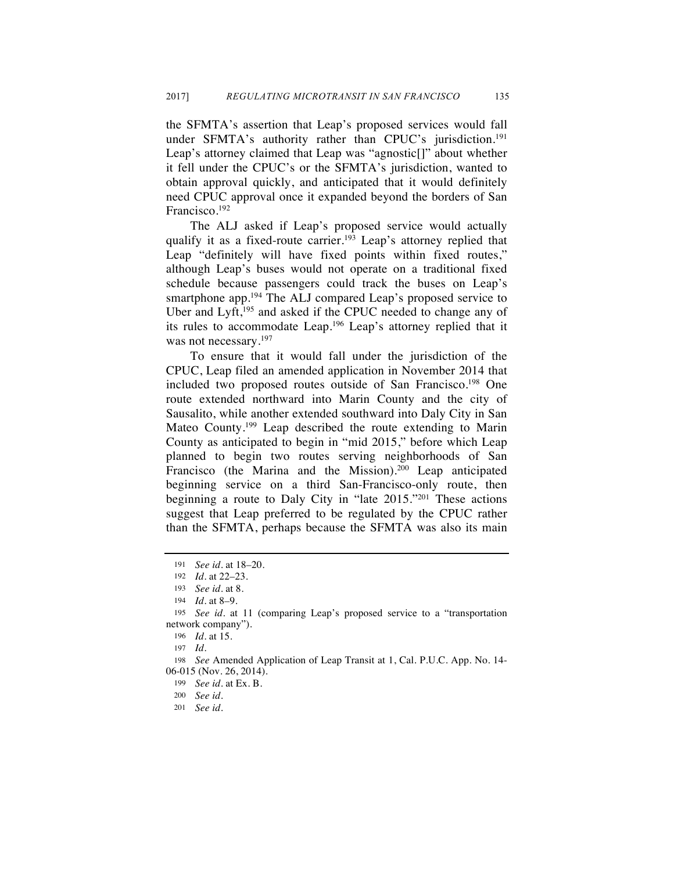the SFMTA's assertion that Leap's proposed services would fall under SFMTA's authority rather than CPUC's jurisdiction.<sup>191</sup> Leap's attorney claimed that Leap was "agnostic[]" about whether it fell under the CPUC's or the SFMTA's jurisdiction, wanted to obtain approval quickly, and anticipated that it would definitely need CPUC approval once it expanded beyond the borders of San Francisco.192

The ALJ asked if Leap's proposed service would actually qualify it as a fixed-route carrier.<sup>193</sup> Leap's attorney replied that Leap "definitely will have fixed points within fixed routes," although Leap's buses would not operate on a traditional fixed schedule because passengers could track the buses on Leap's smartphone app.<sup>194</sup> The ALJ compared Leap's proposed service to Uber and Lyft,<sup>195</sup> and asked if the CPUC needed to change any of its rules to accommodate Leap.196 Leap's attorney replied that it was not necessary.<sup>197</sup>

To ensure that it would fall under the jurisdiction of the CPUC, Leap filed an amended application in November 2014 that included two proposed routes outside of San Francisco.198 One route extended northward into Marin County and the city of Sausalito, while another extended southward into Daly City in San Mateo County.<sup>199</sup> Leap described the route extending to Marin County as anticipated to begin in "mid 2015," before which Leap planned to begin two routes serving neighborhoods of San Francisco (the Marina and the Mission).<sup>200</sup> Leap anticipated beginning service on a third San-Francisco-only route, then beginning a route to Daly City in "late 2015."201 These actions suggest that Leap preferred to be regulated by the CPUC rather than the SFMTA, perhaps because the SFMTA was also its main

<sup>191</sup> *See id.* at 18–20.

<sup>192</sup> *Id.* at 22–23.

<sup>193</sup> *See id.* at 8.

<sup>194</sup> *Id.* at 8–9.

<sup>195</sup> *See id.* at 11 (comparing Leap's proposed service to a "transportation network company").

<sup>196</sup> *Id.* at 15.

<sup>197</sup> *Id.*

<sup>198</sup> *See* Amended Application of Leap Transit at 1, Cal. P.U.C. App. No. 14- 06-015 (Nov. 26, 2014).

<sup>199</sup> *See id.* at Ex. B.

<sup>200</sup> *See id.*

<sup>201</sup> *See id.*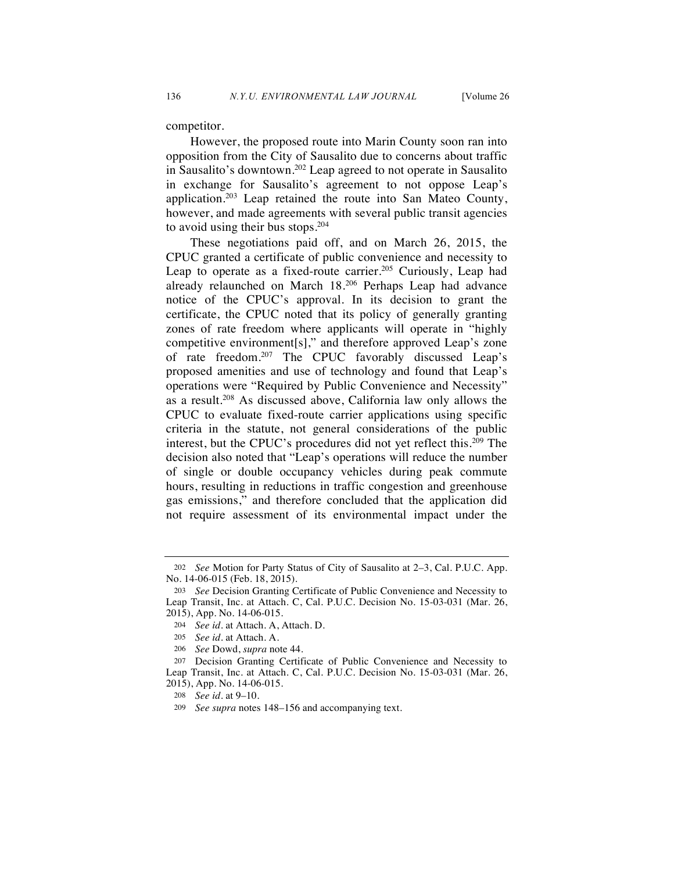competitor.

However, the proposed route into Marin County soon ran into opposition from the City of Sausalito due to concerns about traffic in Sausalito's downtown.202 Leap agreed to not operate in Sausalito in exchange for Sausalito's agreement to not oppose Leap's application.203 Leap retained the route into San Mateo County, however, and made agreements with several public transit agencies to avoid using their bus stops.204

These negotiations paid off, and on March 26, 2015, the CPUC granted a certificate of public convenience and necessity to Leap to operate as a fixed-route carrier.<sup>205</sup> Curiously, Leap had already relaunched on March 18.206 Perhaps Leap had advance notice of the CPUC's approval. In its decision to grant the certificate, the CPUC noted that its policy of generally granting zones of rate freedom where applicants will operate in "highly competitive environment[s]," and therefore approved Leap's zone of rate freedom.207 The CPUC favorably discussed Leap's proposed amenities and use of technology and found that Leap's operations were "Required by Public Convenience and Necessity" as a result.208 As discussed above, California law only allows the CPUC to evaluate fixed-route carrier applications using specific criteria in the statute, not general considerations of the public interest, but the CPUC's procedures did not yet reflect this.<sup>209</sup> The decision also noted that "Leap's operations will reduce the number of single or double occupancy vehicles during peak commute hours, resulting in reductions in traffic congestion and greenhouse gas emissions," and therefore concluded that the application did not require assessment of its environmental impact under the

<sup>202</sup> *See* Motion for Party Status of City of Sausalito at 2–3, Cal. P.U.C. App. No. 14-06-015 (Feb. 18, 2015).

<sup>203</sup> *See* Decision Granting Certificate of Public Convenience and Necessity to Leap Transit, Inc. at Attach. C, Cal. P.U.C. Decision No. 15-03-031 (Mar. 26, 2015), App. No. 14-06-015.

<sup>204</sup> *See id.* at Attach. A, Attach. D.

<sup>205</sup> *See id.* at Attach. A*.*

<sup>206</sup> *See* Dowd, *supra* note 44.

<sup>207</sup> Decision Granting Certificate of Public Convenience and Necessity to Leap Transit, Inc. at Attach. C, Cal. P.U.C. Decision No. 15-03-031 (Mar. 26, 2015), App. No. 14-06-015.

<sup>208</sup> *See id.* at 9–10.

<sup>209</sup> *See supra* notes 148–156 and accompanying text.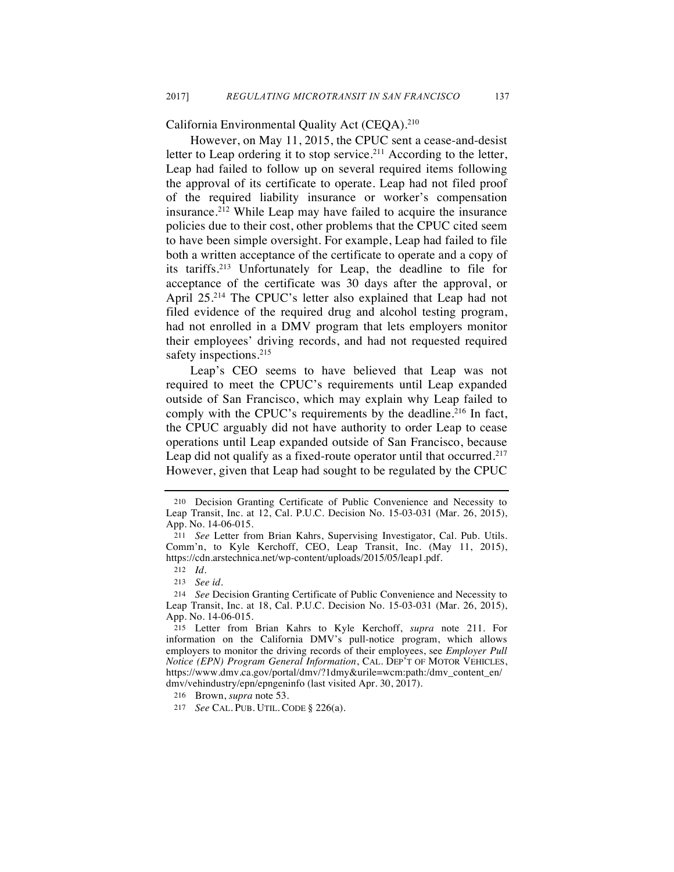California Environmental Quality Act (CEQA).210

However, on May 11, 2015, the CPUC sent a cease-and-desist letter to Leap ordering it to stop service.<sup>211</sup> According to the letter, Leap had failed to follow up on several required items following the approval of its certificate to operate. Leap had not filed proof of the required liability insurance or worker's compensation insurance.212 While Leap may have failed to acquire the insurance policies due to their cost, other problems that the CPUC cited seem to have been simple oversight. For example, Leap had failed to file both a written acceptance of the certificate to operate and a copy of its tariffs.213 Unfortunately for Leap, the deadline to file for acceptance of the certificate was 30 days after the approval, or April 25.214 The CPUC's letter also explained that Leap had not filed evidence of the required drug and alcohol testing program, had not enrolled in a DMV program that lets employers monitor their employees' driving records, and had not requested required safety inspections.<sup>215</sup>

Leap's CEO seems to have believed that Leap was not required to meet the CPUC's requirements until Leap expanded outside of San Francisco, which may explain why Leap failed to comply with the CPUC's requirements by the deadline.<sup>216</sup> In fact, the CPUC arguably did not have authority to order Leap to cease operations until Leap expanded outside of San Francisco, because Leap did not qualify as a fixed-route operator until that occurred.<sup>217</sup> However, given that Leap had sought to be regulated by the CPUC

<sup>210</sup> Decision Granting Certificate of Public Convenience and Necessity to Leap Transit, Inc. at 12, Cal. P.U.C. Decision No. 15-03-031 (Mar. 26, 2015), App. No. 14-06-015.

<sup>211</sup> *See* Letter from Brian Kahrs, Supervising Investigator, Cal. Pub. Utils. Comm'n, to Kyle Kerchoff, CEO, Leap Transit, Inc. (May 11, 2015), https://cdn.arstechnica.net/wp-content/uploads/2015/05/leap1.pdf.

<sup>212</sup> *Id.*

<sup>213</sup> *See id.*

<sup>214</sup> *See* Decision Granting Certificate of Public Convenience and Necessity to Leap Transit, Inc. at 18, Cal. P.U.C. Decision No. 15-03-031 (Mar. 26, 2015), App. No. 14-06-015.

<sup>215</sup> Letter from Brian Kahrs to Kyle Kerchoff, *supra* note 211. For information on the California DMV's pull-notice program, which allows employers to monitor the driving records of their employees, see *Employer Pull Notice (EPN) Program General Information*, CAL. DEP'T OF MOTOR VEHICLES, https://www.dmv.ca.gov/portal/dmv/?1dmy&urile=wcm:path:/dmv\_content\_en/ dmv/vehindustry/epn/epngeninfo (last visited Apr. 30, 2017).

<sup>216</sup> Brown, *supra* note 53.

<sup>217</sup> *See* CAL. PUB. UTIL. CODE § 226(a).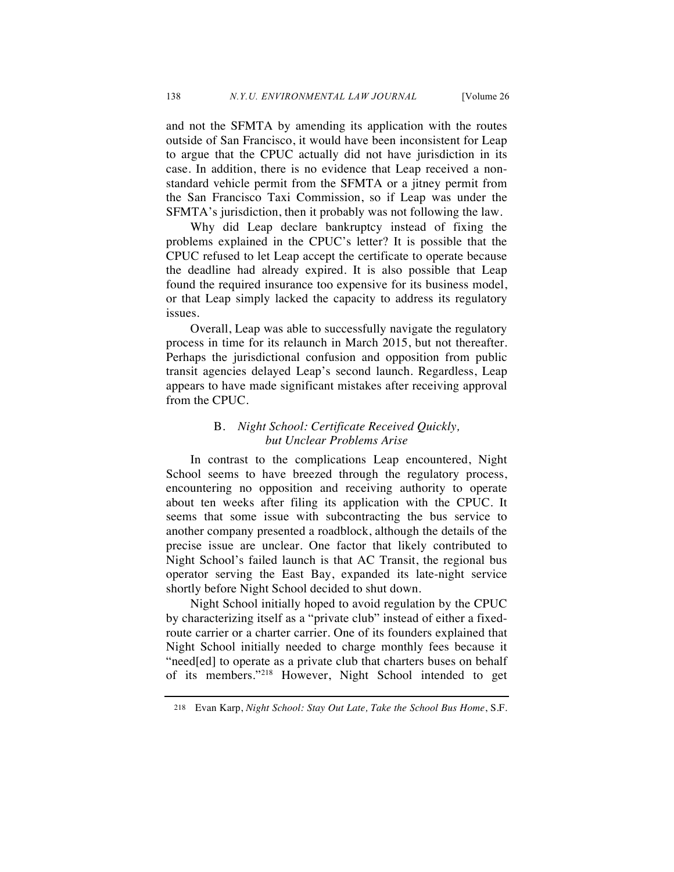and not the SFMTA by amending its application with the routes outside of San Francisco, it would have been inconsistent for Leap to argue that the CPUC actually did not have jurisdiction in its case. In addition, there is no evidence that Leap received a nonstandard vehicle permit from the SFMTA or a jitney permit from the San Francisco Taxi Commission, so if Leap was under the SFMTA's jurisdiction, then it probably was not following the law.

Why did Leap declare bankruptcy instead of fixing the problems explained in the CPUC's letter? It is possible that the CPUC refused to let Leap accept the certificate to operate because the deadline had already expired. It is also possible that Leap found the required insurance too expensive for its business model, or that Leap simply lacked the capacity to address its regulatory issues.

Overall, Leap was able to successfully navigate the regulatory process in time for its relaunch in March 2015, but not thereafter. Perhaps the jurisdictional confusion and opposition from public transit agencies delayed Leap's second launch. Regardless, Leap appears to have made significant mistakes after receiving approval from the CPUC.

# B. *Night School: Certificate Received Quickly, but Unclear Problems Arise*

In contrast to the complications Leap encountered, Night School seems to have breezed through the regulatory process, encountering no opposition and receiving authority to operate about ten weeks after filing its application with the CPUC. It seems that some issue with subcontracting the bus service to another company presented a roadblock, although the details of the precise issue are unclear. One factor that likely contributed to Night School's failed launch is that AC Transit, the regional bus operator serving the East Bay, expanded its late-night service shortly before Night School decided to shut down.

Night School initially hoped to avoid regulation by the CPUC by characterizing itself as a "private club" instead of either a fixedroute carrier or a charter carrier. One of its founders explained that Night School initially needed to charge monthly fees because it "need[ed] to operate as a private club that charters buses on behalf of its members."218 However, Night School intended to get

<sup>218</sup> Evan Karp, *Night School: Stay Out Late, Take the School Bus Home*, S.F.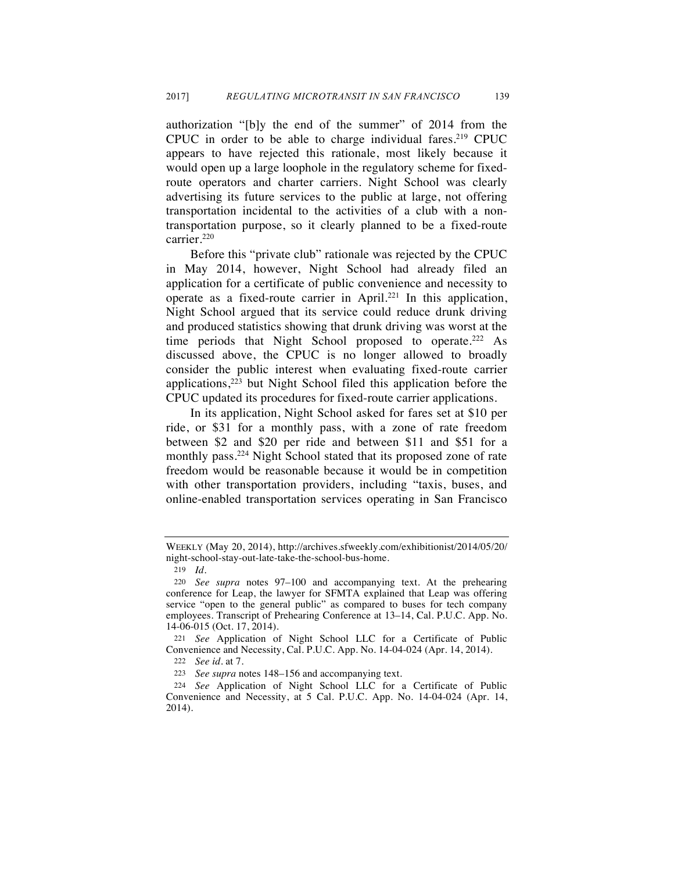authorization "[b]y the end of the summer" of 2014 from the CPUC in order to be able to charge individual fares.<sup>219</sup> CPUC appears to have rejected this rationale, most likely because it would open up a large loophole in the regulatory scheme for fixedroute operators and charter carriers. Night School was clearly advertising its future services to the public at large, not offering transportation incidental to the activities of a club with a nontransportation purpose, so it clearly planned to be a fixed-route carrier.<sup>220</sup>

Before this "private club" rationale was rejected by the CPUC in May 2014, however, Night School had already filed an application for a certificate of public convenience and necessity to operate as a fixed-route carrier in April.<sup>221</sup> In this application, Night School argued that its service could reduce drunk driving and produced statistics showing that drunk driving was worst at the time periods that Night School proposed to operate.<sup>222</sup> As discussed above, the CPUC is no longer allowed to broadly consider the public interest when evaluating fixed-route carrier applications, $2^{23}$  but Night School filed this application before the CPUC updated its procedures for fixed-route carrier applications.

In its application, Night School asked for fares set at \$10 per ride, or \$31 for a monthly pass, with a zone of rate freedom between \$2 and \$20 per ride and between \$11 and \$51 for a monthly pass.<sup>224</sup> Night School stated that its proposed zone of rate freedom would be reasonable because it would be in competition with other transportation providers, including "taxis, buses, and online-enabled transportation services operating in San Francisco

WEEKLY (May 20, 2014), http://archives.sfweekly.com/exhibitionist/2014/05/20/ night-school-stay-out-late-take-the-school-bus-home.

<sup>219</sup> *Id.*

<sup>220</sup> *See supra* notes 97–100 and accompanying text. At the prehearing conference for Leap, the lawyer for SFMTA explained that Leap was offering service "open to the general public" as compared to buses for tech company employees. Transcript of Prehearing Conference at 13–14, Cal. P.U.C. App. No. 14-06-015 (Oct. 17, 2014).

<sup>221</sup> *See* Application of Night School LLC for a Certificate of Public Convenience and Necessity, Cal. P.U.C. App. No. 14-04-024 (Apr. 14, 2014).

<sup>222</sup> *See id.* at 7.

<sup>223</sup> *See supra* notes 148–156 and accompanying text.

<sup>224</sup> *See* Application of Night School LLC for a Certificate of Public Convenience and Necessity, at 5 Cal. P.U.C. App. No. 14-04-024 (Apr. 14, 2014).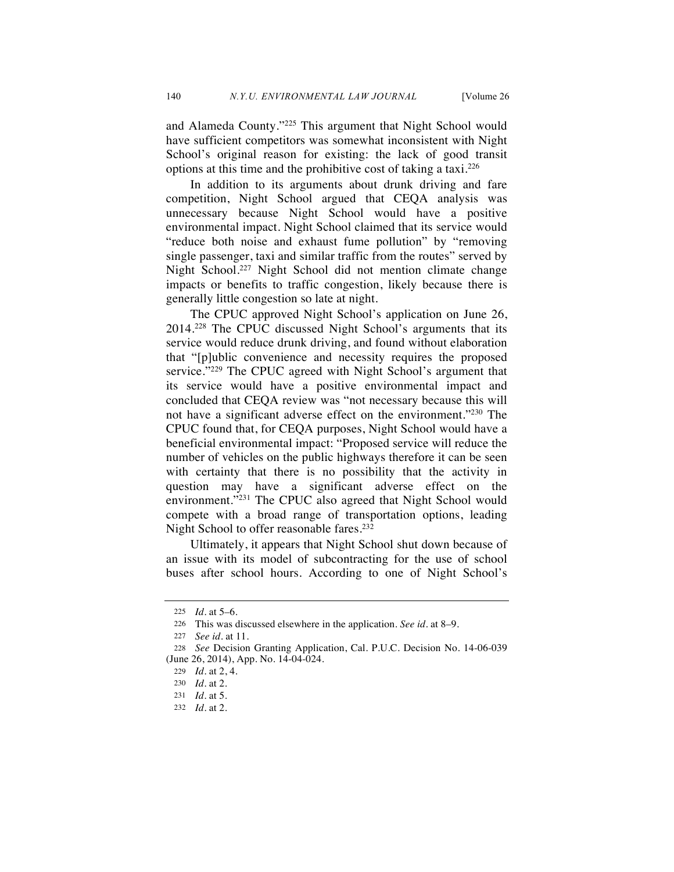and Alameda County."225 This argument that Night School would have sufficient competitors was somewhat inconsistent with Night School's original reason for existing: the lack of good transit options at this time and the prohibitive cost of taking a taxi.226

In addition to its arguments about drunk driving and fare competition, Night School argued that CEQA analysis was unnecessary because Night School would have a positive environmental impact. Night School claimed that its service would "reduce both noise and exhaust fume pollution" by "removing single passenger, taxi and similar traffic from the routes" served by Night School.227 Night School did not mention climate change impacts or benefits to traffic congestion, likely because there is generally little congestion so late at night.

The CPUC approved Night School's application on June 26, 2014.228 The CPUC discussed Night School's arguments that its service would reduce drunk driving, and found without elaboration that "[p]ublic convenience and necessity requires the proposed service."<sup>229</sup> The CPUC agreed with Night School's argument that its service would have a positive environmental impact and concluded that CEQA review was "not necessary because this will not have a significant adverse effect on the environment."230 The CPUC found that, for CEQA purposes, Night School would have a beneficial environmental impact: "Proposed service will reduce the number of vehicles on the public highways therefore it can be seen with certainty that there is no possibility that the activity in question may have a significant adverse effect on the environment."<sup>231</sup> The CPUC also agreed that Night School would compete with a broad range of transportation options, leading Night School to offer reasonable fares.<sup>232</sup>

Ultimately, it appears that Night School shut down because of an issue with its model of subcontracting for the use of school buses after school hours. According to one of Night School's

<sup>225</sup> *Id.* at 5–6.

<sup>226</sup> This was discussed elsewhere in the application. *See id.* at 8–9.

<sup>227</sup> *See id.* at 11.

<sup>228</sup> *See* Decision Granting Application, Cal. P.U.C. Decision No. 14-06-039 (June 26, 2014), App. No. 14-04-024.

<sup>229</sup> *Id.* at 2, 4.

<sup>230</sup> *Id.* at 2.

<sup>231</sup> *Id.* at 5.

<sup>232</sup> *Id.* at 2.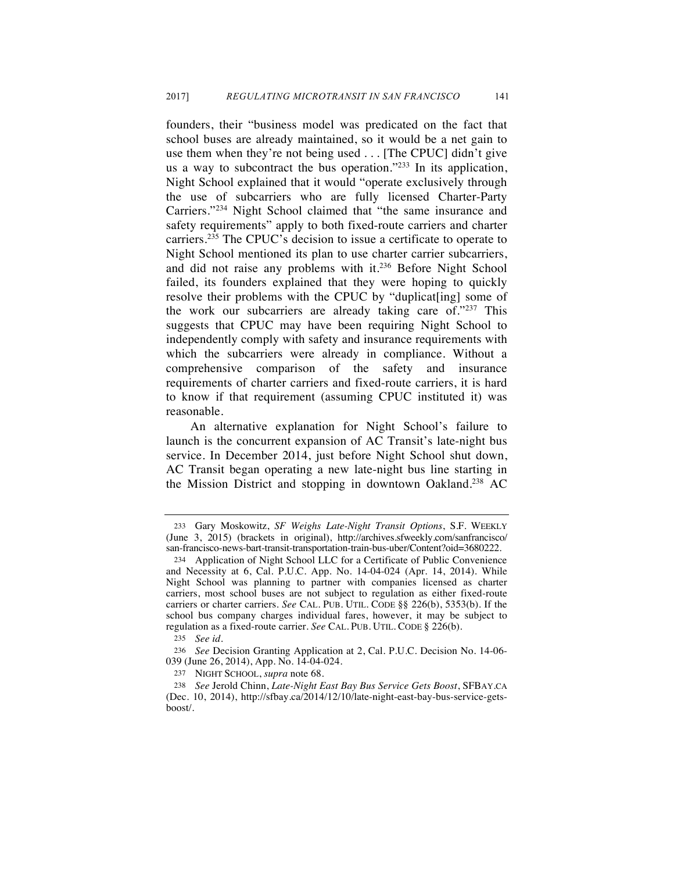founders, their "business model was predicated on the fact that school buses are already maintained, so it would be a net gain to use them when they're not being used . . . [The CPUC] didn't give us a way to subcontract the bus operation."233 In its application, Night School explained that it would "operate exclusively through the use of subcarriers who are fully licensed Charter-Party Carriers."234 Night School claimed that "the same insurance and safety requirements" apply to both fixed-route carriers and charter carriers.235 The CPUC's decision to issue a certificate to operate to Night School mentioned its plan to use charter carrier subcarriers, and did not raise any problems with it.236 Before Night School failed, its founders explained that they were hoping to quickly resolve their problems with the CPUC by "duplicat[ing] some of the work our subcarriers are already taking care of."237 This suggests that CPUC may have been requiring Night School to independently comply with safety and insurance requirements with which the subcarriers were already in compliance. Without a comprehensive comparison of the safety and insurance requirements of charter carriers and fixed-route carriers, it is hard to know if that requirement (assuming CPUC instituted it) was reasonable.

An alternative explanation for Night School's failure to launch is the concurrent expansion of AC Transit's late-night bus service. In December 2014, just before Night School shut down, AC Transit began operating a new late-night bus line starting in the Mission District and stopping in downtown Oakland.<sup>238</sup> AC

235 *See id.*

<sup>233</sup> Gary Moskowitz, *SF Weighs Late-Night Transit Options*, S.F. WEEKLY (June 3, 2015) (brackets in original), http://archives.sfweekly.com/sanfrancisco/ san-francisco-news-bart-transit-transportation-train-bus-uber/Content?oid=3680222.

<sup>234</sup> Application of Night School LLC for a Certificate of Public Convenience and Necessity at 6, Cal. P.U.C. App. No. 14-04-024 (Apr. 14, 2014). While Night School was planning to partner with companies licensed as charter carriers, most school buses are not subject to regulation as either fixed-route carriers or charter carriers. *See* CAL. PUB. UTIL. CODE §§ 226(b), 5353(b). If the school bus company charges individual fares, however, it may be subject to regulation as a fixed-route carrier. *See* CAL. PUB. UTIL. CODE § 226(b).

<sup>236</sup> *See* Decision Granting Application at 2, Cal. P.U.C. Decision No. 14-06- 039 (June 26, 2014), App. No. 14-04-024.

<sup>237</sup> NIGHT SCHOOL, *supra* note 68.

<sup>238</sup> *See* Jerold Chinn, *Late-Night East Bay Bus Service Gets Boost*, SFBAY.CA (Dec. 10, 2014), http://sfbay.ca/2014/12/10/late-night-east-bay-bus-service-getsboost/.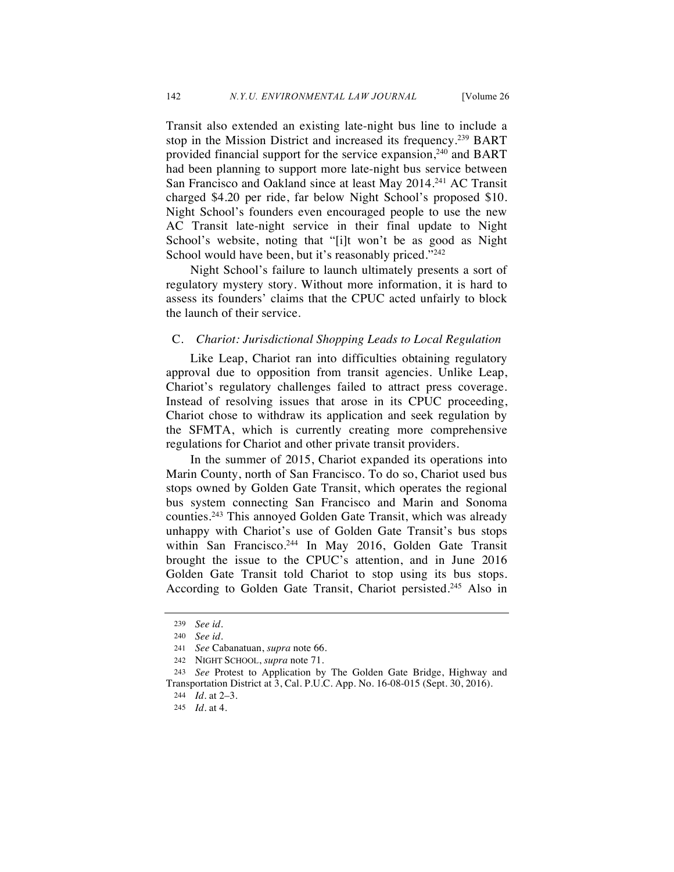Transit also extended an existing late-night bus line to include a stop in the Mission District and increased its frequency.239 BART provided financial support for the service expansion,<sup>240</sup> and BART had been planning to support more late-night bus service between San Francisco and Oakland since at least May 2014.<sup>241</sup> AC Transit charged \$4.20 per ride, far below Night School's proposed \$10. Night School's founders even encouraged people to use the new AC Transit late-night service in their final update to Night School's website, noting that "[i]t won't be as good as Night School would have been, but it's reasonably priced."<sup>242</sup>

Night School's failure to launch ultimately presents a sort of regulatory mystery story. Without more information, it is hard to assess its founders' claims that the CPUC acted unfairly to block the launch of their service.

# C. *Chariot: Jurisdictional Shopping Leads to Local Regulation*

Like Leap, Chariot ran into difficulties obtaining regulatory approval due to opposition from transit agencies. Unlike Leap, Chariot's regulatory challenges failed to attract press coverage. Instead of resolving issues that arose in its CPUC proceeding, Chariot chose to withdraw its application and seek regulation by the SFMTA, which is currently creating more comprehensive regulations for Chariot and other private transit providers.

In the summer of 2015, Chariot expanded its operations into Marin County, north of San Francisco. To do so, Chariot used bus stops owned by Golden Gate Transit, which operates the regional bus system connecting San Francisco and Marin and Sonoma counties.243 This annoyed Golden Gate Transit, which was already unhappy with Chariot's use of Golden Gate Transit's bus stops within San Francisco.<sup>244</sup> In May 2016, Golden Gate Transit brought the issue to the CPUC's attention, and in June 2016 Golden Gate Transit told Chariot to stop using its bus stops. According to Golden Gate Transit, Chariot persisted.<sup>245</sup> Also in

<sup>239</sup> *See id.*

<sup>240</sup> *See id.*

<sup>241</sup> *See* Cabanatuan, *supra* note 66.

<sup>242</sup> NIGHT SCHOOL, *supra* note 71.

<sup>243</sup> *See* Protest to Application by The Golden Gate Bridge, Highway and Transportation District at 3, Cal. P.U.C. App. No. 16-08-015 (Sept. 30, 2016).

<sup>244</sup> *Id.* at 2–3.

<sup>245</sup> *Id.* at 4.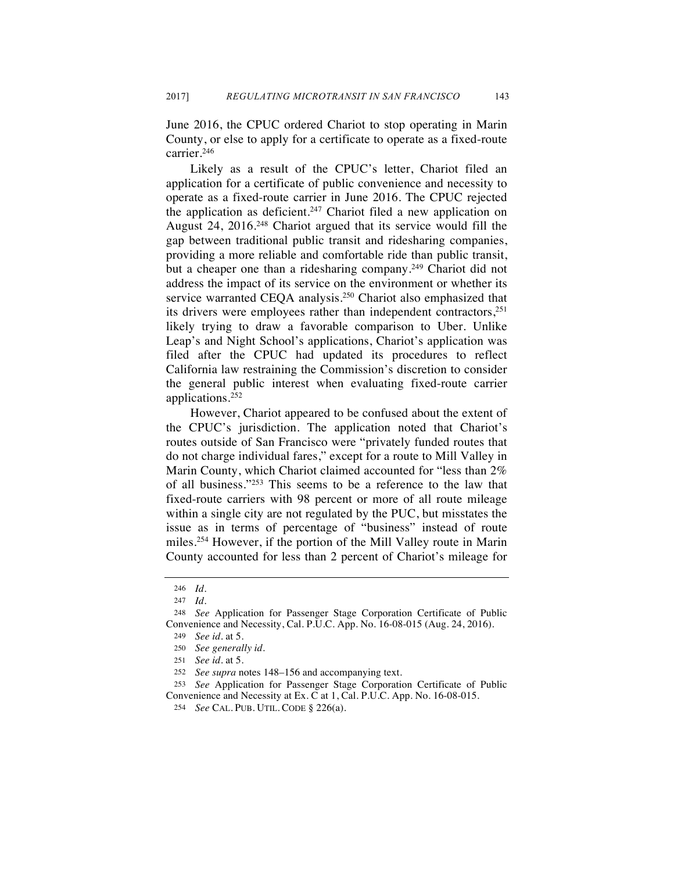June 2016, the CPUC ordered Chariot to stop operating in Marin County, or else to apply for a certificate to operate as a fixed-route carrier.246

Likely as a result of the CPUC's letter, Chariot filed an application for a certificate of public convenience and necessity to operate as a fixed-route carrier in June 2016. The CPUC rejected the application as deficient.<sup>247</sup> Chariot filed a new application on August 24, 2016.<sup>248</sup> Chariot argued that its service would fill the gap between traditional public transit and ridesharing companies, providing a more reliable and comfortable ride than public transit, but a cheaper one than a ridesharing company.<sup>249</sup> Chariot did not address the impact of its service on the environment or whether its service warranted CEOA analysis.<sup>250</sup> Chariot also emphasized that its drivers were employees rather than independent contractors,<sup>251</sup> likely trying to draw a favorable comparison to Uber. Unlike Leap's and Night School's applications, Chariot's application was filed after the CPUC had updated its procedures to reflect California law restraining the Commission's discretion to consider the general public interest when evaluating fixed-route carrier applications.252

However, Chariot appeared to be confused about the extent of the CPUC's jurisdiction. The application noted that Chariot's routes outside of San Francisco were "privately funded routes that do not charge individual fares," except for a route to Mill Valley in Marin County, which Chariot claimed accounted for "less than 2% of all business."253 This seems to be a reference to the law that fixed-route carriers with 98 percent or more of all route mileage within a single city are not regulated by the PUC, but misstates the issue as in terms of percentage of "business" instead of route miles.<sup>254</sup> However, if the portion of the Mill Valley route in Marin County accounted for less than 2 percent of Chariot's mileage for

<sup>246</sup> *Id.*

<sup>247</sup> *Id.*

<sup>248</sup> *See* Application for Passenger Stage Corporation Certificate of Public Convenience and Necessity, Cal. P.U.C. App. No. 16-08-015 (Aug. 24, 2016).

<sup>249</sup> *See id.* at 5.

<sup>250</sup> *See generally id.*

<sup>251</sup> *See id.* at 5.

<sup>252</sup> *See supra* notes 148–156 and accompanying text.

<sup>253</sup> *See* Application for Passenger Stage Corporation Certificate of Public Convenience and Necessity at Ex. C at 1, Cal. P.U.C. App. No. 16-08-015.

<sup>254</sup> *See* CAL. PUB. UTIL. CODE § 226(a).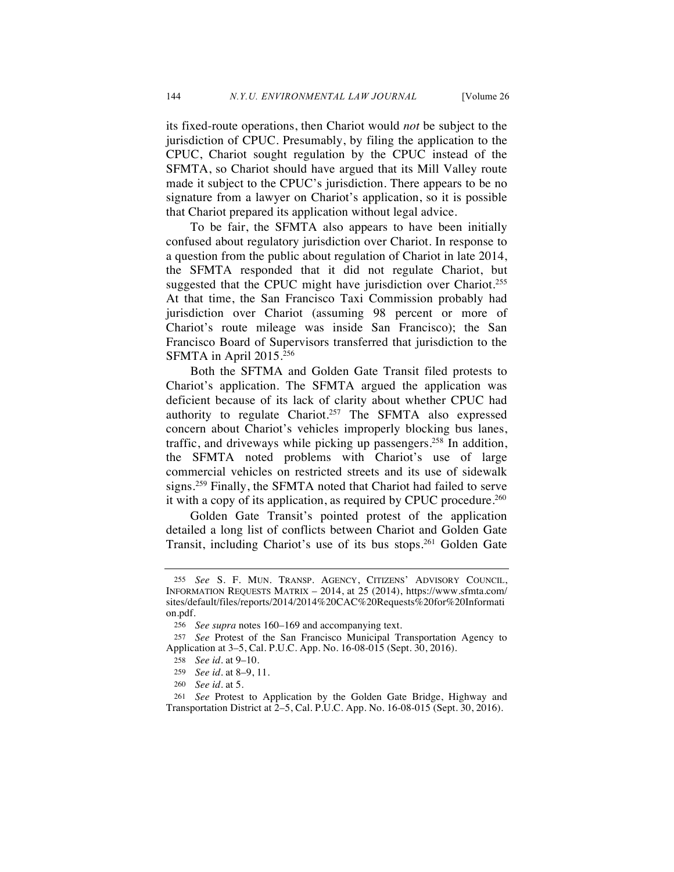its fixed-route operations, then Chariot would *not* be subject to the jurisdiction of CPUC. Presumably, by filing the application to the CPUC, Chariot sought regulation by the CPUC instead of the SFMTA, so Chariot should have argued that its Mill Valley route made it subject to the CPUC's jurisdiction. There appears to be no signature from a lawyer on Chariot's application, so it is possible that Chariot prepared its application without legal advice.

To be fair, the SFMTA also appears to have been initially confused about regulatory jurisdiction over Chariot. In response to a question from the public about regulation of Chariot in late 2014, the SFMTA responded that it did not regulate Chariot, but suggested that the CPUC might have jurisdiction over Chariot.<sup>255</sup> At that time, the San Francisco Taxi Commission probably had jurisdiction over Chariot (assuming 98 percent or more of Chariot's route mileage was inside San Francisco); the San Francisco Board of Supervisors transferred that jurisdiction to the SFMTA in April 2015.256

Both the SFTMA and Golden Gate Transit filed protests to Chariot's application. The SFMTA argued the application was deficient because of its lack of clarity about whether CPUC had authority to regulate Chariot.<sup>257</sup> The SFMTA also expressed concern about Chariot's vehicles improperly blocking bus lanes, traffic, and driveways while picking up passengers.<sup>258</sup> In addition, the SFMTA noted problems with Chariot's use of large commercial vehicles on restricted streets and its use of sidewalk signs.<sup>259</sup> Finally, the SFMTA noted that Chariot had failed to serve it with a copy of its application, as required by CPUC procedure.<sup>260</sup>

Golden Gate Transit's pointed protest of the application detailed a long list of conflicts between Chariot and Golden Gate Transit, including Chariot's use of its bus stops.261 Golden Gate

<sup>255</sup> *See* S. F. MUN. TRANSP. AGENCY, CITIZENS' ADVISORY COUNCIL, INFORMATION REQUESTS MATRIX – 2014, at 25 (2014), https://www.sfmta.com/ sites/default/files/reports/2014/2014%20CAC%20Requests%20for%20Informati on.pdf.

<sup>256</sup> *See supra* notes 160–169 and accompanying text.

<sup>257</sup> *See* Protest of the San Francisco Municipal Transportation Agency to Application at 3–5, Cal. P.U.C. App. No. 16-08-015 (Sept. 30, 2016).

<sup>258</sup> *See id.* at 9–10.

<sup>259</sup> *See id.* at 8–9, 11.

<sup>260</sup> *See id.* at 5.

<sup>261</sup> *See* Protest to Application by the Golden Gate Bridge, Highway and Transportation District at 2–5, Cal. P.U.C. App. No. 16-08-015 (Sept. 30, 2016).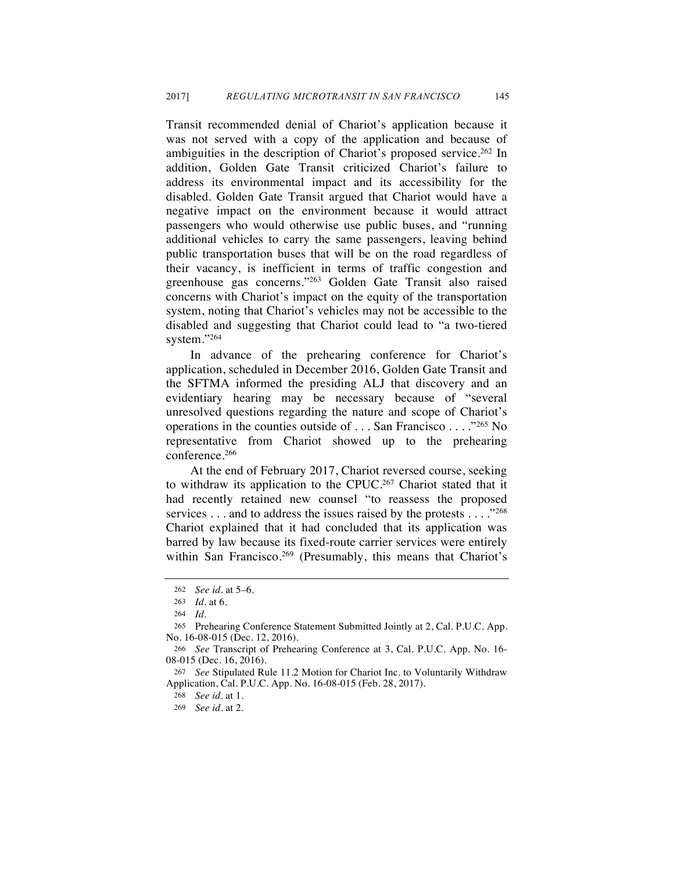Transit recommended denial of Chariot's application because it was not served with a copy of the application and because of ambiguities in the description of Chariot's proposed service.<sup>262</sup> In addition, Golden Gate Transit criticized Chariot's failure to address its environmental impact and its accessibility for the disabled. Golden Gate Transit argued that Chariot would have a negative impact on the environment because it would attract passengers who would otherwise use public buses, and "running additional vehicles to carry the same passengers, leaving behind public transportation buses that will be on the road regardless of their vacancy, is inefficient in terms of traffic congestion and greenhouse gas concerns."263 Golden Gate Transit also raised concerns with Chariot's impact on the equity of the transportation system, noting that Chariot's vehicles may not be accessible to the disabled and suggesting that Chariot could lead to "a two-tiered system."264

In advance of the prehearing conference for Chariot's application, scheduled in December 2016, Golden Gate Transit and the SFTMA informed the presiding ALJ that discovery and an evidentiary hearing may be necessary because of "several unresolved questions regarding the nature and scope of Chariot's operations in the counties outside of . . . San Francisco . . . ."265 No representative from Chariot showed up to the prehearing conference.266

At the end of February 2017, Chariot reversed course, seeking to withdraw its application to the CPUC.<sup>267</sup> Chariot stated that it had recently retained new counsel "to reassess the proposed services . . . and to address the issues raised by the protests . . . . . . . 268 Chariot explained that it had concluded that its application was barred by law because its fixed-route carrier services were entirely within San Francisco.<sup>269</sup> (Presumably, this means that Chariot's

<sup>262</sup> *See id.* at 5–6.

<sup>263</sup> *Id.* at 6.

<sup>264</sup> *Id.*

<sup>265</sup> Prehearing Conference Statement Submitted Jointly at 2, Cal. P.U.C. App. No. 16-08-015 (Dec. 12, 2016).

<sup>266</sup> *See* Transcript of Prehearing Conference at 3, Cal. P.U.C. App. No. 16- 08-015 (Dec. 16, 2016).

<sup>267</sup> *See* Stipulated Rule 11.2 Motion for Chariot Inc. to Voluntarily Withdraw Application, Cal. P.U.C. App. No. 16-08-015 (Feb. 28, 2017).

<sup>268</sup> *See id.* at 1.

<sup>269</sup> *See id.* at 2.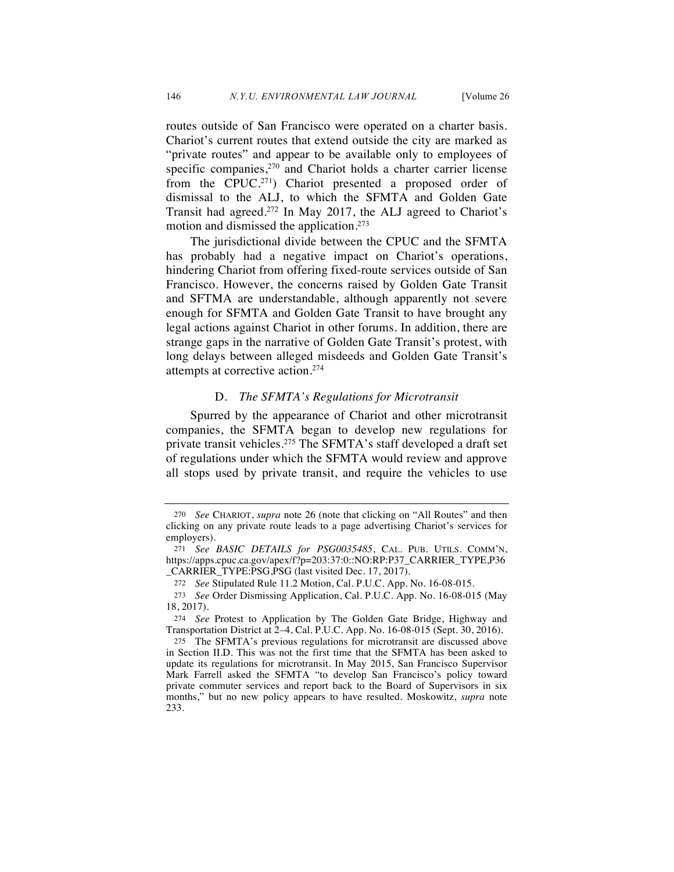routes outside of San Francisco were operated on a charter basis. Chariot's current routes that extend outside the city are marked as "private routes" and appear to be available only to employees of specific companies,<sup>270</sup> and Chariot holds a charter carrier license from the CPUC.271) Chariot presented a proposed order of dismissal to the ALJ, to which the SFMTA and Golden Gate Transit had agreed.272 In May 2017, the ALJ agreed to Chariot's motion and dismissed the application.273

The jurisdictional divide between the CPUC and the SFMTA has probably had a negative impact on Chariot's operations, hindering Chariot from offering fixed-route services outside of San Francisco. However, the concerns raised by Golden Gate Transit and SFTMA are understandable, although apparently not severe enough for SFMTA and Golden Gate Transit to have brought any legal actions against Chariot in other forums. In addition, there are strange gaps in the narrative of Golden Gate Transit's protest, with long delays between alleged misdeeds and Golden Gate Transit's attempts at corrective action.274

### D. *The SFMTA's Regulations for Microtransit*

Spurred by the appearance of Chariot and other microtransit companies, the SFMTA began to develop new regulations for private transit vehicles.275 The SFMTA's staff developed a draft set of regulations under which the SFMTA would review and approve all stops used by private transit, and require the vehicles to use

<sup>270</sup> *See* CHARIOT, *supra* note 26 (note that clicking on "All Routes" and then clicking on any private route leads to a page advertising Chariot's services for employers).

<sup>271</sup> *See BASIC DETAILS for PSG0035485*, CAL. PUB. UTILS. COMM'N, https://apps.cpuc.ca.gov/apex/f?p=203:37:0::NO:RP:P37\_CARRIER\_TYPE,P36 \_CARRIER\_TYPE:PSG,PSG (last visited Dec. 17, 2017).

<sup>272</sup> *See* Stipulated Rule 11.2 Motion, Cal. P.U.C. App. No. 16-08-015.

<sup>273</sup> *See* Order Dismissing Application, Cal. P.U.C. App. No. 16-08-015 (May 18, 2017).

<sup>274</sup> *See* Protest to Application by The Golden Gate Bridge, Highway and Transportation District at 2–4, Cal. P.U.C. App. No. 16-08-015 (Sept. 30, 2016).

<sup>275</sup> The SFMTA's previous regulations for microtransit are discussed above in Section II.D. This was not the first time that the SFMTA has been asked to update its regulations for microtransit. In May 2015, San Francisco Supervisor Mark Farrell asked the SFMTA "to develop San Francisco's policy toward private commuter services and report back to the Board of Supervisors in six months," but no new policy appears to have resulted. Moskowitz, *supra* note 233.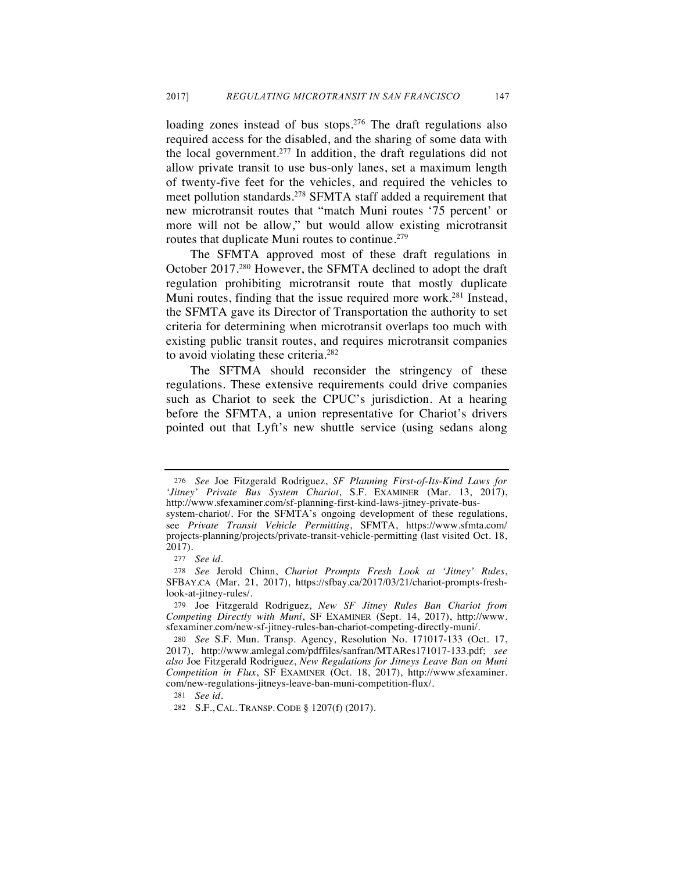loading zones instead of bus stops.<sup>276</sup> The draft regulations also required access for the disabled, and the sharing of some data with the local government.277 In addition, the draft regulations did not allow private transit to use bus-only lanes, set a maximum length of twenty-five feet for the vehicles, and required the vehicles to meet pollution standards.278 SFMTA staff added a requirement that new microtransit routes that "match Muni routes '75 percent' or more will not be allow," but would allow existing microtransit routes that duplicate Muni routes to continue.<sup>279</sup>

The SFMTA approved most of these draft regulations in October 2017.280 However, the SFMTA declined to adopt the draft regulation prohibiting microtransit route that mostly duplicate Muni routes, finding that the issue required more work.<sup>281</sup> Instead, the SFMTA gave its Director of Transportation the authority to set criteria for determining when microtransit overlaps too much with existing public transit routes, and requires microtransit companies to avoid violating these criteria.<sup>282</sup>

The SFTMA should reconsider the stringency of these regulations. These extensive requirements could drive companies such as Chariot to seek the CPUC's jurisdiction. At a hearing before the SFMTA, a union representative for Chariot's drivers pointed out that Lyft's new shuttle service (using sedans along

<sup>276</sup> *See* Joe Fitzgerald Rodriguez, *SF Planning First-of-Its-Kind Laws for 'Jitney' Private Bus System Chariot*, S.F. EXAMINER (Mar. 13, 2017), http://www.sfexaminer.com/sf-planning-first-kind-laws-jitney-private-bus-

system-chariot/. For the SFMTA's ongoing development of these regulations, see *Private Transit Vehicle Permitting*, SFMTA, https://www.sfmta.com/ projects-planning/projects/private-transit-vehicle-permitting (last visited Oct. 18, 2017).

<sup>277</sup> *See id.*

<sup>278</sup> *See* Jerold Chinn, *Chariot Prompts Fresh Look at 'Jitney' Rules*, SFBAY.CA (Mar. 21, 2017), https://sfbay.ca/2017/03/21/chariot-prompts-freshlook-at-jitney-rules/.

<sup>279</sup> Joe Fitzgerald Rodriguez, *New SF Jitney Rules Ban Chariot from Competing Directly with Muni*, SF EXAMINER (Sept. 14, 2017), http://www. sfexaminer.com/new-sf-jitney-rules-ban-chariot-competing-directly-muni/.

<sup>280</sup> *See* S.F. Mun. Transp. Agency, Resolution No. 171017-133 (Oct. 17, 2017), http://www.amlegal.com/pdffiles/sanfran/MTARes171017-133.pdf; *see also* Joe Fitzgerald Rodriguez, *New Regulations for Jitneys Leave Ban on Muni Competition in Flux*, SF EXAMINER (Oct. 18, 2017), http://www.sfexaminer. com/new-regulations-jitneys-leave-ban-muni-competition-flux/.

<sup>281</sup> *See id.*

<sup>282</sup> S.F., CAL. TRANSP. CODE § 1207(f) (2017).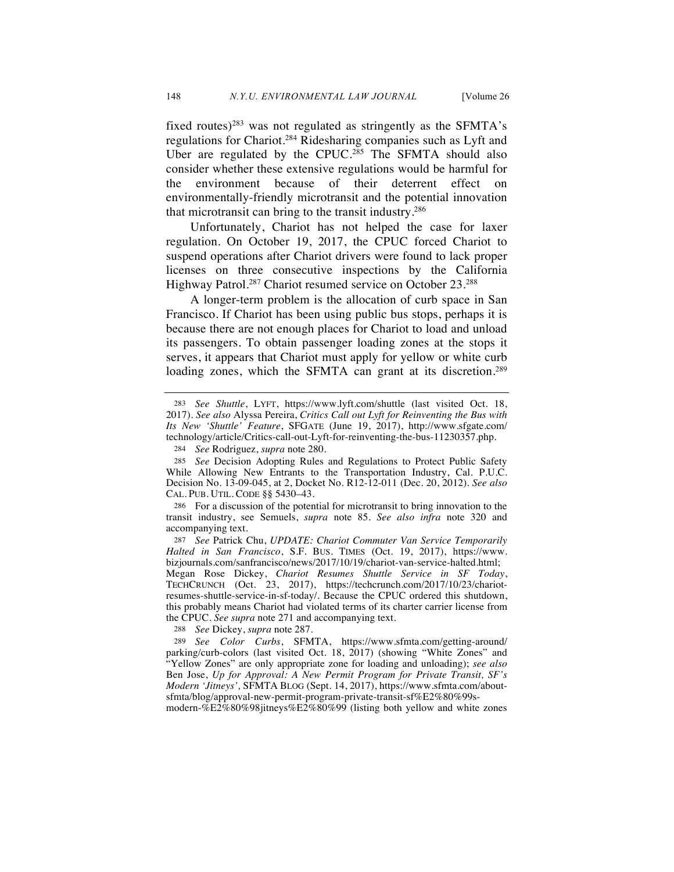fixed routes)<sup>283</sup> was not regulated as stringently as the SFMTA's regulations for Chariot.284 Ridesharing companies such as Lyft and Uber are regulated by the CPUC.<sup>285</sup> The SFMTA should also consider whether these extensive regulations would be harmful for the environment because of their deterrent effect on environmentally-friendly microtransit and the potential innovation that microtransit can bring to the transit industry.286

Unfortunately, Chariot has not helped the case for laxer regulation. On October 19, 2017, the CPUC forced Chariot to suspend operations after Chariot drivers were found to lack proper licenses on three consecutive inspections by the California Highway Patrol.<sup>287</sup> Chariot resumed service on October 23.<sup>288</sup>

A longer-term problem is the allocation of curb space in San Francisco. If Chariot has been using public bus stops, perhaps it is because there are not enough places for Chariot to load and unload its passengers. To obtain passenger loading zones at the stops it serves, it appears that Chariot must apply for yellow or white curb loading zones, which the SFMTA can grant at its discretion.<sup>289</sup>

288 *See* Dickey, *supra* note 287.

modern-%E2%80%98jitneys%E2%80%99 (listing both yellow and white zones

<sup>283</sup> *See Shuttle*, LYFT, https://www.lyft.com/shuttle (last visited Oct. 18, 2017). *See also* Alyssa Pereira, *Critics Call out Lyft for Reinventing the Bus with Its New 'Shuttle' Feature*, SFGATE (June 19, 2017), http://www.sfgate.com/ technology/article/Critics-call-out-Lyft-for-reinventing-the-bus-11230357.php.

<sup>284</sup> *See* Rodriguez, *supra* note 280.

<sup>285</sup> *See* Decision Adopting Rules and Regulations to Protect Public Safety While Allowing New Entrants to the Transportation Industry, Cal. P.U.C. Decision No. 13-09-045, at 2, Docket No. R12-12-011 (Dec. 20, 2012). *See also*  CAL. PUB. UTIL. CODE §§ 5430–43.

<sup>286</sup> For a discussion of the potential for microtransit to bring innovation to the transit industry, see Semuels, *supra* note 85. *See also infra* note 320 and accompanying text.

<sup>287</sup> *See* Patrick Chu, *UPDATE: Chariot Commuter Van Service Temporarily Halted in San Francisco*, S.F. BUS. TIMES (Oct. 19, 2017), https://www. bizjournals.com/sanfrancisco/news/2017/10/19/chariot-van-service-halted.html; Megan Rose Dickey, *Chariot Resumes Shuttle Service in SF Today*, TECHCRUNCH (Oct. 23, 2017), https://techcrunch.com/2017/10/23/chariotresumes-shuttle-service-in-sf-today/. Because the CPUC ordered this shutdown, this probably means Chariot had violated terms of its charter carrier license from the CPUC. *See supra* note 271 and accompanying text.

<sup>289</sup> *See Color Curbs*, SFMTA, https://www.sfmta.com/getting-around/ parking/curb-colors (last visited Oct. 18, 2017) (showing "White Zones" and "Yellow Zones" are only appropriate zone for loading and unloading); *see also*  Ben Jose, *Up for Approval: A New Permit Program for Private Transit, SF's Modern 'Jitneys',* SFMTA BLOG (Sept. 14, 2017), https://www.sfmta.com/aboutsfmta/blog/approval-new-permit-program-private-transit-sf%E2%80%99s-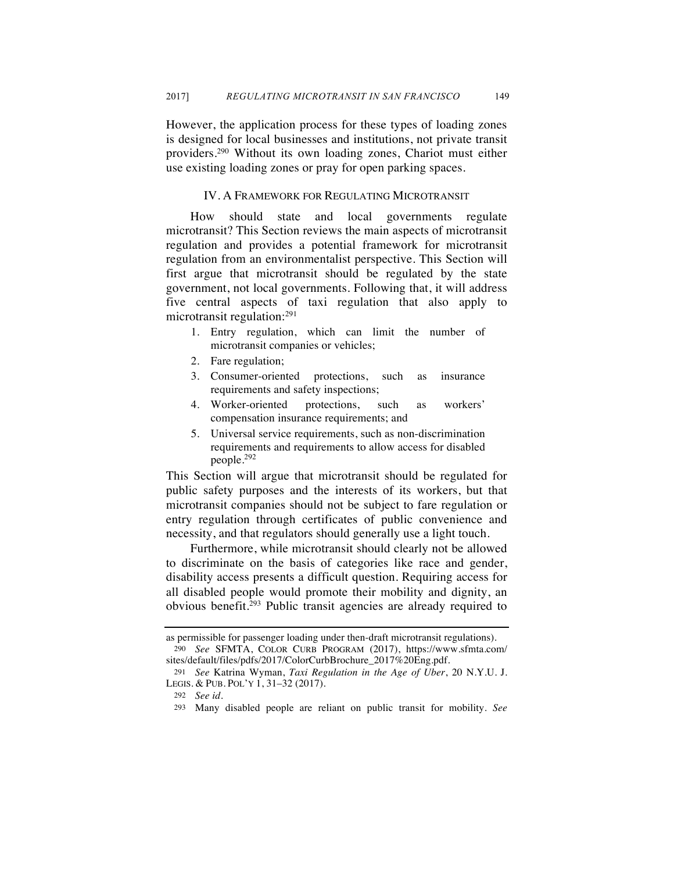However, the application process for these types of loading zones is designed for local businesses and institutions, not private transit providers.290 Without its own loading zones, Chariot must either use existing loading zones or pray for open parking spaces.

# IV. A FRAMEWORK FOR REGULATING MICROTRANSIT

How should state and local governments regulate microtransit? This Section reviews the main aspects of microtransit regulation and provides a potential framework for microtransit regulation from an environmentalist perspective. This Section will first argue that microtransit should be regulated by the state government, not local governments. Following that, it will address five central aspects of taxi regulation that also apply to microtransit regulation:291

- 1. Entry regulation, which can limit the number of microtransit companies or vehicles;
- 2. Fare regulation;
- 3. Consumer-oriented protections, such as insurance requirements and safety inspections;
- 4. Worker-oriented protections, such as workers' compensation insurance requirements; and
- 5. Universal service requirements, such as non-discrimination requirements and requirements to allow access for disabled people.292

This Section will argue that microtransit should be regulated for public safety purposes and the interests of its workers, but that microtransit companies should not be subject to fare regulation or entry regulation through certificates of public convenience and necessity, and that regulators should generally use a light touch.

Furthermore, while microtransit should clearly not be allowed to discriminate on the basis of categories like race and gender, disability access presents a difficult question. Requiring access for all disabled people would promote their mobility and dignity, an obvious benefit.293 Public transit agencies are already required to

as permissible for passenger loading under then-draft microtransit regulations).

<sup>290</sup> *See* SFMTA, COLOR CURB PROGRAM (2017), https://www.sfmta.com/ sites/default/files/pdfs/2017/ColorCurbBrochure\_2017%20Eng.pdf.

<sup>291</sup> *See* Katrina Wyman, *Taxi Regulation in the Age of Uber*, 20 N.Y.U. J. LEGIS. & PUB. POL'Y 1, 31–32 (2017).

<sup>292</sup> *See id.*

<sup>293</sup> Many disabled people are reliant on public transit for mobility. *See*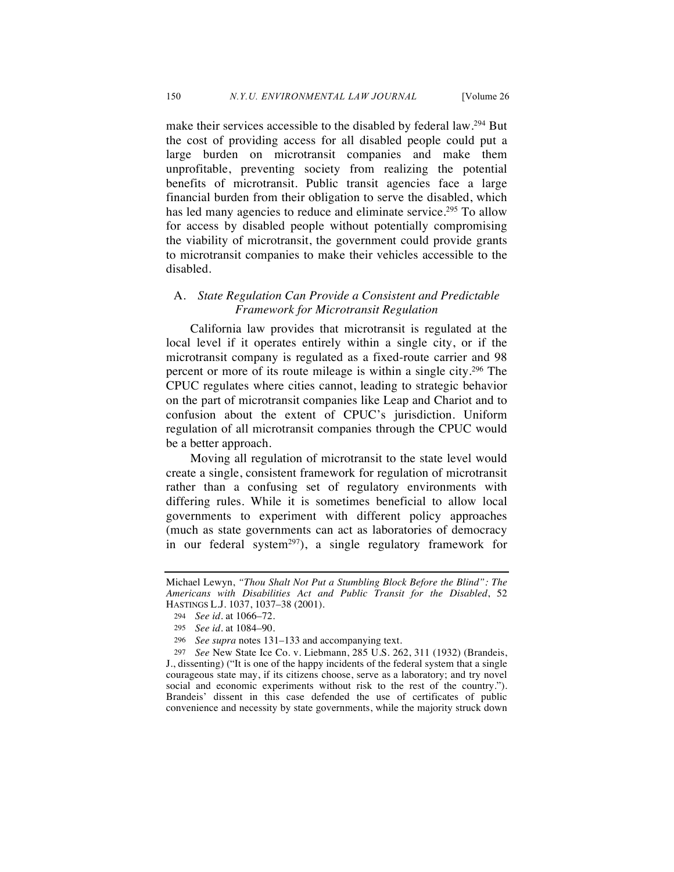make their services accessible to the disabled by federal law.294 But the cost of providing access for all disabled people could put a large burden on microtransit companies and make them unprofitable, preventing society from realizing the potential benefits of microtransit. Public transit agencies face a large financial burden from their obligation to serve the disabled, which has led many agencies to reduce and eliminate service.<sup>295</sup> To allow for access by disabled people without potentially compromising the viability of microtransit, the government could provide grants to microtransit companies to make their vehicles accessible to the disabled.

# A. *State Regulation Can Provide a Consistent and Predictable Framework for Microtransit Regulation*

California law provides that microtransit is regulated at the local level if it operates entirely within a single city, or if the microtransit company is regulated as a fixed-route carrier and 98 percent or more of its route mileage is within a single city.296 The CPUC regulates where cities cannot, leading to strategic behavior on the part of microtransit companies like Leap and Chariot and to confusion about the extent of CPUC's jurisdiction. Uniform regulation of all microtransit companies through the CPUC would be a better approach.

Moving all regulation of microtransit to the state level would create a single, consistent framework for regulation of microtransit rather than a confusing set of regulatory environments with differing rules. While it is sometimes beneficial to allow local governments to experiment with different policy approaches (much as state governments can act as laboratories of democracy in our federal system<sup>297</sup>), a single regulatory framework for

Michael Lewyn, *"Thou Shalt Not Put a Stumbling Block Before the Blind": The Americans with Disabilities Act and Public Transit for the Disabled*, 52 HASTINGS L.J. 1037, 1037–38 (2001).

<sup>294</sup> *See id.* at 1066–72.

<sup>295</sup> *See id.* at 1084–90.

<sup>296</sup> *See supra* notes 131–133 and accompanying text.

<sup>297</sup> *See* New State Ice Co. v. Liebmann, 285 U.S. 262, 311 (1932) (Brandeis, J., dissenting) ("It is one of the happy incidents of the federal system that a single courageous state may, if its citizens choose, serve as a laboratory; and try novel social and economic experiments without risk to the rest of the country."). Brandeis' dissent in this case defended the use of certificates of public convenience and necessity by state governments, while the majority struck down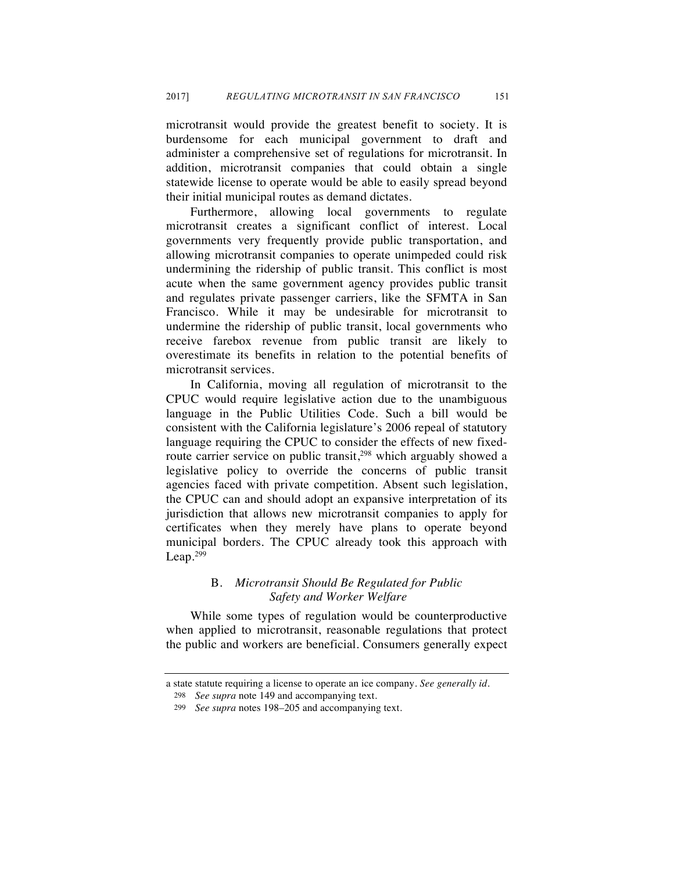microtransit would provide the greatest benefit to society. It is burdensome for each municipal government to draft and administer a comprehensive set of regulations for microtransit. In addition, microtransit companies that could obtain a single statewide license to operate would be able to easily spread beyond their initial municipal routes as demand dictates.

Furthermore, allowing local governments to regulate microtransit creates a significant conflict of interest. Local governments very frequently provide public transportation, and allowing microtransit companies to operate unimpeded could risk undermining the ridership of public transit. This conflict is most acute when the same government agency provides public transit and regulates private passenger carriers, like the SFMTA in San Francisco. While it may be undesirable for microtransit to undermine the ridership of public transit, local governments who receive farebox revenue from public transit are likely to overestimate its benefits in relation to the potential benefits of microtransit services.

In California, moving all regulation of microtransit to the CPUC would require legislative action due to the unambiguous language in the Public Utilities Code. Such a bill would be consistent with the California legislature's 2006 repeal of statutory language requiring the CPUC to consider the effects of new fixedroute carrier service on public transit,<sup>298</sup> which arguably showed a legislative policy to override the concerns of public transit agencies faced with private competition. Absent such legislation, the CPUC can and should adopt an expansive interpretation of its jurisdiction that allows new microtransit companies to apply for certificates when they merely have plans to operate beyond municipal borders. The CPUC already took this approach with Leap.299

# B. *Microtransit Should Be Regulated for Public Safety and Worker Welfare*

While some types of regulation would be counterproductive when applied to microtransit, reasonable regulations that protect the public and workers are beneficial. Consumers generally expect

a state statute requiring a license to operate an ice company. *See generally id.*

<sup>298</sup> *See supra* note 149 and accompanying text.

<sup>299</sup> *See supra* notes 198–205 and accompanying text.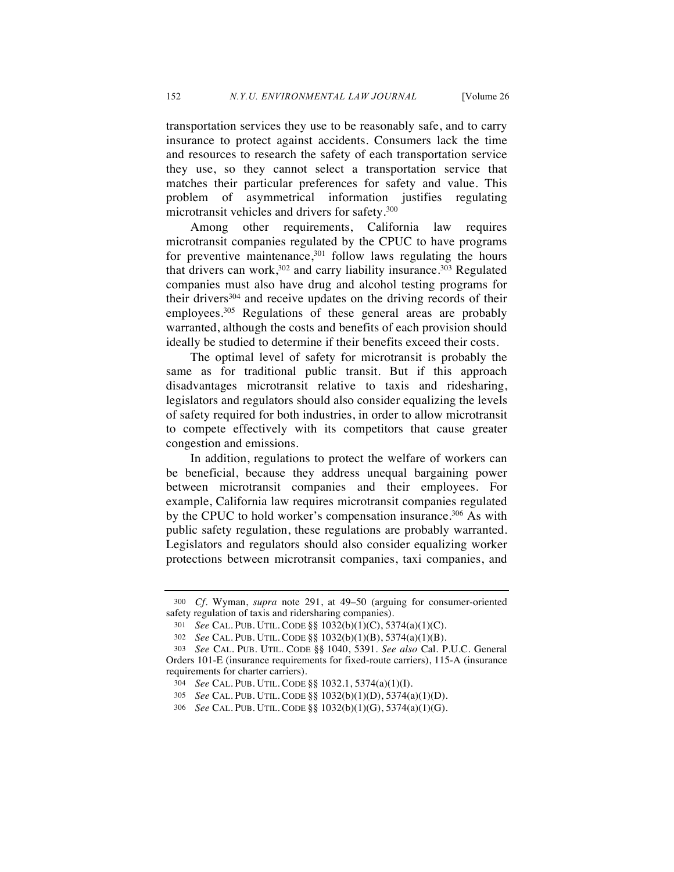transportation services they use to be reasonably safe, and to carry insurance to protect against accidents. Consumers lack the time and resources to research the safety of each transportation service they use, so they cannot select a transportation service that matches their particular preferences for safety and value. This problem of asymmetrical information justifies regulating microtransit vehicles and drivers for safety.300

Among other requirements, California law requires microtransit companies regulated by the CPUC to have programs for preventive maintenance, $301$  follow laws regulating the hours that drivers can work,  $302$  and carry liability insurance.  $303$  Regulated companies must also have drug and alcohol testing programs for their drivers $304$  and receive updates on the driving records of their employees.<sup>305</sup> Regulations of these general areas are probably warranted, although the costs and benefits of each provision should ideally be studied to determine if their benefits exceed their costs.

The optimal level of safety for microtransit is probably the same as for traditional public transit. But if this approach disadvantages microtransit relative to taxis and ridesharing, legislators and regulators should also consider equalizing the levels of safety required for both industries, in order to allow microtransit to compete effectively with its competitors that cause greater congestion and emissions.

In addition, regulations to protect the welfare of workers can be beneficial, because they address unequal bargaining power between microtransit companies and their employees. For example, California law requires microtransit companies regulated by the CPUC to hold worker's compensation insurance.<sup>306</sup> As with public safety regulation, these regulations are probably warranted. Legislators and regulators should also consider equalizing worker protections between microtransit companies, taxi companies, and

<sup>300</sup> *Cf.* Wyman, *supra* note 291, at 49–50 (arguing for consumer-oriented safety regulation of taxis and ridersharing companies).

<sup>301</sup> *See* CAL. PUB. UTIL. CODE §§ 1032(b)(1)(C), 5374(a)(1)(C).

<sup>302</sup> *See* CAL. PUB. UTIL. CODE §§ 1032(b)(1)(B), 5374(a)(1)(B).

<sup>303</sup> *See* CAL. PUB. UTIL. CODE §§ 1040, 5391. *See also* Cal. P.U.C. General Orders 101-E (insurance requirements for fixed-route carriers), 115-A (insurance requirements for charter carriers).

<sup>304</sup> *See* CAL. PUB. UTIL. CODE §§ 1032.1, 5374(a)(1)(I).

<sup>305</sup> *See* CAL. PUB. UTIL. CODE §§ 1032(b)(1)(D), 5374(a)(1)(D).

<sup>306</sup> *See* CAL. PUB. UTIL. CODE §§ 1032(b)(1)(G), 5374(a)(1)(G).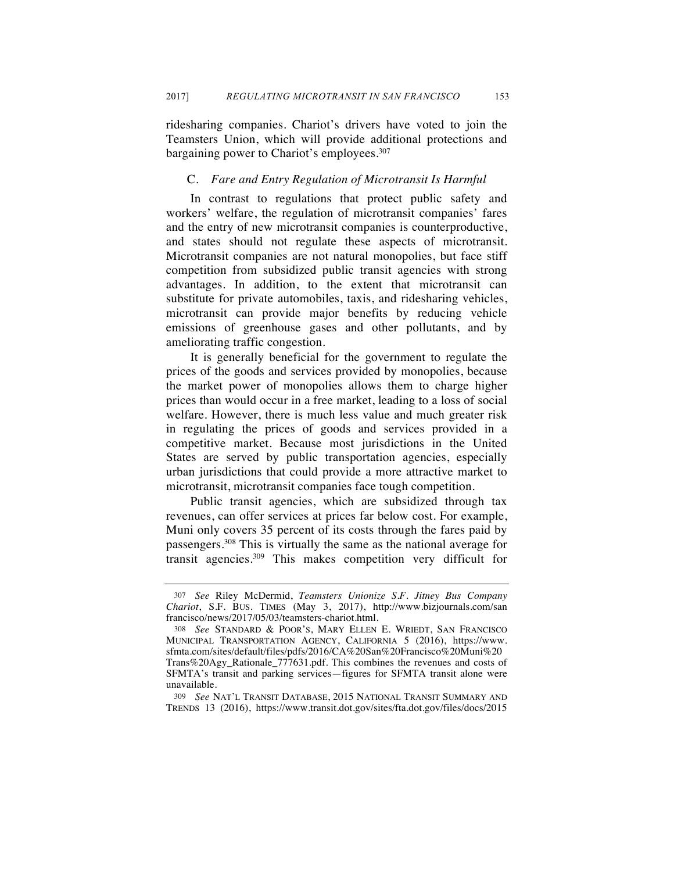ridesharing companies. Chariot's drivers have voted to join the Teamsters Union, which will provide additional protections and bargaining power to Chariot's employees.<sup>307</sup>

### C. *Fare and Entry Regulation of Microtransit Is Harmful*

In contrast to regulations that protect public safety and workers' welfare, the regulation of microtransit companies' fares and the entry of new microtransit companies is counterproductive, and states should not regulate these aspects of microtransit. Microtransit companies are not natural monopolies, but face stiff competition from subsidized public transit agencies with strong advantages. In addition, to the extent that microtransit can substitute for private automobiles, taxis, and ridesharing vehicles, microtransit can provide major benefits by reducing vehicle emissions of greenhouse gases and other pollutants, and by ameliorating traffic congestion.

It is generally beneficial for the government to regulate the prices of the goods and services provided by monopolies, because the market power of monopolies allows them to charge higher prices than would occur in a free market, leading to a loss of social welfare. However, there is much less value and much greater risk in regulating the prices of goods and services provided in a competitive market. Because most jurisdictions in the United States are served by public transportation agencies, especially urban jurisdictions that could provide a more attractive market to microtransit, microtransit companies face tough competition.

Public transit agencies, which are subsidized through tax revenues, can offer services at prices far below cost. For example, Muni only covers 35 percent of its costs through the fares paid by passengers.308 This is virtually the same as the national average for transit agencies.309 This makes competition very difficult for

<sup>307</sup> *See* Riley McDermid, *Teamsters Unionize S.F. Jitney Bus Company Chariot*, S.F. BUS. TIMES (May 3, 2017), http://www.bizjournals.com/san francisco/news/2017/05/03/teamsters-chariot.html.

<sup>308</sup> *See* STANDARD & POOR'S, MARY ELLEN E. WRIEDT, SAN FRANCISCO MUNICIPAL TRANSPORTATION AGENCY, CALIFORNIA 5 (2016), https://www. sfmta.com/sites/default/files/pdfs/2016/CA%20San%20Francisco%20Muni%20 Trans%20Agy\_Rationale\_777631.pdf. This combines the revenues and costs of SFMTA's transit and parking services—figures for SFMTA transit alone were unavailable.

<sup>309</sup> *See* NAT'L TRANSIT DATABASE, 2015 NATIONAL TRANSIT SUMMARY AND TRENDS 13 (2016), https://www.transit.dot.gov/sites/fta.dot.gov/files/docs/2015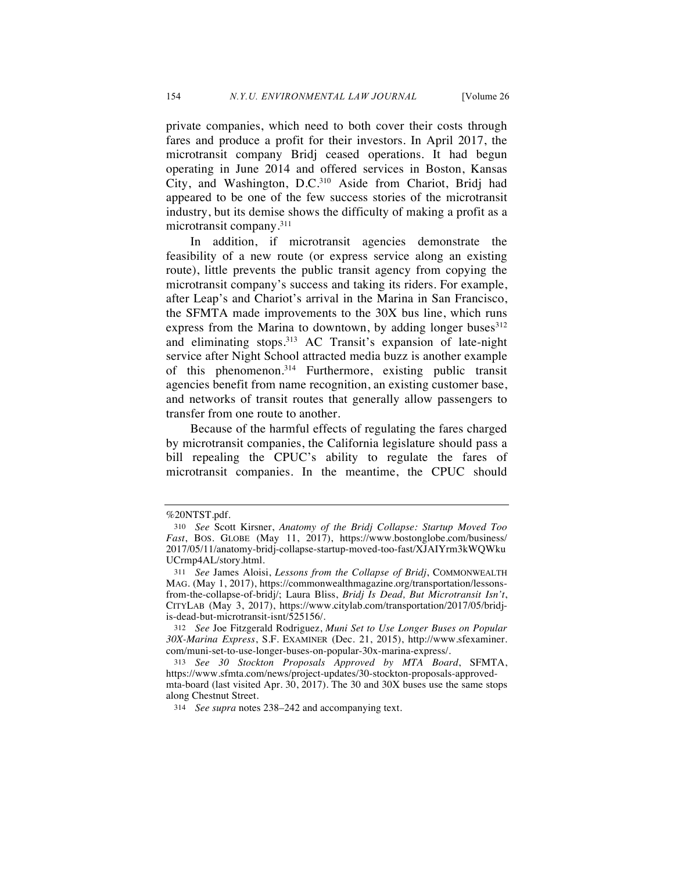private companies, which need to both cover their costs through fares and produce a profit for their investors. In April 2017, the microtransit company Bridj ceased operations. It had begun operating in June 2014 and offered services in Boston, Kansas City, and Washington, D.C.310 Aside from Chariot, Bridj had appeared to be one of the few success stories of the microtransit industry, but its demise shows the difficulty of making a profit as a microtransit company.311

In addition, if microtransit agencies demonstrate the feasibility of a new route (or express service along an existing route), little prevents the public transit agency from copying the microtransit company's success and taking its riders. For example, after Leap's and Chariot's arrival in the Marina in San Francisco, the SFMTA made improvements to the 30X bus line, which runs express from the Marina to downtown, by adding longer buses $312$ and eliminating stops.<sup>313</sup> AC Transit's expansion of late-night service after Night School attracted media buzz is another example of this phenomenon.314 Furthermore, existing public transit agencies benefit from name recognition, an existing customer base, and networks of transit routes that generally allow passengers to transfer from one route to another.

Because of the harmful effects of regulating the fares charged by microtransit companies, the California legislature should pass a bill repealing the CPUC's ability to regulate the fares of microtransit companies. In the meantime, the CPUC should

<sup>%20</sup>NTST.pdf.

<sup>310</sup> *See* Scott Kirsner, *Anatomy of the Bridj Collapse: Startup Moved Too Fast*, BOS. GLOBE (May 11, 2017), https://www.bostonglobe.com/business/ 2017/05/11/anatomy-bridj-collapse-startup-moved-too-fast/XJAIYrm3kWQWku UCrmp4AL/story.html.

<sup>311</sup> *See* James Aloisi, *Lessons from the Collapse of Bridj*, COMMONWEALTH MAG. (May 1, 2017), https://commonwealthmagazine.org/transportation/lessonsfrom-the-collapse-of-bridj/; Laura Bliss, *Bridj Is Dead, But Microtransit Isn't*, CITYLAB (May 3, 2017), https://www.citylab.com/transportation/2017/05/bridjis-dead-but-microtransit-isnt/525156/.

<sup>312</sup> *See* Joe Fitzgerald Rodriguez, *Muni Set to Use Longer Buses on Popular 30X-Marina Express*, S.F. EXAMINER (Dec. 21, 2015), http://www.sfexaminer. com/muni-set-to-use-longer-buses-on-popular-30x-marina-express/.

<sup>313</sup> *See 30 Stockton Proposals Approved by MTA Board*, SFMTA, https://www.sfmta.com/news/project-updates/30-stockton-proposals-approvedmta-board (last visited Apr. 30, 2017). The 30 and 30X buses use the same stops along Chestnut Street.

<sup>314</sup> *See supra* notes 238–242 and accompanying text.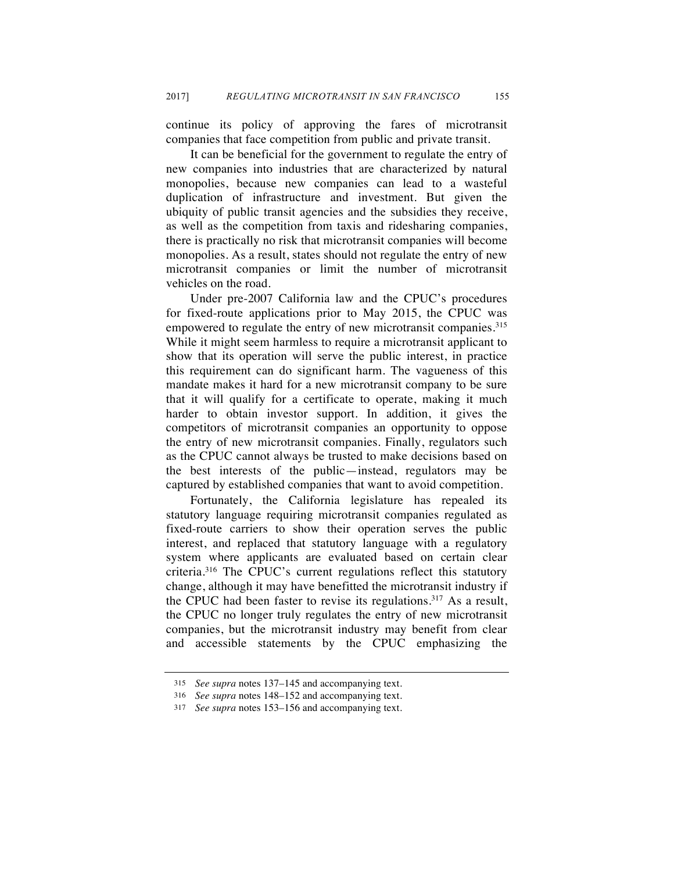continue its policy of approving the fares of microtransit companies that face competition from public and private transit.

It can be beneficial for the government to regulate the entry of new companies into industries that are characterized by natural monopolies, because new companies can lead to a wasteful duplication of infrastructure and investment. But given the ubiquity of public transit agencies and the subsidies they receive, as well as the competition from taxis and ridesharing companies, there is practically no risk that microtransit companies will become monopolies. As a result, states should not regulate the entry of new microtransit companies or limit the number of microtransit vehicles on the road.

Under pre-2007 California law and the CPUC's procedures for fixed-route applications prior to May 2015, the CPUC was empowered to regulate the entry of new microtransit companies.<sup>315</sup> While it might seem harmless to require a microtransit applicant to show that its operation will serve the public interest, in practice this requirement can do significant harm. The vagueness of this mandate makes it hard for a new microtransit company to be sure that it will qualify for a certificate to operate, making it much harder to obtain investor support. In addition, it gives the competitors of microtransit companies an opportunity to oppose the entry of new microtransit companies. Finally, regulators such as the CPUC cannot always be trusted to make decisions based on the best interests of the public—instead, regulators may be captured by established companies that want to avoid competition.

Fortunately, the California legislature has repealed its statutory language requiring microtransit companies regulated as fixed-route carriers to show their operation serves the public interest, and replaced that statutory language with a regulatory system where applicants are evaluated based on certain clear criteria.316 The CPUC's current regulations reflect this statutory change, although it may have benefitted the microtransit industry if the CPUC had been faster to revise its regulations.317 As a result, the CPUC no longer truly regulates the entry of new microtransit companies, but the microtransit industry may benefit from clear and accessible statements by the CPUC emphasizing the

<sup>315</sup> *See supra* notes 137–145 and accompanying text.

<sup>316</sup> *See supra* notes 148–152 and accompanying text.

<sup>317</sup> *See supra* notes 153–156 and accompanying text.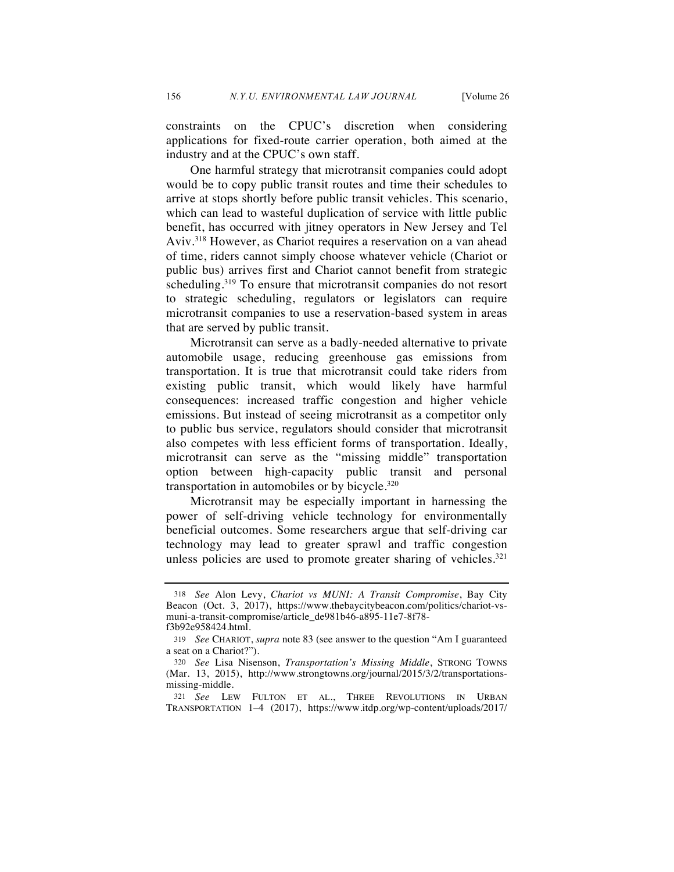constraints on the CPUC's discretion when considering applications for fixed-route carrier operation, both aimed at the industry and at the CPUC's own staff.

One harmful strategy that microtransit companies could adopt would be to copy public transit routes and time their schedules to arrive at stops shortly before public transit vehicles. This scenario, which can lead to wasteful duplication of service with little public benefit, has occurred with jitney operators in New Jersey and Tel Aviv.318 However, as Chariot requires a reservation on a van ahead of time, riders cannot simply choose whatever vehicle (Chariot or public bus) arrives first and Chariot cannot benefit from strategic scheduling.319 To ensure that microtransit companies do not resort to strategic scheduling, regulators or legislators can require microtransit companies to use a reservation-based system in areas that are served by public transit.

Microtransit can serve as a badly-needed alternative to private automobile usage, reducing greenhouse gas emissions from transportation. It is true that microtransit could take riders from existing public transit, which would likely have harmful consequences: increased traffic congestion and higher vehicle emissions. But instead of seeing microtransit as a competitor only to public bus service, regulators should consider that microtransit also competes with less efficient forms of transportation. Ideally, microtransit can serve as the "missing middle" transportation option between high-capacity public transit and personal transportation in automobiles or by bicycle.320

Microtransit may be especially important in harnessing the power of self-driving vehicle technology for environmentally beneficial outcomes. Some researchers argue that self-driving car technology may lead to greater sprawl and traffic congestion unless policies are used to promote greater sharing of vehicles.<sup>321</sup>

<sup>318</sup> *See* Alon Levy, *Chariot vs MUNI: A Transit Compromise*, Bay City Beacon (Oct. 3, 2017), https://www.thebaycitybeacon.com/politics/chariot-vsmuni-a-transit-compromise/article\_de981b46-a895-11e7-8f78-

f3b92e958424.html.

<sup>319</sup> *See* CHARIOT, *supra* note 83 (see answer to the question "Am I guaranteed a seat on a Chariot?").

<sup>320</sup> *See* Lisa Nisenson, *Transportation's Missing Middle*, STRONG TOWNS (Mar. 13, 2015), http://www.strongtowns.org/journal/2015/3/2/transportationsmissing-middle.

<sup>321</sup> *See* LEW FULTON ET AL., THREE REVOLUTIONS IN URBAN TRANSPORTATION 1–4 (2017), https://www.itdp.org/wp-content/uploads/2017/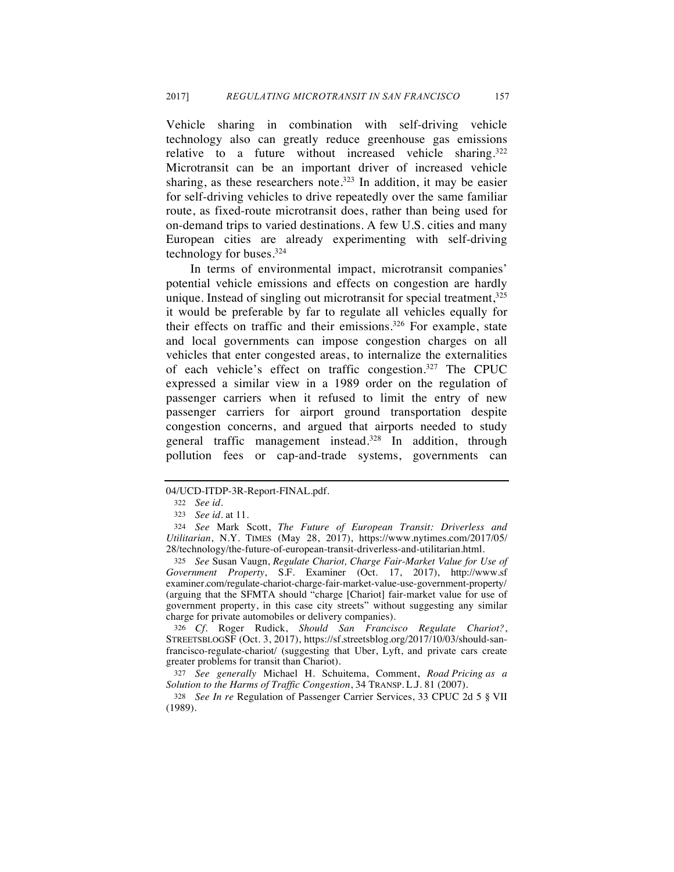Vehicle sharing in combination with self-driving vehicle technology also can greatly reduce greenhouse gas emissions relative to a future without increased vehicle sharing.<sup>322</sup> Microtransit can be an important driver of increased vehicle sharing, as these researchers note.<sup>323</sup> In addition, it may be easier for self-driving vehicles to drive repeatedly over the same familiar route, as fixed-route microtransit does, rather than being used for on-demand trips to varied destinations. A few U.S. cities and many European cities are already experimenting with self-driving technology for buses.324

In terms of environmental impact, microtransit companies' potential vehicle emissions and effects on congestion are hardly unique. Instead of singling out microtransit for special treatment,  $325$ it would be preferable by far to regulate all vehicles equally for their effects on traffic and their emissions.<sup>326</sup> For example, state and local governments can impose congestion charges on all vehicles that enter congested areas, to internalize the externalities of each vehicle's effect on traffic congestion.327 The CPUC expressed a similar view in a 1989 order on the regulation of passenger carriers when it refused to limit the entry of new passenger carriers for airport ground transportation despite congestion concerns, and argued that airports needed to study general traffic management instead.<sup>328</sup> In addition, through pollution fees or cap-and-trade systems, governments can

325 *See* Susan Vaugn, *Regulate Chariot, Charge Fair-Market Value for Use of Government Property*, S.F. Examiner (Oct. 17, 2017), http://www.sf examiner.com/regulate-chariot-charge-fair-market-value-use-government-property/ (arguing that the SFMTA should "charge [Chariot] fair-market value for use of government property, in this case city streets" without suggesting any similar charge for private automobiles or delivery companies).

326 *Cf.* Roger Rudick, *Should San Francisco Regulate Chariot?*, STREETSBLOGSF (Oct. 3, 2017), https://sf.streetsblog.org/2017/10/03/should-sanfrancisco-regulate-chariot/ (suggesting that Uber, Lyft, and private cars create greater problems for transit than Chariot).

327 *See generally* Michael H. Schuitema, Comment, *Road Pricing as a Solution to the Harms of Traffic Congestion*, 34 TRANSP. L.J. 81 (2007).

328 *See In re* Regulation of Passenger Carrier Services, 33 CPUC 2d 5 § VII (1989).

<sup>04/</sup>UCD-ITDP-3R-Report-FINAL.pdf.

<sup>322</sup> *See id.*

<sup>323</sup> *See id.* at 11.

<sup>324</sup> *See* Mark Scott, *The Future of European Transit: Driverless and Utilitarian*, N.Y. TIMES (May 28, 2017), https://www.nytimes.com/2017/05/ 28/technology/the-future-of-european-transit-driverless-and-utilitarian.html.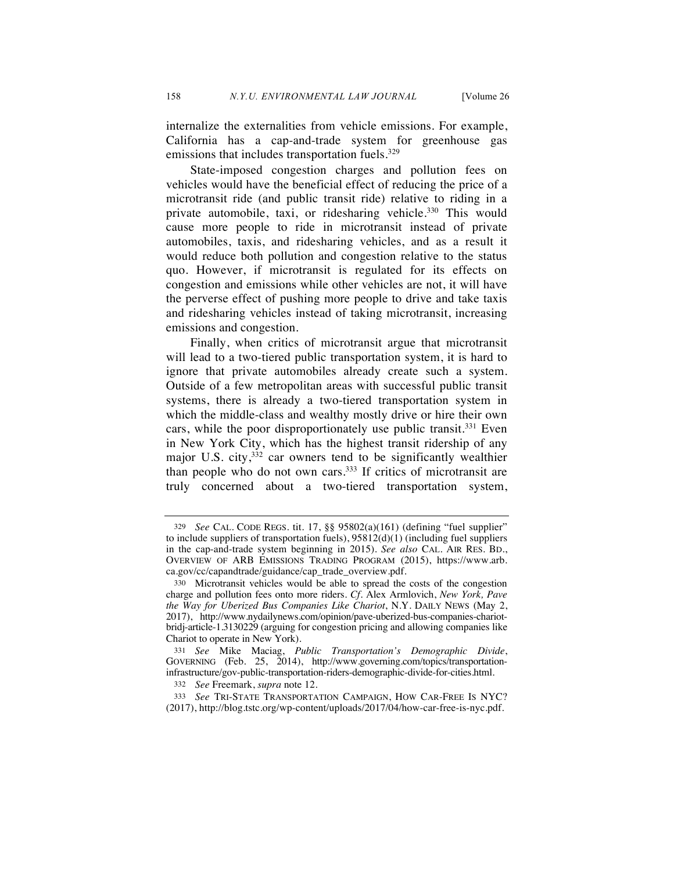internalize the externalities from vehicle emissions. For example, California has a cap-and-trade system for greenhouse gas emissions that includes transportation fuels.<sup>329</sup>

State-imposed congestion charges and pollution fees on vehicles would have the beneficial effect of reducing the price of a microtransit ride (and public transit ride) relative to riding in a private automobile, taxi, or ridesharing vehicle.<sup>330</sup> This would cause more people to ride in microtransit instead of private automobiles, taxis, and ridesharing vehicles, and as a result it would reduce both pollution and congestion relative to the status quo. However, if microtransit is regulated for its effects on congestion and emissions while other vehicles are not, it will have the perverse effect of pushing more people to drive and take taxis and ridesharing vehicles instead of taking microtransit, increasing emissions and congestion.

Finally, when critics of microtransit argue that microtransit will lead to a two-tiered public transportation system, it is hard to ignore that private automobiles already create such a system. Outside of a few metropolitan areas with successful public transit systems, there is already a two-tiered transportation system in which the middle-class and wealthy mostly drive or hire their own cars, while the poor disproportionately use public transit.<sup>331</sup> Even in New York City, which has the highest transit ridership of any major U.S. city,  $332$  car owners tend to be significantly wealthier than people who do not own cars.333 If critics of microtransit are truly concerned about a two-tiered transportation system,

<sup>329</sup> *See* CAL. CODE REGS. tit. 17, §§ 95802(a)(161) (defining "fuel supplier" to include suppliers of transportation fuels), 95812(d)(1) (including fuel suppliers in the cap-and-trade system beginning in 2015). *See also* CAL. AIR RES. BD., OVERVIEW OF ARB EMISSIONS TRADING PROGRAM (2015), https://www.arb. ca.gov/cc/capandtrade/guidance/cap\_trade\_overview.pdf.

<sup>330</sup> Microtransit vehicles would be able to spread the costs of the congestion charge and pollution fees onto more riders. *Cf.* Alex Armlovich, *New York, Pave the Way for Uberized Bus Companies Like Chariot*, N.Y. DAILY NEWS (May 2, 2017), http://www.nydailynews.com/opinion/pave-uberized-bus-companies-chariotbridj-article-1.3130229 (arguing for congestion pricing and allowing companies like Chariot to operate in New York).

<sup>331</sup> *See* Mike Maciag, *Public Transportation's Demographic Divide*, GOVERNING (Feb. 25, 2014), http://www.governing.com/topics/transportationinfrastructure/gov-public-transportation-riders-demographic-divide-for-cities.html.

<sup>332</sup> *See* Freemark, *supra* note 12.

<sup>333</sup> *See* TRI-STATE TRANSPORTATION CAMPAIGN, HOW CAR-FREE IS NYC? (2017), http://blog.tstc.org/wp-content/uploads/2017/04/how-car-free-is-nyc.pdf.